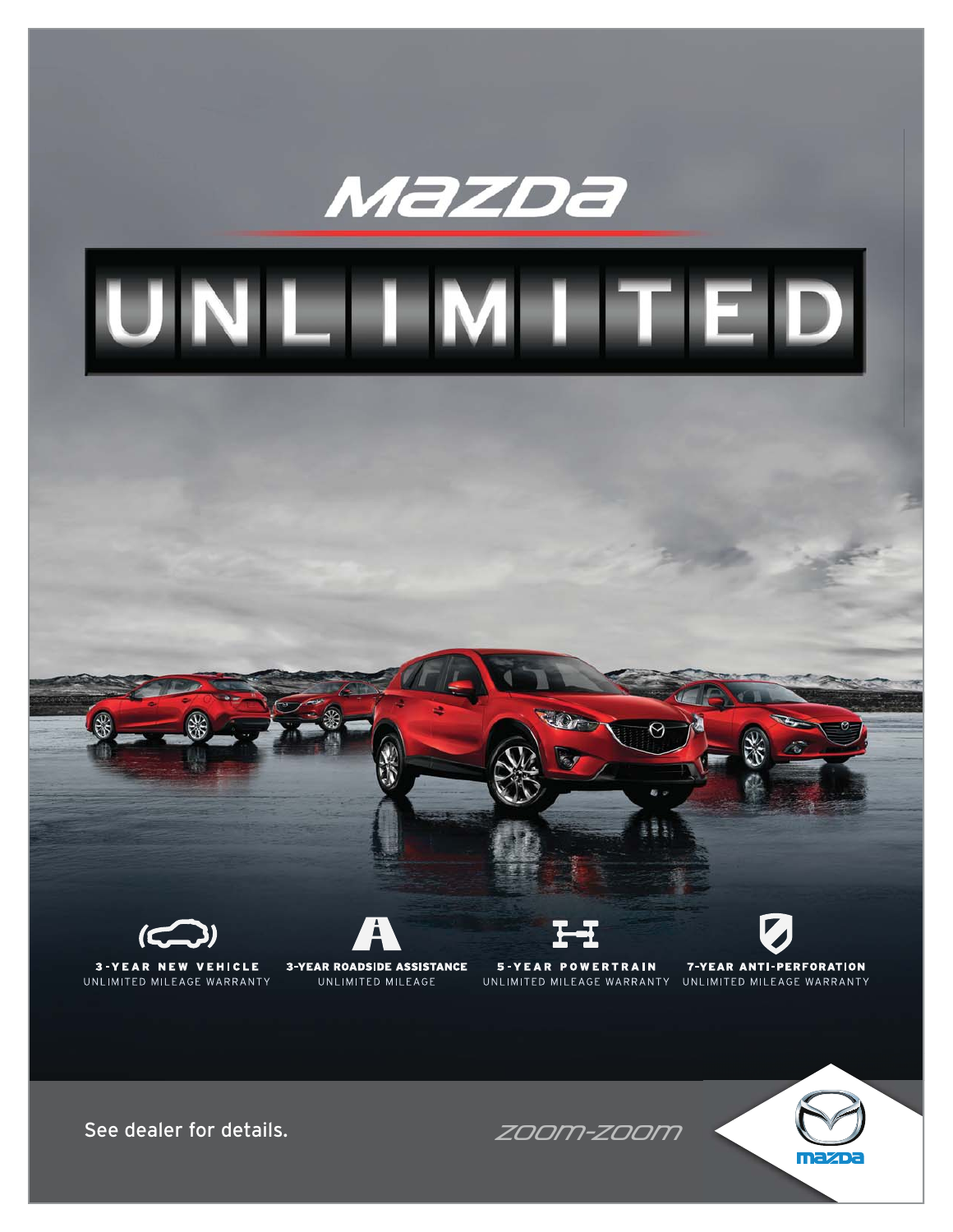



**3-YEAR ROADSIDE ASSISTANCE** UNLIMITED MILEAGE

**5-YEAR POWERTRAIN** UNLIMITED MILEAGE WARRANTY UNLIMITED MILEAGE WARRANTY



**7-YEAR ANTI-PERFORATION** 

See dealer for details.  $ZOOM-ZOOM$ 

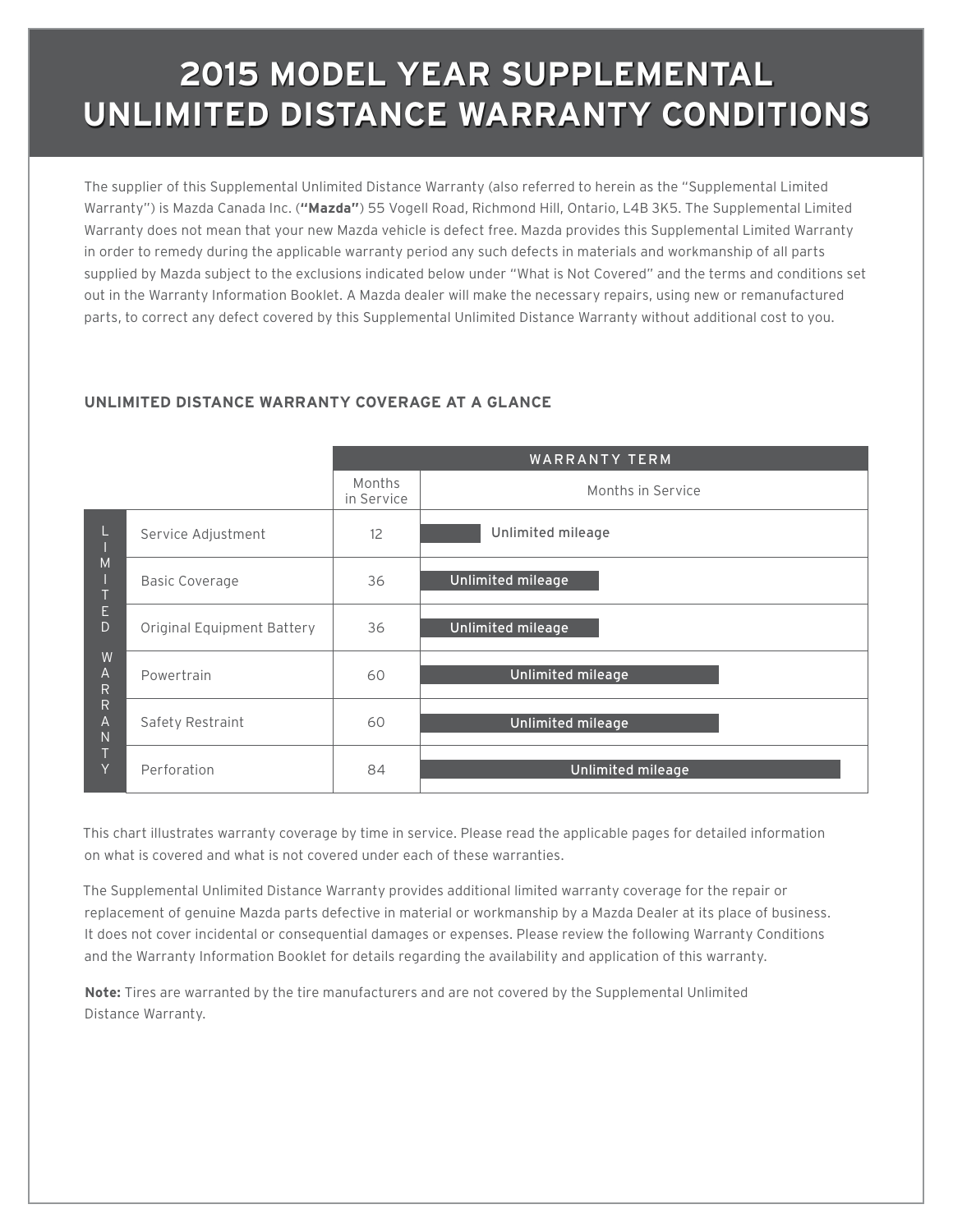# **2015 MODEL YEAR SUPPLEMENTAL UNLIMITED DISTANCE WARRANTY CONDITIONS**

The supplier of this Supplemental Unlimited Distance Warranty (also referred to herein as the "Supplemental Limited Warranty") is Mazda Canada Inc. (**"Mazda"**) 55 Vogell Road, Richmond Hill, Ontario, L4B 3K5. The Supplemental Limited Warranty does not mean that your new Mazda vehicle is defect free. Mazda provides this Supplemental Limited Warranty in order to remedy during the applicable warranty period any such defects in materials and workmanship of all parts supplied by Mazda subject to the exclusions indicated below under "What is Not Covered" and the terms and conditions set out in the Warranty Information Booklet. A Mazda dealer will make the necessary repairs, using new or remanufactured parts, to correct any defect covered by this Supplemental Unlimited Distance Warranty without additional cost to you.

### **UNLIMITED DISTANCE WARRANTY COVERAGE AT A GLANCE**

|                             |                            | <b>WARRANTY TERM</b> |                   |  |
|-----------------------------|----------------------------|----------------------|-------------------|--|
|                             |                            | Months<br>in Service | Months in Service |  |
|                             | Service Adjustment         | 12                   | Unlimited mileage |  |
| M                           | <b>Basic Coverage</b>      | 36                   | Unlimited mileage |  |
| E<br>D                      | Original Equipment Battery | 36                   | Unlimited mileage |  |
| W<br>A<br>R                 | Powertrain                 | 60                   | Unlimited mileage |  |
| R<br>$\mathsf{A}$<br>N<br>Y | Safety Restraint           | 60                   | Unlimited mileage |  |
|                             | Perforation                | 84                   | Unlimited mileage |  |

This chart illustrates warranty coverage by time in service. Please read the applicable pages for detailed information on what is covered and what is not covered under each of these warranties.

The Supplemental Unlimited Distance Warranty provides additional limited warranty coverage for the repair or replacement of genuine Mazda parts defective in material or workmanship by a Mazda Dealer at its place of business. It does not cover incidental or consequential damages or expenses. Please review the following Warranty Conditions and the Warranty Information Booklet for details regarding the availability and application of this warranty.

**Note:** Tires are warranted by the tire manufacturers and are not covered by the Supplemental Unlimited Distance Warranty.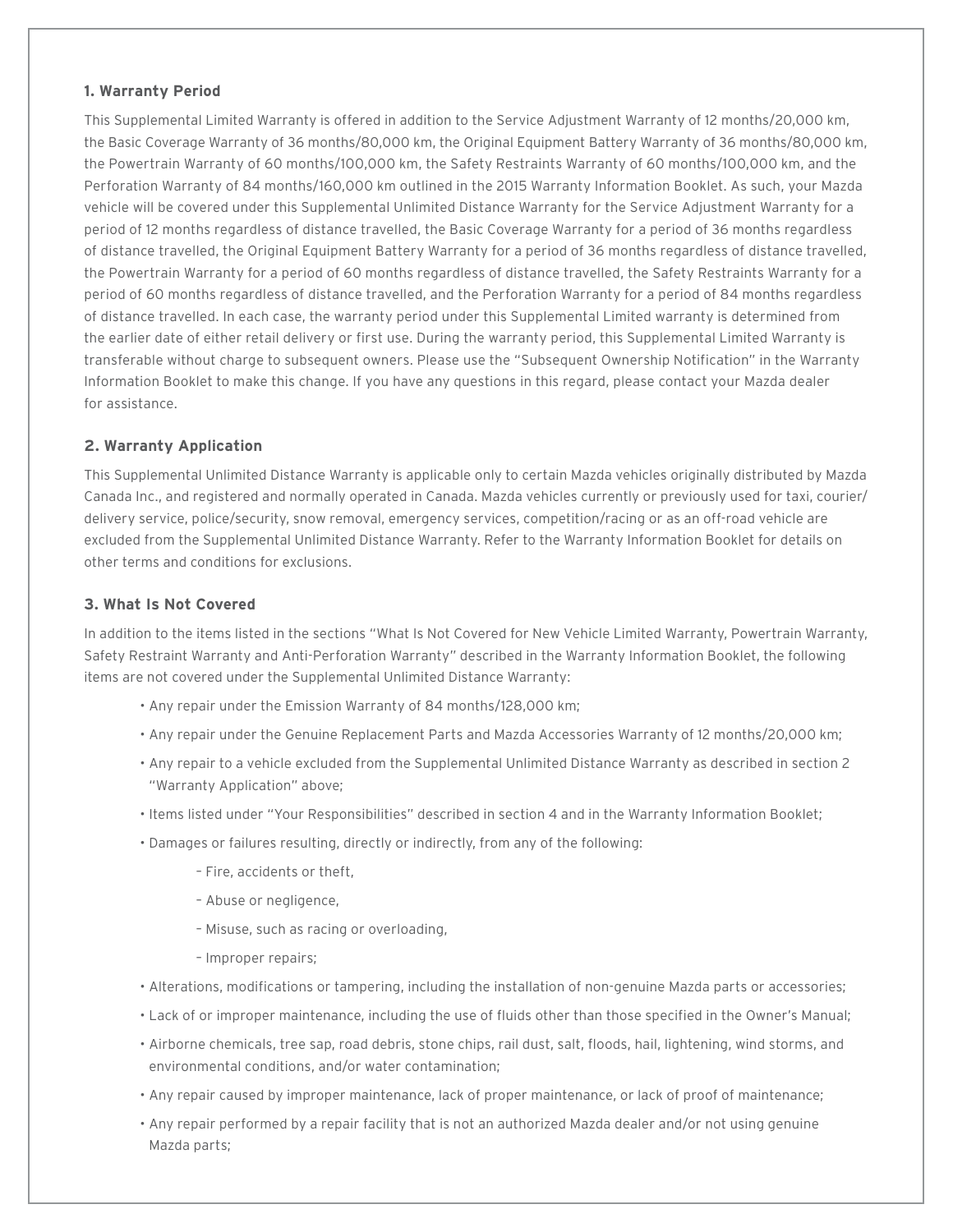### **1. Warranty Period**

This Supplemental Limited Warranty is offered in addition to the Service Adjustment Warranty of 12 months/20,000 km, the Basic Coverage Warranty of 36 months/80,000 km, the Original Equipment Battery Warranty of 36 months/80,000 km, the Powertrain Warranty of 60 months/100,000 km, the Safety Restraints Warranty of 60 months/100,000 km, and the Perforation Warranty of 84 months/160,000 km outlined in the 2015 Warranty Information Booklet. As such, your Mazda vehicle will be covered under this Supplemental Unlimited Distance Warranty for the Service Adjustment Warranty for a period of 12 months regardless of distance travelled, the Basic Coverage Warranty for a period of 36 months regardless of distance travelled, the Original Equipment Battery Warranty for a period of 36 months regardless of distance travelled, the Powertrain Warranty for a period of 60 months regardless of distance travelled, the Safety Restraints Warranty for a period of 60 months regardless of distance travelled, and the Perforation Warranty for a period of 84 months regardless of distance travelled. In each case, the warranty period under this Supplemental Limited warranty is determined from the earlier date of either retail delivery or first use. During the warranty period, this Supplemental Limited Warranty is transferable without charge to subsequent owners. Please use the "Subsequent Ownership Notification" in the Warranty Information Booklet to make this change. If you have any questions in this regard, please contact your Mazda dealer for assistance.

### **2. Warranty Application**

This Supplemental Unlimited Distance Warranty is applicable only to certain Mazda vehicles originally distributed by Mazda Canada Inc., and registered and normally operated in Canada. Mazda vehicles currently or previously used for taxi, courier/ delivery service, police/security, snow removal, emergency services, competition/racing or as an off-road vehicle are excluded from the Supplemental Unlimited Distance Warranty. Refer to the Warranty Information Booklet for details on other terms and conditions for exclusions.

### **3. What Is Not Covered**

In addition to the items listed in the sections "What Is Not Covered for New Vehicle Limited Warranty, Powertrain Warranty, Safety Restraint Warranty and Anti-Perforation Warranty" described in the Warranty Information Booklet, the following items are not covered under the Supplemental Unlimited Distance Warranty:

- Any repair under the Emission Warranty of 84 months/128,000 km;
- Any repair under the Genuine Replacement Parts and Mazda Accessories Warranty of 12 months/20,000 km;
- Any repair to a vehicle excluded from the Supplemental Unlimited Distance Warranty as described in section 2 "Warranty Application" above;
- Items listed under "Your Responsibilities" described in section 4 and in the Warranty Information Booklet;
- Damages or failures resulting, directly or indirectly, from any of the following:
	- Fire, accidents or theft,
	- Abuse or negligence,
	- Misuse, such as racing or overloading,
	- Improper repairs;
- Alterations, modifications or tampering, including the installation of non-genuine Mazda parts or accessories;
- Lack of or improper maintenance, including the use of fluids other than those specified in the Owner's Manual;
- Airborne chemicals, tree sap, road debris, stone chips, rail dust, salt, floods, hail, lightening, wind storms, and environmental conditions, and/or water contamination;
- Any repair caused by improper maintenance, lack of proper maintenance, or lack of proof of maintenance;
- Any repair performed by a repair facility that is not an authorized Mazda dealer and/or not using genuine Mazda parts;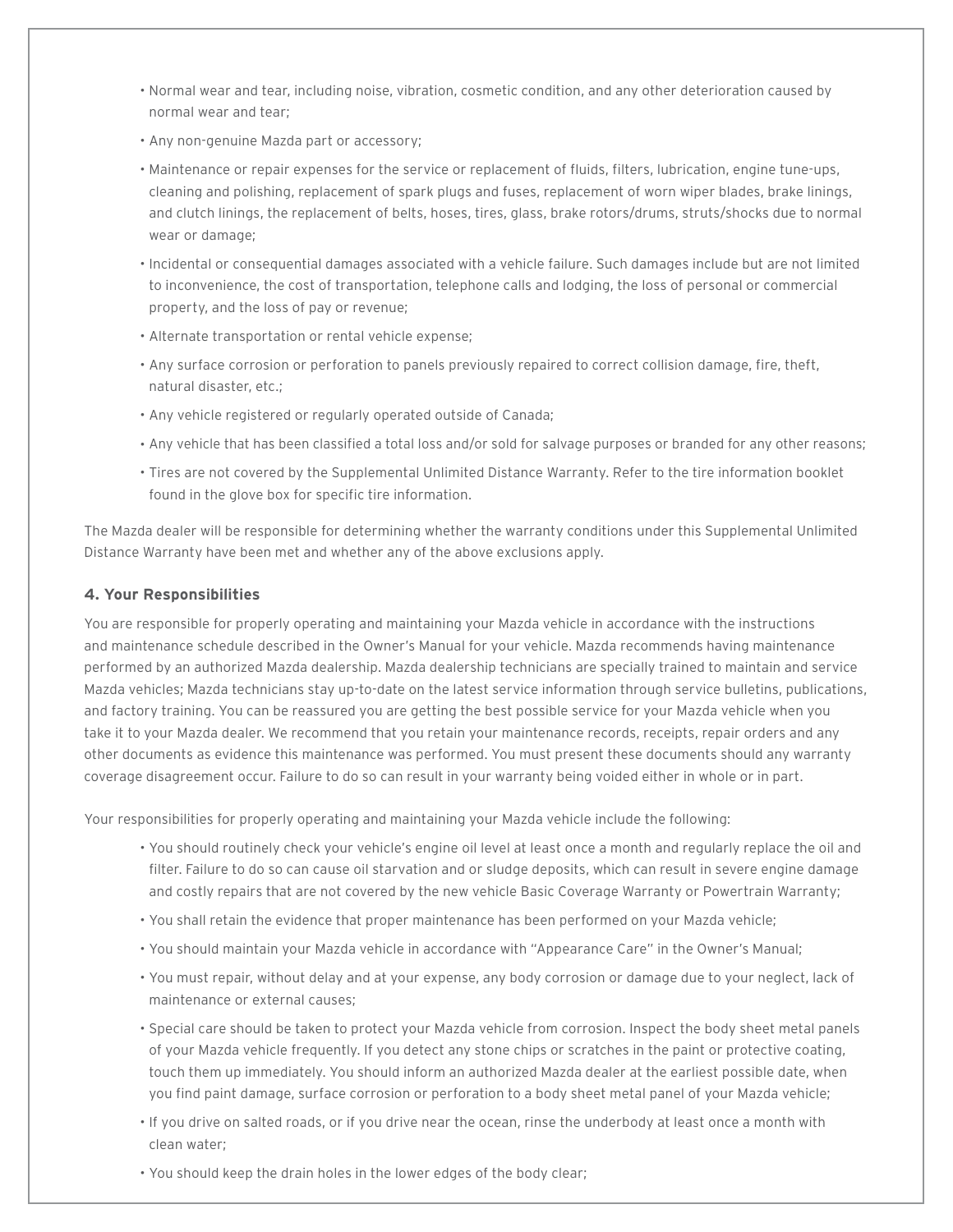- Normal wear and tear, including noise, vibration, cosmetic condition, and any other deterioration caused by normal wear and tear;
- Any non-genuine Mazda part or accessory;
- Maintenance or repair expenses for the service or replacement of fluids, filters, lubrication, engine tune-ups, cleaning and polishing, replacement of spark plugs and fuses, replacement of worn wiper blades, brake linings, and clutch linings, the replacement of belts, hoses, tires, glass, brake rotors/drums, struts/shocks due to normal wear or damage;
- Incidental or consequential damages associated with a vehicle failure. Such damages include but are not limited to inconvenience, the cost of transportation, telephone calls and lodging, the loss of personal or commercial property, and the loss of pay or revenue;
- Alternate transportation or rental vehicle expense;
- Any surface corrosion or perforation to panels previously repaired to correct collision damage, fire, theft, natural disaster, etc.;
- Any vehicle registered or regularly operated outside of Canada;
- Any vehicle that has been classified a total loss and/or sold for salvage purposes or branded for any other reasons;
- Tires are not covered by the Supplemental Unlimited Distance Warranty. Refer to the tire information booklet found in the glove box for specific tire information.

The Mazda dealer will be responsible for determining whether the warranty conditions under this Supplemental Unlimited Distance Warranty have been met and whether any of the above exclusions apply.

### **4. Your Responsibilities**

You are responsible for properly operating and maintaining your Mazda vehicle in accordance with the instructions and maintenance schedule described in the Owner's Manual for your vehicle. Mazda recommends having maintenance performed by an authorized Mazda dealership. Mazda dealership technicians are specially trained to maintain and service Mazda vehicles; Mazda technicians stay up-to-date on the latest service information through service bulletins, publications, and factory training. You can be reassured you are getting the best possible service for your Mazda vehicle when you take it to your Mazda dealer. We recommend that you retain your maintenance records, receipts, repair orders and any other documents as evidence this maintenance was performed. You must present these documents should any warranty coverage disagreement occur. Failure to do so can result in your warranty being voided either in whole or in part.

Your responsibilities for properly operating and maintaining your Mazda vehicle include the following:

- You should routinely check your vehicle's engine oil level at least once a month and regularly replace the oil and filter. Failure to do so can cause oil starvation and or sludge deposits, which can result in severe engine damage and costly repairs that are not covered by the new vehicle Basic Coverage Warranty or Powertrain Warranty;
- You shall retain the evidence that proper maintenance has been performed on your Mazda vehicle;
- You should maintain your Mazda vehicle in accordance with "Appearance Care" in the Owner's Manual;
- You must repair, without delay and at your expense, any body corrosion or damage due to your neglect, lack of maintenance or external causes;
- Special care should be taken to protect your Mazda vehicle from corrosion. Inspect the body sheet metal panels of your Mazda vehicle frequently. If you detect any stone chips or scratches in the paint or protective coating, touch them up immediately. You should inform an authorized Mazda dealer at the earliest possible date, when you find paint damage, surface corrosion or perforation to a body sheet metal panel of your Mazda vehicle;
- If you drive on salted roads, or if you drive near the ocean, rinse the underbody at least once a month with clean water;
- You should keep the drain holes in the lower edges of the body clear;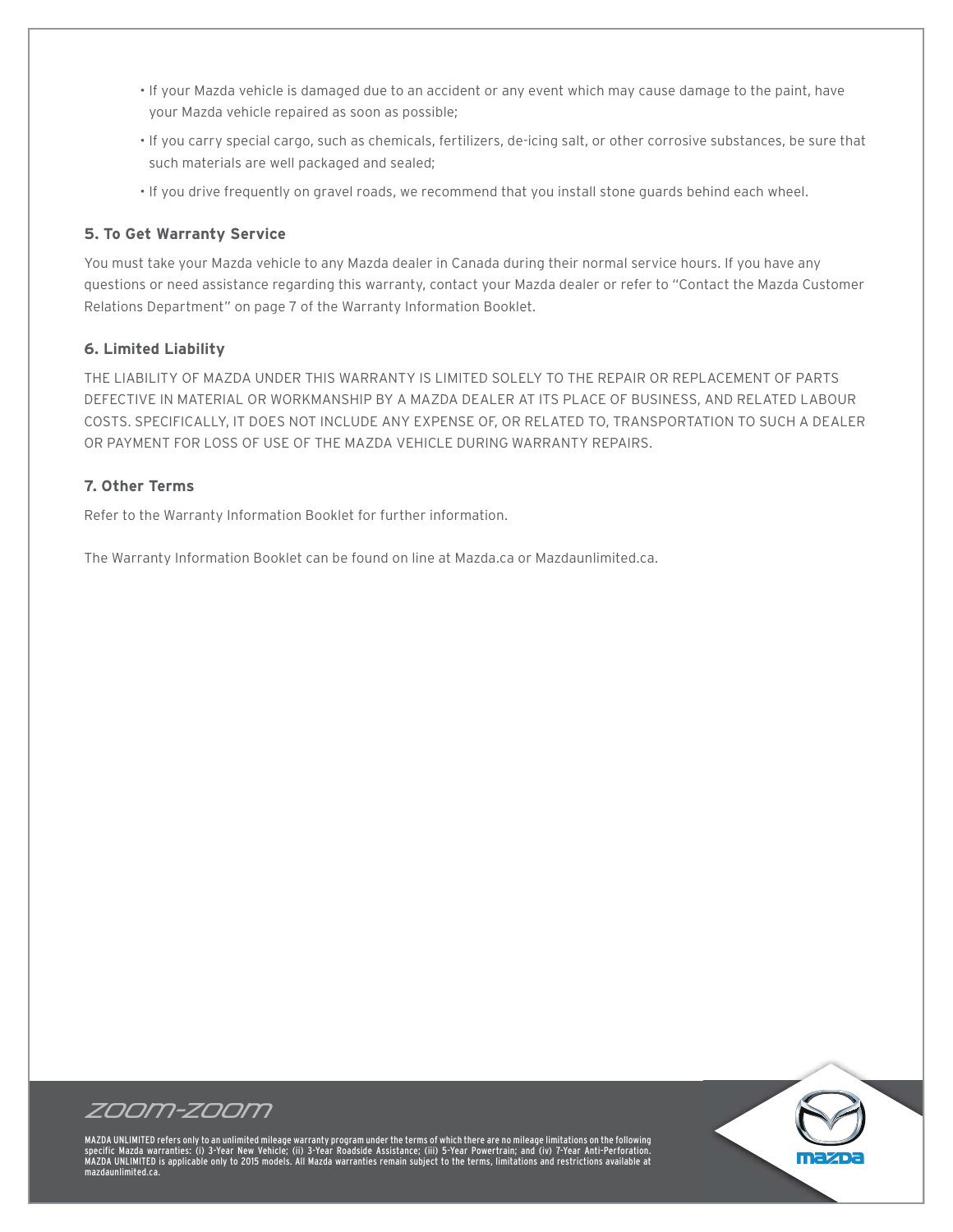- If your Mazda vehicle is damaged due to an accident or any event which may cause damage to the paint, have your Mazda vehicle repaired as soon as possible;
- If you carry special cargo, such as chemicals, fertilizers, de-icing salt, or other corrosive substances, be sure that such materials are well packaged and sealed;
- If you drive frequently on gravel roads, we recommend that you install stone guards behind each wheel.

### **5. To Get Warranty Service**

You must take your Mazda vehicle to any Mazda dealer in Canada during their normal service hours. If you have any questions or need assistance regarding this warranty, contact your Mazda dealer or refer to "Contact the Mazda Customer Relations Department" on page 7 of the Warranty Information Booklet.

### **6. Limited Liability**

THE LIABILITY OF MAZDA UNDER THIS WARRANTY IS LIMITED SOLELY TO THE REPAIR OR REPLACEMENT OF PARTS DEFECTIVE IN MATERIAL OR WORKMANSHIP BY A MAZDA DEALER AT ITS PLACE OF BUSINESS, AND RELATED LABOUR COSTS. SPECIFICALLY, IT DOES NOT INCLUDE ANY EXPENSE OF, OR RELATED TO, TRANSPORTATION TO SUCH A DEALER OR PAYMENT FOR LOSS OF USE OF THE MAZDA VEHICLE DURING WARRANTY REPAIRS.

### **7. Other Terms**

Refer to the Warranty Information Booklet for further information.

The Warranty Information Booklet can be found on line at Mazda.ca or Mazdaunlimited.ca.



MAZDA UNLIMITED refers only to an unlimited mileage warranty program under the terms of which there are no mileage limitations on the following<br>specific Mazda warranties: (i) 3-Year New Vehicle; (ii) 3-Year Roadside Assist limited.ca

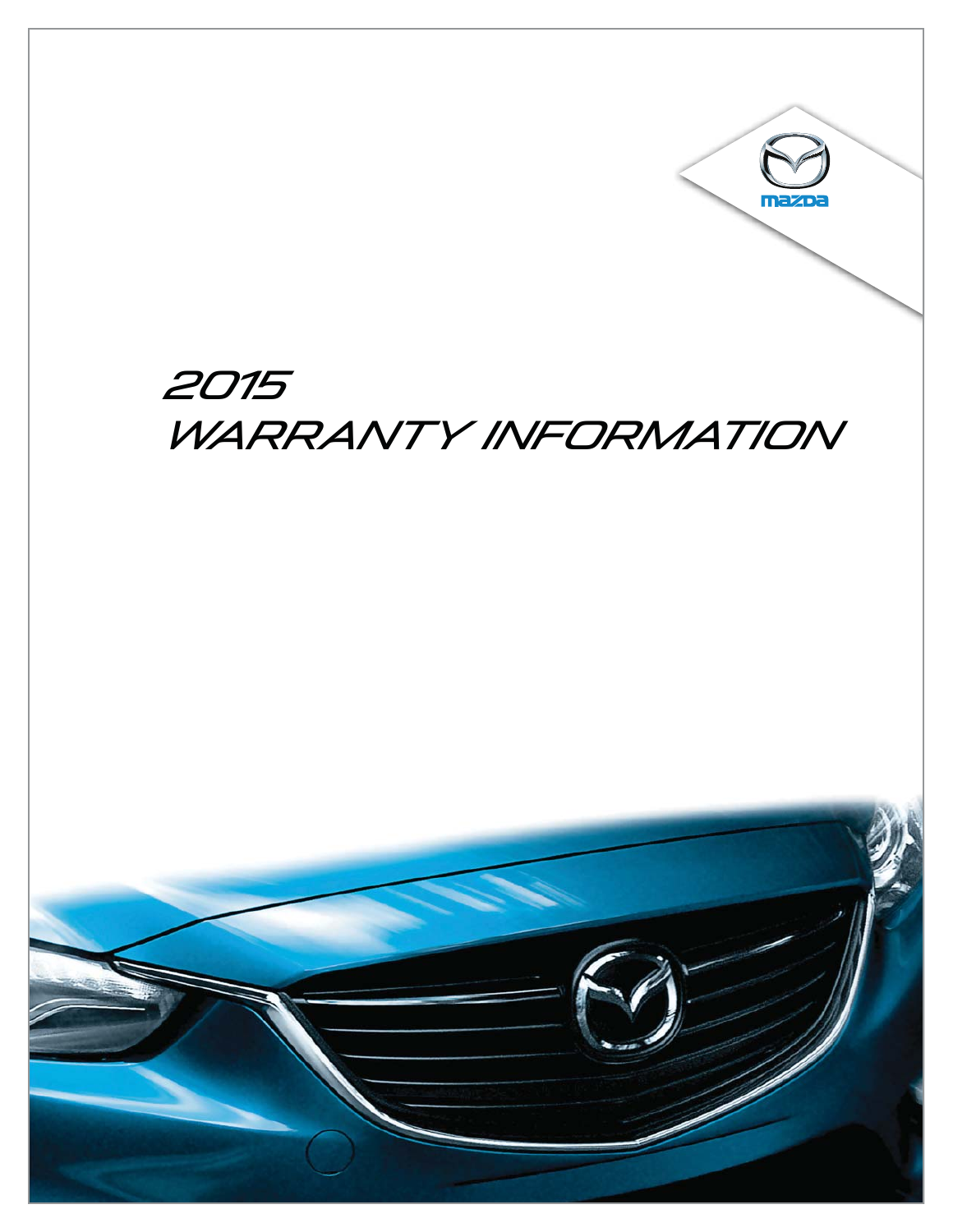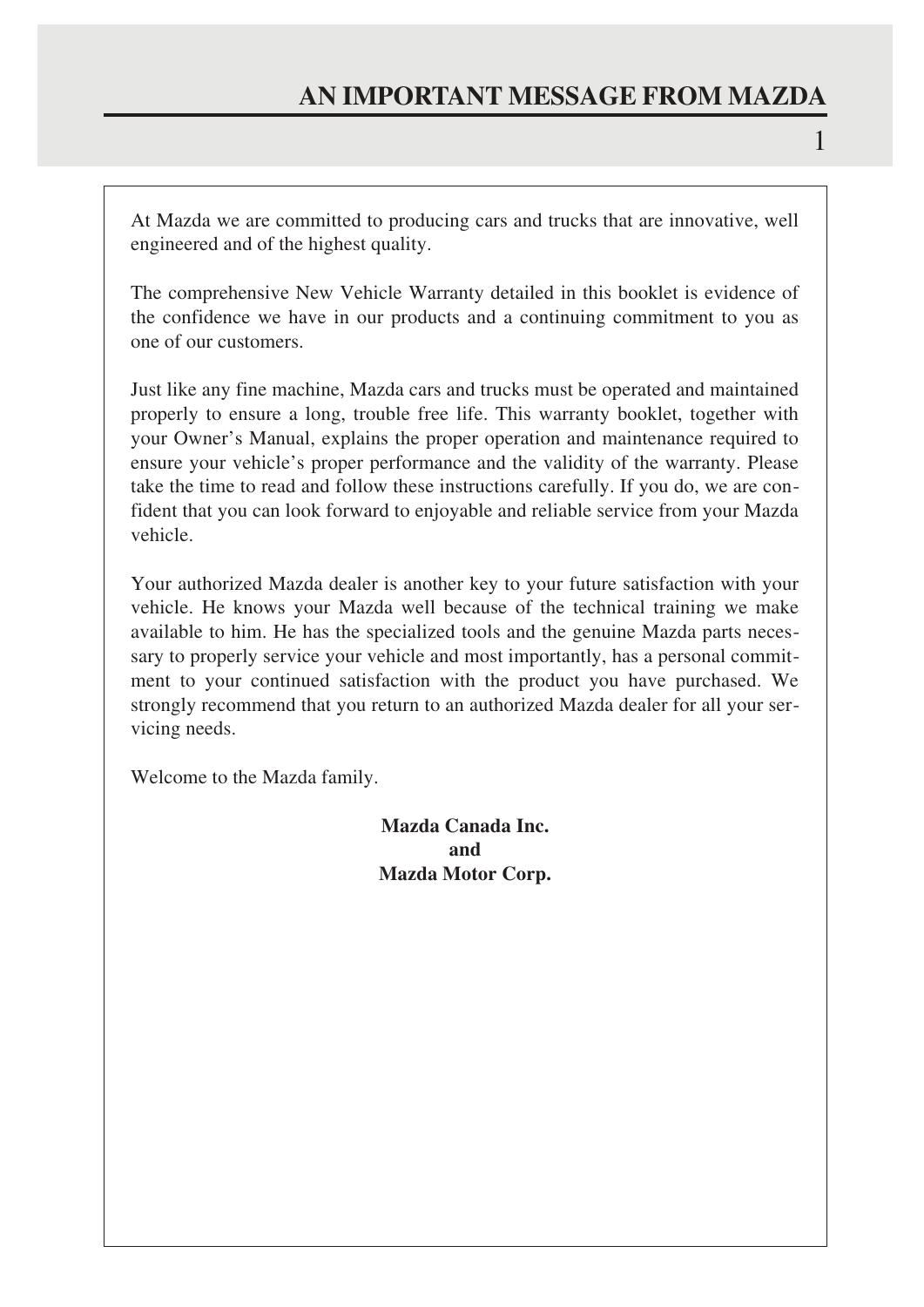At Mazda we are committed to producing cars and trucks that are innovative, well engineered and of the highest quality.

The comprehensive New Vehicle Warranty detailed in this booklet is evidence of the confidence we have in our products and a continuing commitment to you as one of our customers.

Just like any fine machine, Mazda cars and trucks must be operated and maintained properly to ensure a long, trouble free life. This warranty booklet, together with your Owner's Manual, explains the proper operation and maintenance required to ensure your vehicle's proper performance and the validity of the warranty. Please take the time to read and follow these instructions carefully. If you do, we are confident that you can look forward to enjoyable and reliable service from your Mazda vehicle.

Your authorized Mazda dealer is another key to your future satisfaction with your vehicle. He knows your Mazda well because of the technical training we make available to him. He has the specialized tools and the genuine Mazda parts necessary to properly service your vehicle and most importantly, has a personal commitment to your continued satisfaction with the product you have purchased. We strongly recommend that you return to an authorized Mazda dealer for all your servicing needs.

Welcome to the Mazda family.

**Mazda Canada Inc. and Mazda Motor Corp.**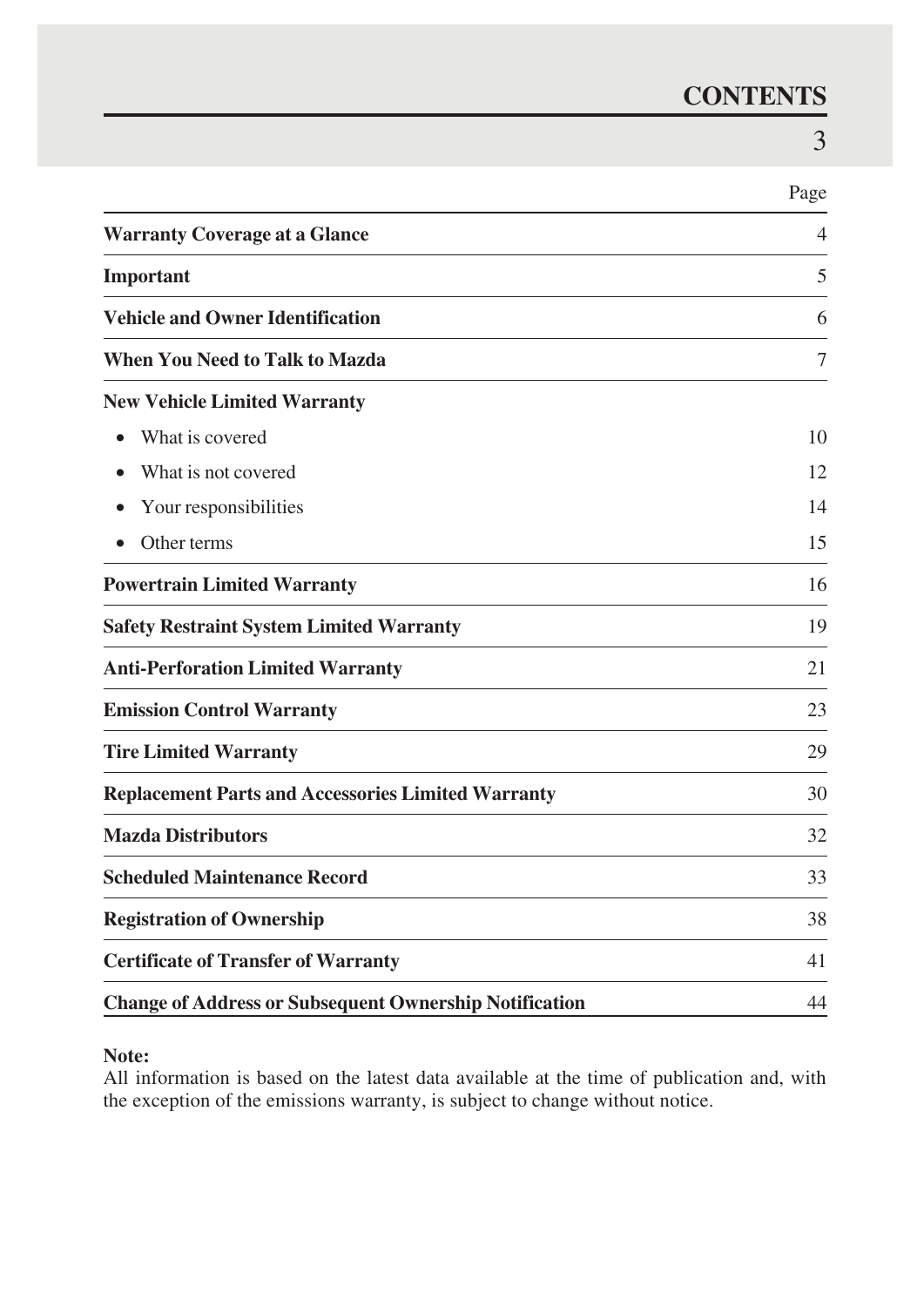### **CONTENTS**

|                                                               | Page |
|---------------------------------------------------------------|------|
| <b>Warranty Coverage at a Glance</b>                          | 4    |
| Important                                                     | 5    |
| <b>Vehicle and Owner Identification</b>                       | 6    |
| <b>When You Need to Talk to Mazda</b>                         | 7    |
| <b>New Vehicle Limited Warranty</b>                           |      |
| What is covered                                               | 10   |
| What is not covered                                           | 12   |
| Your responsibilities                                         | 14   |
| Other terms                                                   | 15   |
| <b>Powertrain Limited Warranty</b>                            | 16   |
| <b>Safety Restraint System Limited Warranty</b>               | 19   |
| <b>Anti-Perforation Limited Warranty</b>                      | 21   |
| <b>Emission Control Warranty</b>                              | 23   |
| <b>Tire Limited Warranty</b>                                  | 29   |
| <b>Replacement Parts and Accessories Limited Warranty</b>     | 30   |
| <b>Mazda Distributors</b>                                     | 32   |
| <b>Scheduled Maintenance Record</b>                           | 33   |
| <b>Registration of Ownership</b>                              | 38   |
| <b>Certificate of Transfer of Warranty</b>                    | 41   |
| <b>Change of Address or Subsequent Ownership Notification</b> | 44   |

### **Note:**

All information is based on the latest data available at the time of publication and, with the exception of the emissions warranty, is subject to change without notice.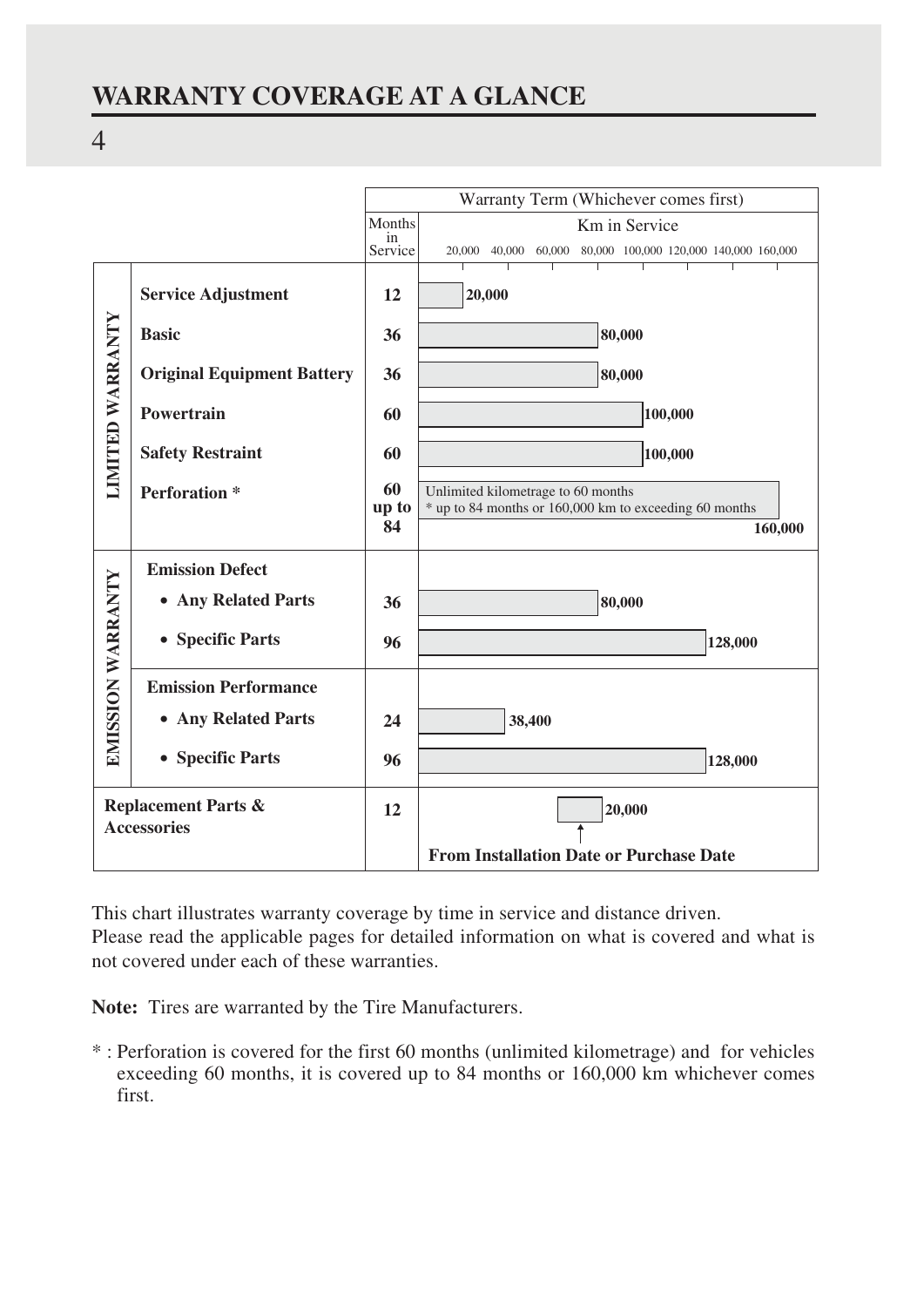### **WARRANTY COVERAGE AT A GLANCE**



This chart illustrates warranty coverage by time in service and distance driven. Please read the applicable pages for detailed information on what is covered and what is not covered under each of these warranties.

**Note:** Tires are warranted by the Tire Manufacturers.

\* : Perforation is covered for the first 60 months (unlimited kilometrage) and for vehicles exceeding 60 months, it is covered up to 84 months or 160,000 km whichever comes first.

4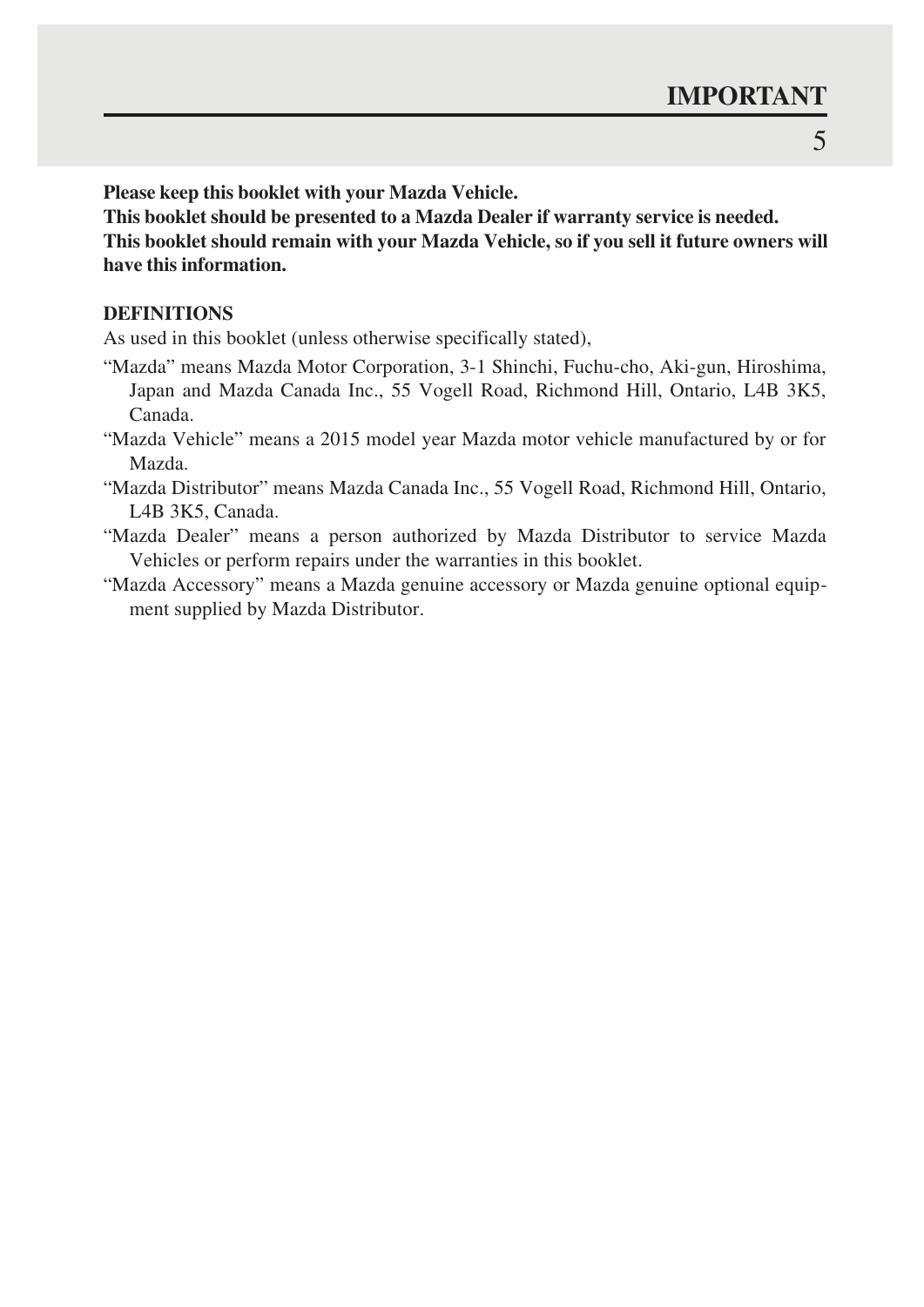**Please keep this booklet with your Mazda Vehicle.**

**This booklet should be presented to a Mazda Dealer if warranty service is needed. This booklet should remain with your Mazda Vehicle, so if you sell it future owners will have this information.**

### **DEFINITIONS**

As used in this booklet (unless otherwise specifically stated),

- "Mazda" means Mazda Motor Corporation, 3-1 Shinchi, Fuchu-cho, Aki-gun, Hiroshima, Japan and Mazda Canada Inc., 55 Vogell Road, Richmond Hill, Ontario, L4B 3K5, Canada.
- "Mazda Vehicle" means a 2015 model year Mazda motor vehicle manufactured by or for Mazda.
- "Mazda Distributor" means Mazda Canada Inc., 55 Vogell Road, Richmond Hill, Ontario, L4B 3K5, Canada.
- "Mazda Dealer" means a person authorized by Mazda Distributor to service Mazda Vehicles or perform repairs under the warranties in this booklet.
- "Mazda Accessory" means a Mazda genuine accessory or Mazda genuine optional equipment supplied by Mazda Distributor.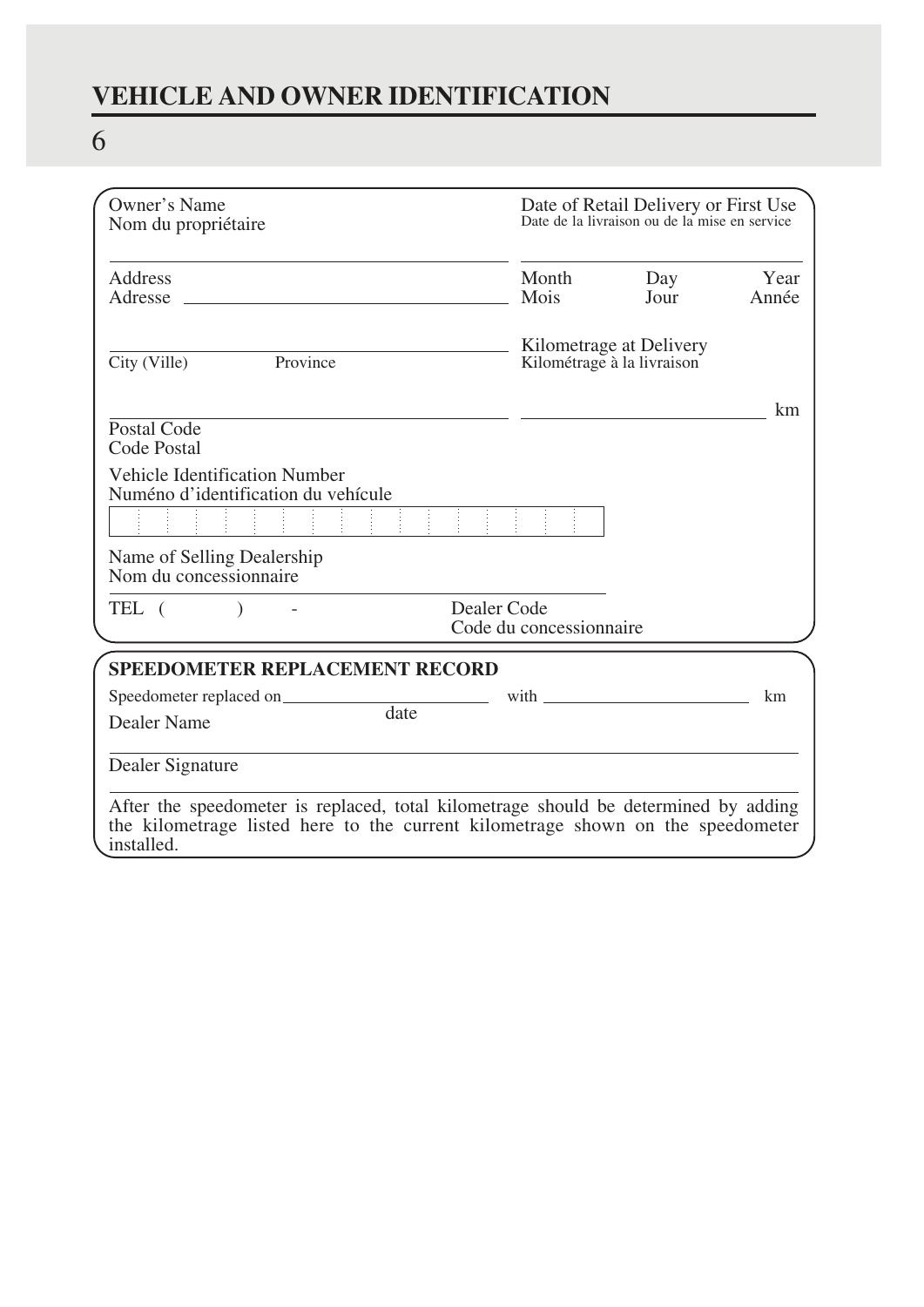# **VEHICLE AND OWNER IDENTIFICATION**

# 6

| Owner's Name<br>Nom du propriétaire                                                                                                                                                  |                                        | Date of Retail Delivery or First Use<br>Date de la livraison ou de la mise en service                                                                                                                                           |               |
|--------------------------------------------------------------------------------------------------------------------------------------------------------------------------------------|----------------------------------------|---------------------------------------------------------------------------------------------------------------------------------------------------------------------------------------------------------------------------------|---------------|
| Address<br>Adresse                                                                                                                                                                   | Month<br>Mois                          | Day<br>Jour                                                                                                                                                                                                                     | Year<br>Année |
| Province<br>City (Ville)                                                                                                                                                             |                                        | Kilometrage at Delivery<br>Kilométrage à la livraison                                                                                                                                                                           |               |
| Postal Code<br>Code Postal                                                                                                                                                           |                                        |                                                                                                                                                                                                                                 | km            |
| Vehicle Identification Number<br>Numéno d'identification du vehícule                                                                                                                 |                                        |                                                                                                                                                                                                                                 |               |
| Name of Selling Dealership<br>Nom du concessionnaire                                                                                                                                 |                                        |                                                                                                                                                                                                                                 |               |
| TEL (                                                                                                                                                                                | Dealer Code<br>Code du concessionnaire |                                                                                                                                                                                                                                 |               |
| <b>SPEEDOMETER REPLACEMENT RECORD</b><br>Speedometer replaced on                                                                                                                     |                                        | with the contract of the contract of the contract of the contract of the contract of the contract of the contract of the contract of the contract of the contract of the contract of the contract of the contract of the contra | km.           |
| date<br>Dealer Name                                                                                                                                                                  |                                        |                                                                                                                                                                                                                                 |               |
| Dealer Signature                                                                                                                                                                     |                                        |                                                                                                                                                                                                                                 |               |
| After the speedometer is replaced, total kilometrage should be determined by adding<br>the kilometrage listed here to the current kilometrage shown on the speedometer<br>installed. |                                        |                                                                                                                                                                                                                                 |               |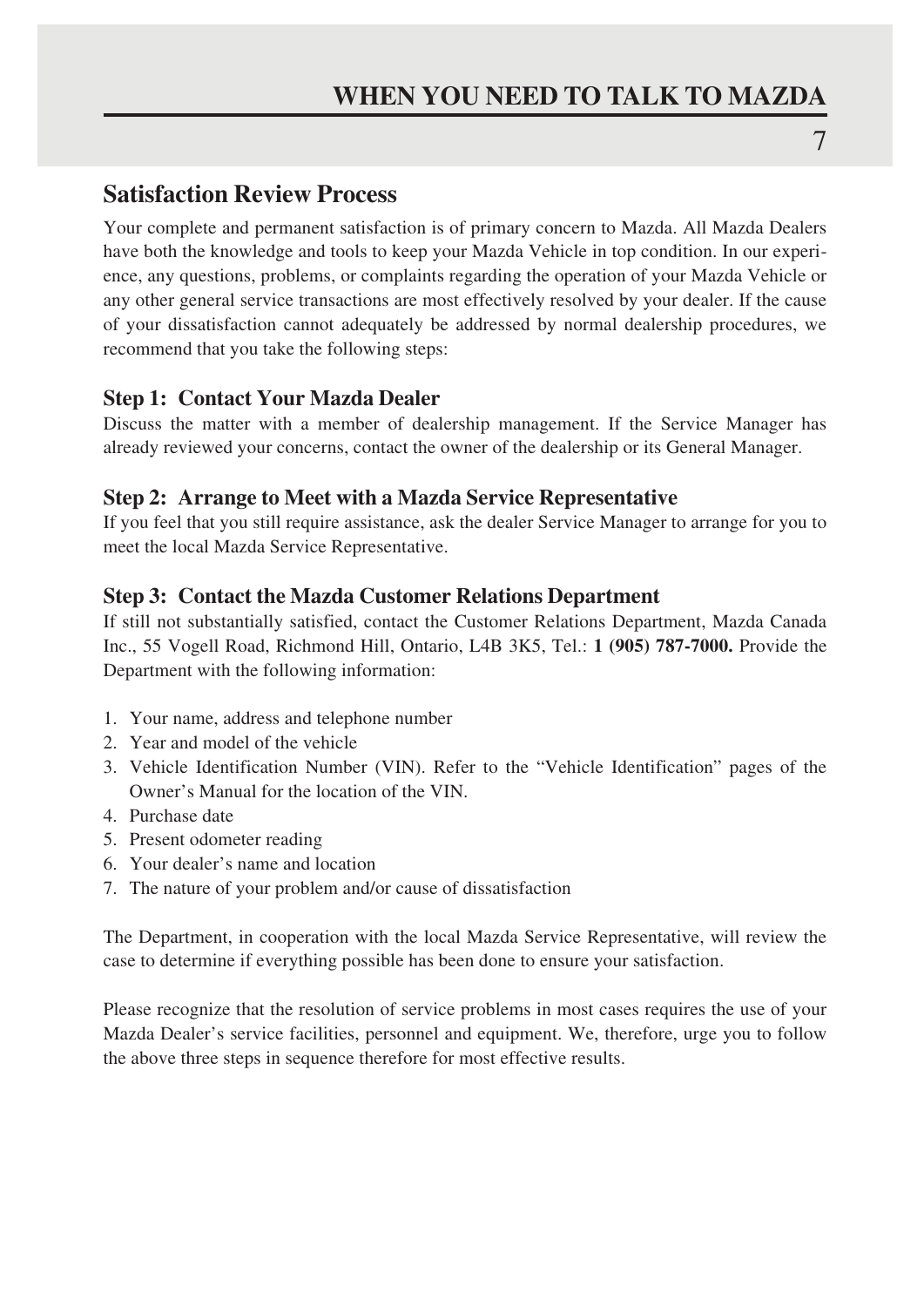### **Satisfaction Review Process**

Your complete and permanent satisfaction is of primary concern to Mazda. All Mazda Dealers have both the knowledge and tools to keep your Mazda Vehicle in top condition. In our experience, any questions, problems, or complaints regarding the operation of your Mazda Vehicle or any other general service transactions are most effectively resolved by your dealer. If the cause of your dissatisfaction cannot adequately be addressed by normal dealership procedures, we recommend that you take the following steps:

### **Step 1: Contact Your Mazda Dealer**

Discuss the matter with a member of dealership management. If the Service Manager has already reviewed your concerns, contact the owner of the dealership or its General Manager.

### **Step 2: Arrange to Meet with a Mazda Service Representative**

If you feel that you still require assistance, ask the dealer Service Manager to arrange for you to meet the local Mazda Service Representative.

### **Step 3: Contact the Mazda Customer Relations Department**

If still not substantially satisfied, contact the Customer Relations Department, Mazda Canada Inc., 55 Vogell Road, Richmond Hill, Ontario, L4B 3K5, Tel.: **1 (905) 787-7000.** Provide the Department with the following information:

- 1. Your name, address and telephone number
- 2. Year and model of the vehicle
- 3. Vehicle Identification Number (VIN). Refer to the "Vehicle Identification" pages of the Owner's Manual for the location of the VIN.
- 4. Purchase date
- 5. Present odometer reading
- 6. Your dealer's name and location
- 7. The nature of your problem and/or cause of dissatisfaction

The Department, in cooperation with the local Mazda Service Representative, will review the case to determine if everything possible has been done to ensure your satisfaction.

Please recognize that the resolution of service problems in most cases requires the use of your Mazda Dealer's service facilities, personnel and equipment. We, therefore, urge you to follow the above three steps in sequence therefore for most effective results.

7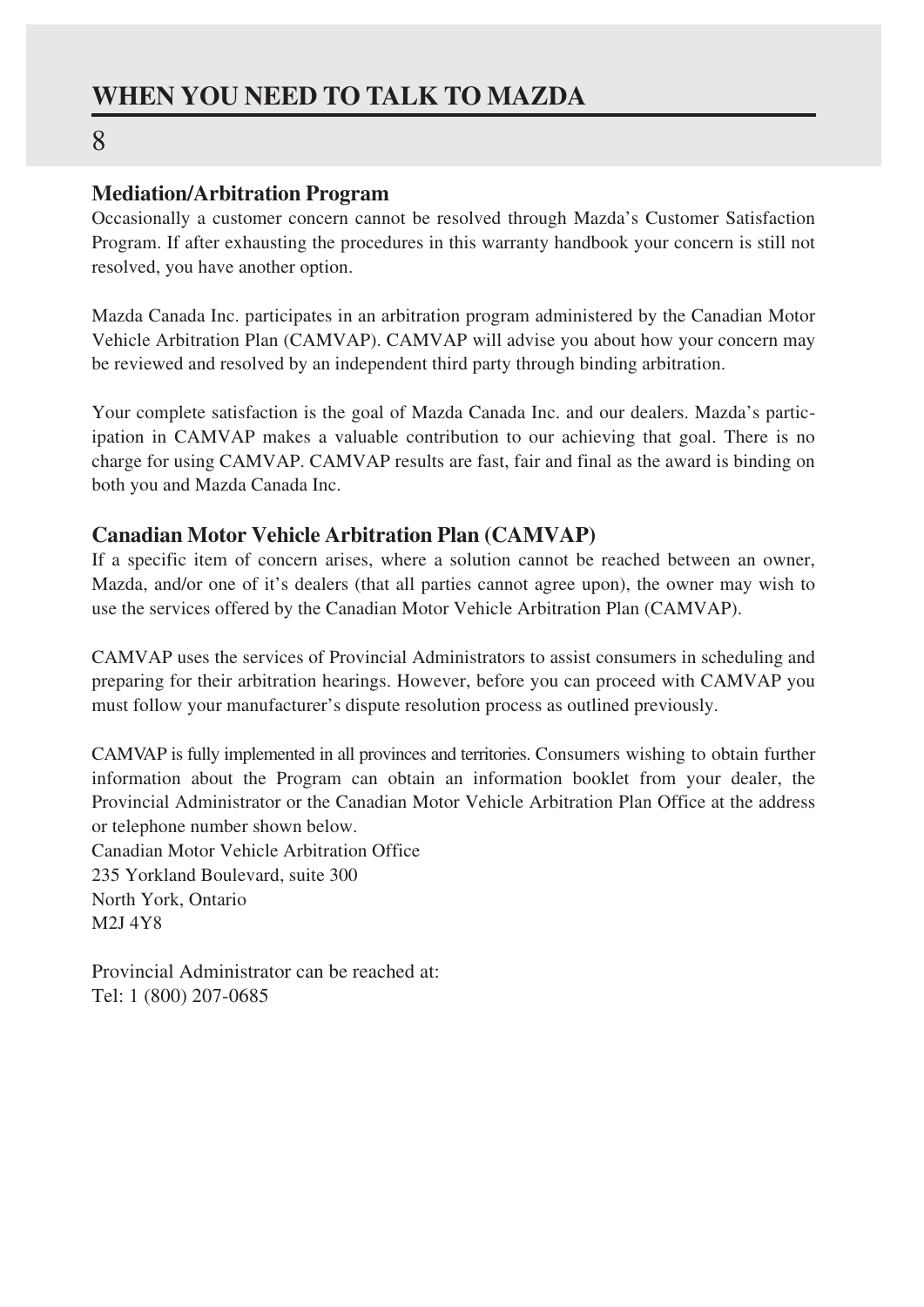### **WHEN YOU NEED TO TALK TO MAZDA**

### 8

### **Mediation/Arbitration Program**

Occasionally a customer concern cannot be resolved through Mazda's Customer Satisfaction Program. If after exhausting the procedures in this warranty handbook your concern is still not resolved, you have another option.

Mazda Canada Inc. participates in an arbitration program administered by the Canadian Motor Vehicle Arbitration Plan (CAMVAP). CAMVAP will advise you about how your concern may be reviewed and resolved by an independent third party through binding arbitration.

Your complete satisfaction is the goal of Mazda Canada Inc. and our dealers. Mazda's participation in CAMVAP makes a valuable contribution to our achieving that goal. There is no charge for using CAMVAP. CAMVAP results are fast, fair and final as the award is binding on both you and Mazda Canada Inc.

### **Canadian Motor Vehicle Arbitration Plan (CAMVAP)**

If a specific item of concern arises, where a solution cannot be reached between an owner, Mazda, and/or one of it's dealers (that all parties cannot agree upon), the owner may wish to use the services offered by the Canadian Motor Vehicle Arbitration Plan (CAMVAP).

CAMVAP uses the services of Provincial Administrators to assist consumers in scheduling and preparing for their arbitration hearings. However, before you can proceed with CAMVAP you must follow your manufacturer's dispute resolution process as outlined previously.

CAMVAP is fully implemented in all provinces and territories. Consumers wishing to obtain further information about the Program can obtain an information booklet from your dealer, the Provincial Administrator or the Canadian Motor Vehicle Arbitration Plan Office at the address or telephone number shown below. Canadian Motor Vehicle Arbitration Office 235 Yorkland Boulevard, suite 300

North York, Ontario M2J 4Y8

Provincial Administrator can be reached at: Tel: 1 (800) 207-0685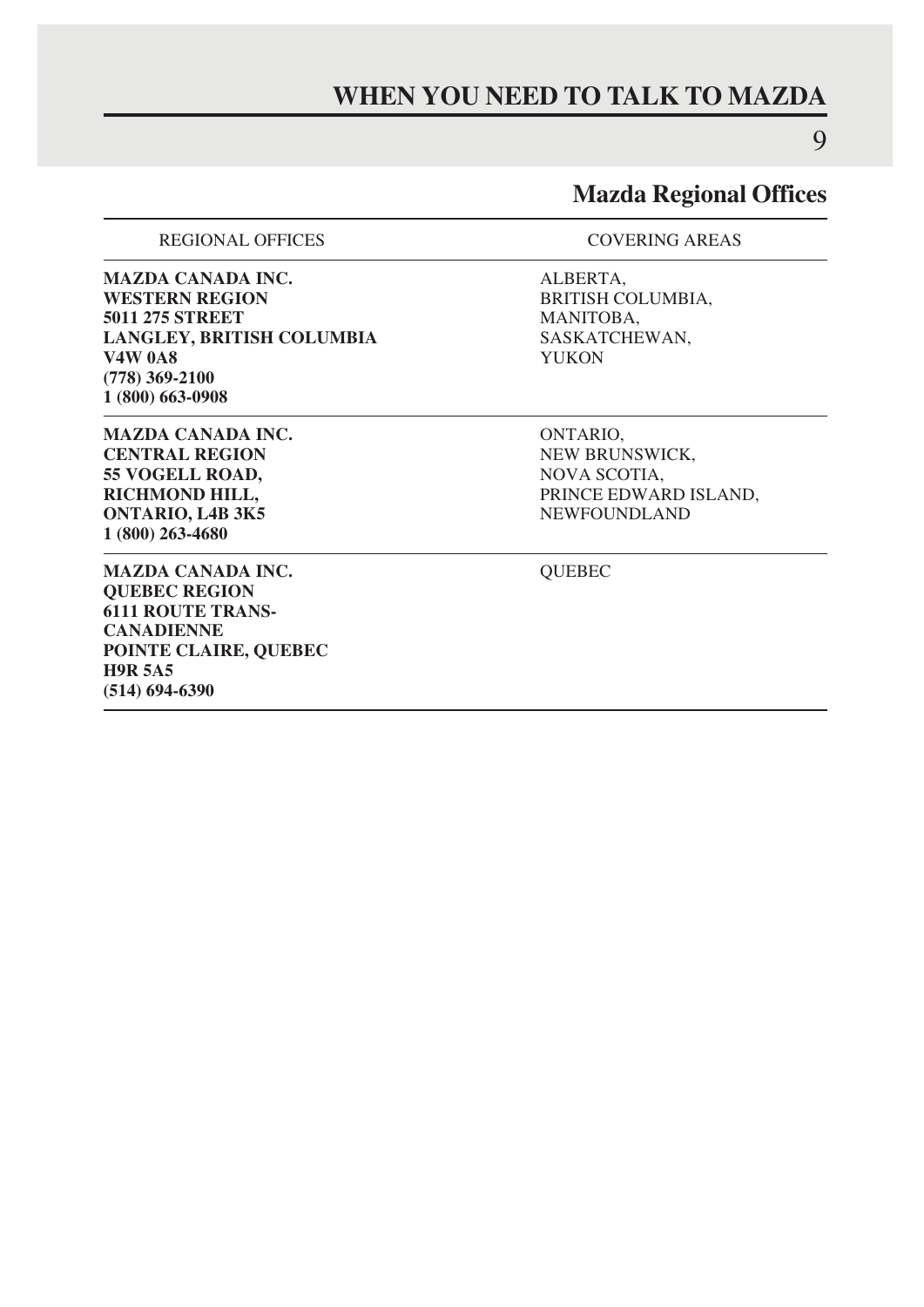### **WHEN YOU NEED TO TALK TO MAZDA**

9

### **Mazda Regional Offices**

REGIONAL OFFICES COVERING AREAS

**MAZDA CANADA INC.** ALBERTA, WESTERN REGION **5011 275 STREET MANITOBA,<br>
LANGLEY, BRITISH COLUMBIA SASKATCHEWAN, LANGLEY, BRITISH COLUMBIA** SASKAT<br>V4W 0A8 YUKON **V4W 0A8 (778) 369-2100 1 (800) 663-0908** 

**MAZDA CANADA INC.** ONTARIO, ONTARIO, ONTRAL REGION **55 VOGELL ROAD,<br>RICHMOND HILL, ONTARIO, L4B 3K5 1 (800) 263-4680**

**MAZDA CANADA INC.** QUEBEC **QUEBEC REGION 6111 ROUTE TRANS-CANADIENNE POINTE CLAIRE, QUEBEC H9R 5A5 (514) 694-6390**

**BRITISH COLUMBIA,<br>MANITOBA.** 

**NEW BRUNSWICK,<br>NOVA SCOTIA. PRINCE EDWARD ISLAND,<br>NEWFOUNDLAND**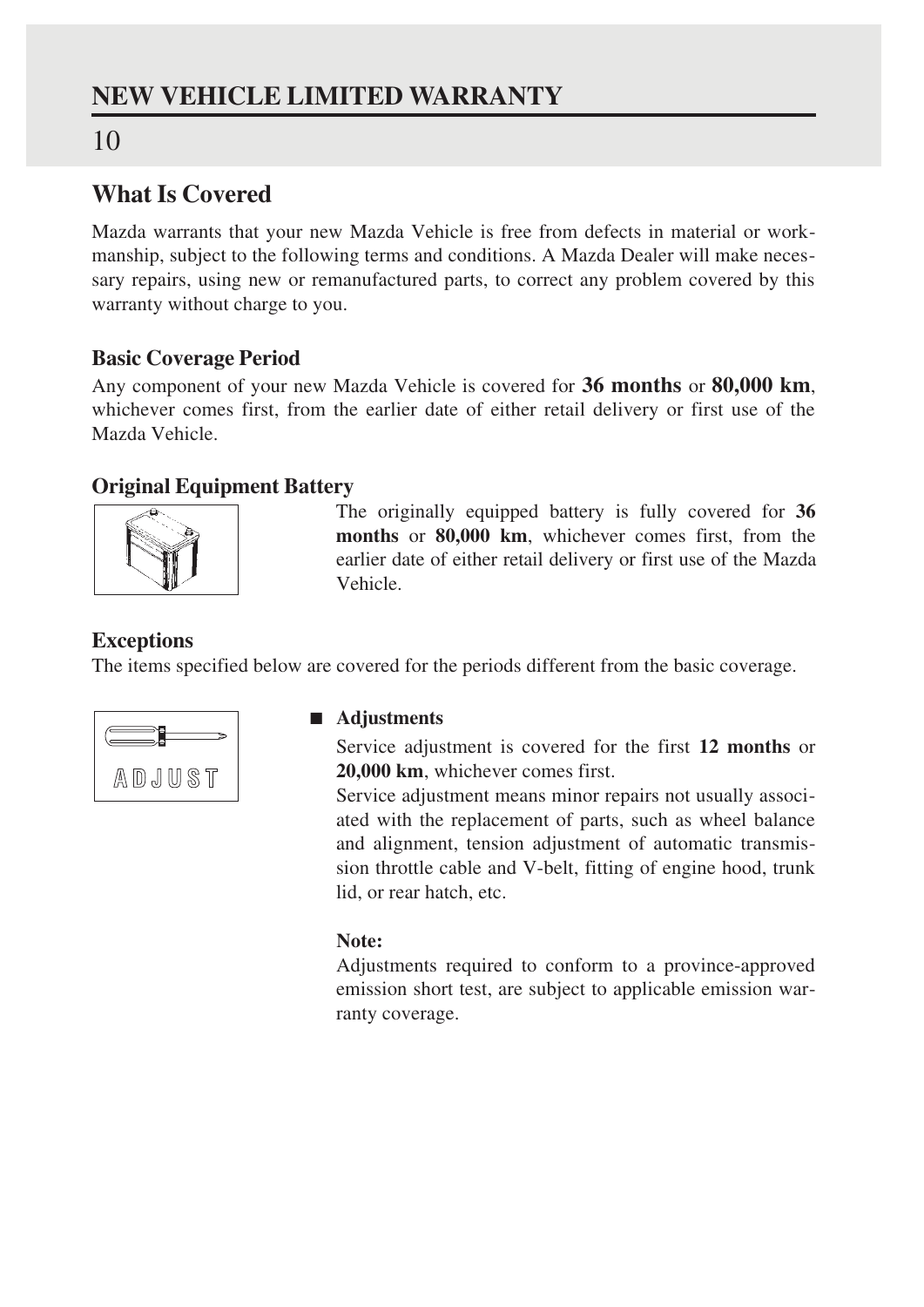### **NEW VEHICLE LIMITED WARRANTY**

### 10

### **What Is Covered**

Mazda warrants that your new Mazda Vehicle is free from defects in material or workmanship, subject to the following terms and conditions. A Mazda Dealer will make necessary repairs, using new or remanufactured parts, to correct any problem covered by this warranty without charge to you.

### **Basic Coverage Period**

Any component of your new Mazda Vehicle is covered for **36 months** or **80,000 km**, whichever comes first, from the earlier date of either retail delivery or first use of the Mazda Vehicle.

### **Original Equipment Battery**



The originally equipped battery is fully covered for **36 months** or **80,000 km**, whichever comes first, from the earlier date of either retail delivery or first use of the Mazda Vehicle.

### **Exceptions**

The items specified below are covered for the periods different from the basic coverage.



### ■ **Adjustments**

Service adjustment is covered for the first **12 months** or **20,000 km**, whichever comes first.

Service adjustment means minor repairs not usually associated with the replacement of parts, such as wheel balance and alignment, tension adjustment of automatic transmission throttle cable and V-belt, fitting of engine hood, trunk lid, or rear hatch, etc.

### **Note:**

Adjustments required to conform to a province-approved emission short test, are subject to applicable emission warranty coverage.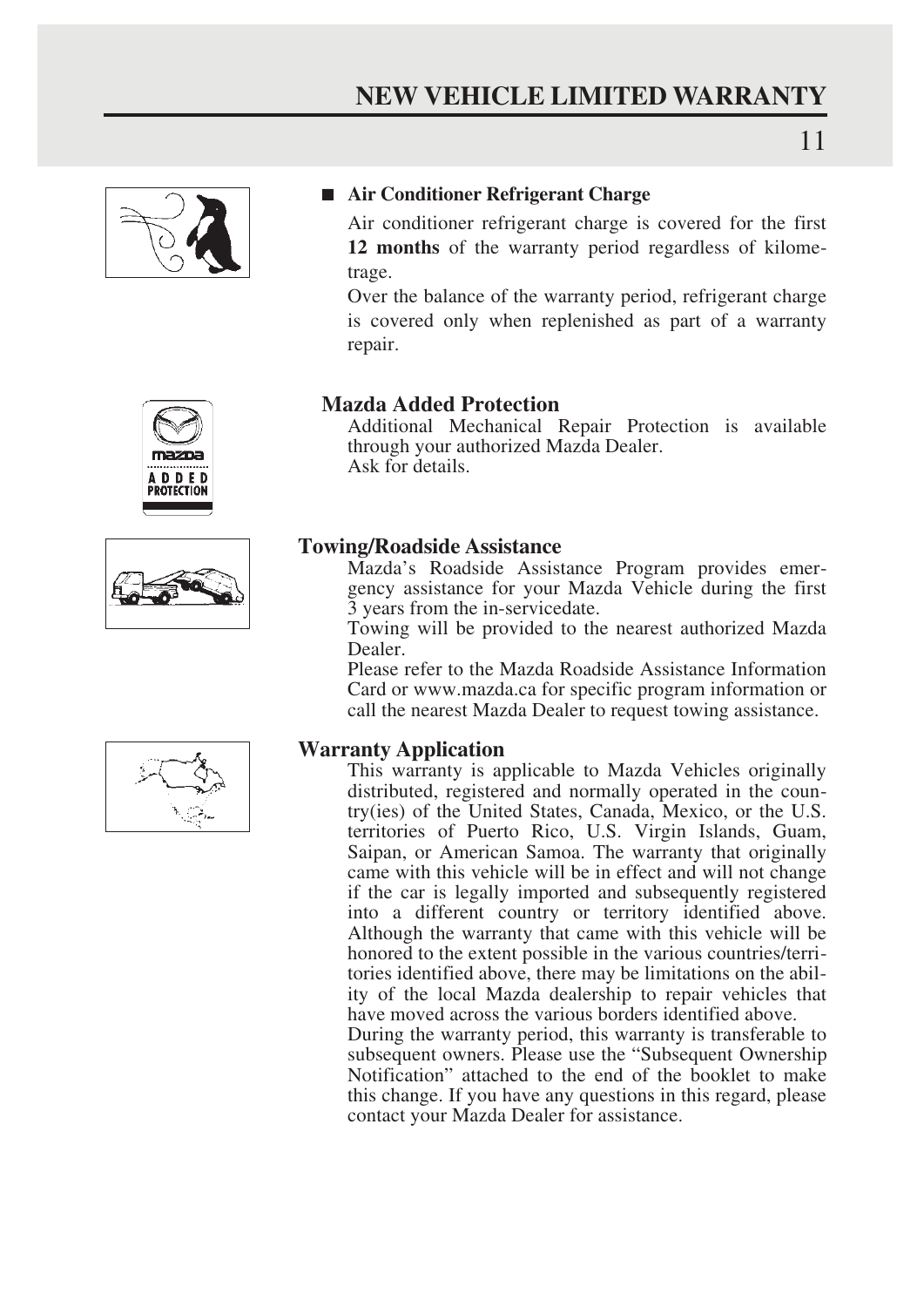

### ■ **Air Conditioner Refrigerant Charge**

Air conditioner refrigerant charge is covered for the first **12 months** of the warranty period regardless of kilometrage.

Over the balance of the warranty period, refrigerant charge is covered only when replenished as part of a warranty repair.



### **Mazda Added Protection**

Additional Mechanical Repair Protection is available through your authorized Mazda Dealer. Ask for details.

### **Towing/Roadside Assistance**

Mazda's Roadside Assistance Program provides emergency assistance for your Mazda Vehicle during the first 3 years from the in-servicedate.

Towing will be provided to the nearest authorized Mazda Dealer.

Please refer to the Mazda Roadside Assistance Information Card or www.mazda.ca for specific program information or call the nearest Mazda Dealer to request towing assistance.

### **Warranty Application**

This warranty is applicable to Mazda Vehicles originally distributed, registered and normally operated in the country(ies) of the United States, Canada, Mexico, or the U.S. territories of Puerto Rico, U.S. Virgin Islands, Guam, Saipan, or American Samoa. The warranty that originally came with this vehicle will be in effect and will not change if the car is legally imported and subsequently registered into a different country or territory identified above. Although the warranty that came with this vehicle will be honored to the extent possible in the various countries/territories identified above, there may be limitations on the ability of the local Mazda dealership to repair vehicles that have moved across the various borders identified above.

During the warranty period, this warranty is transferable to subsequent owners. Please use the "Subsequent Ownership Notification" attached to the end of the booklet to make this change. If you have any questions in this regard, please contact your Mazda Dealer for assistance.

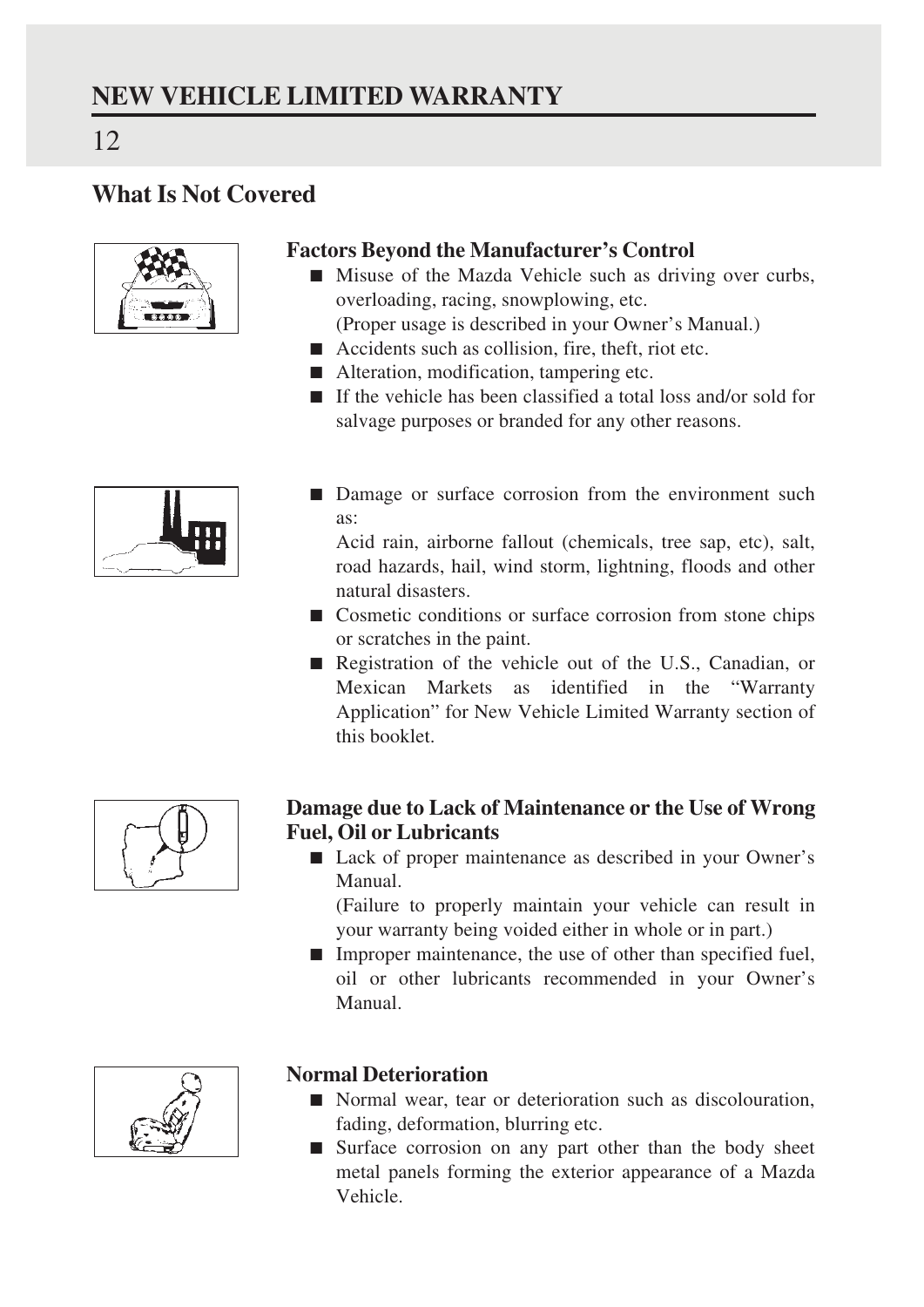### **What Is Not Covered**



12

### **Factors Beyond the Manufacturer's Control**

- Misuse of the Mazda Vehicle such as driving over curbs, overloading, racing, snowplowing, etc.
	- (Proper usage is described in your Owner's Manual.)
- Accidents such as collision, fire, theft, riot etc.
- Alteration, modification, tampering etc.
- If the vehicle has been classified a total loss and/or sold for salvage purposes or branded for any other reasons.



■ Damage or surface corrosion from the environment such as:

Acid rain, airborne fallout (chemicals, tree sap, etc), salt, road hazards, hail, wind storm, lightning, floods and other natural disasters.

- Cosmetic conditions or surface corrosion from stone chips or scratches in the paint.
- Registration of the vehicle out of the U.S., Canadian, or Mexican Markets as identified in the "Warranty Application" for New Vehicle Limited Warranty section of this booklet.



### **Damage due to Lack of Maintenance or the Use of Wrong Fuel, Oil or Lubricants**

■ Lack of proper maintenance as described in your Owner's Manual.

(Failure to properly maintain your vehicle can result in your warranty being voided either in whole or in part.)

■ Improper maintenance, the use of other than specified fuel, oil or other lubricants recommended in your Owner's Manual.



### **Normal Deterioration**

- Normal wear, tear or deterioration such as discolouration, fading, deformation, blurring etc.
- Surface corrosion on any part other than the body sheet metal panels forming the exterior appearance of a Mazda Vehicle.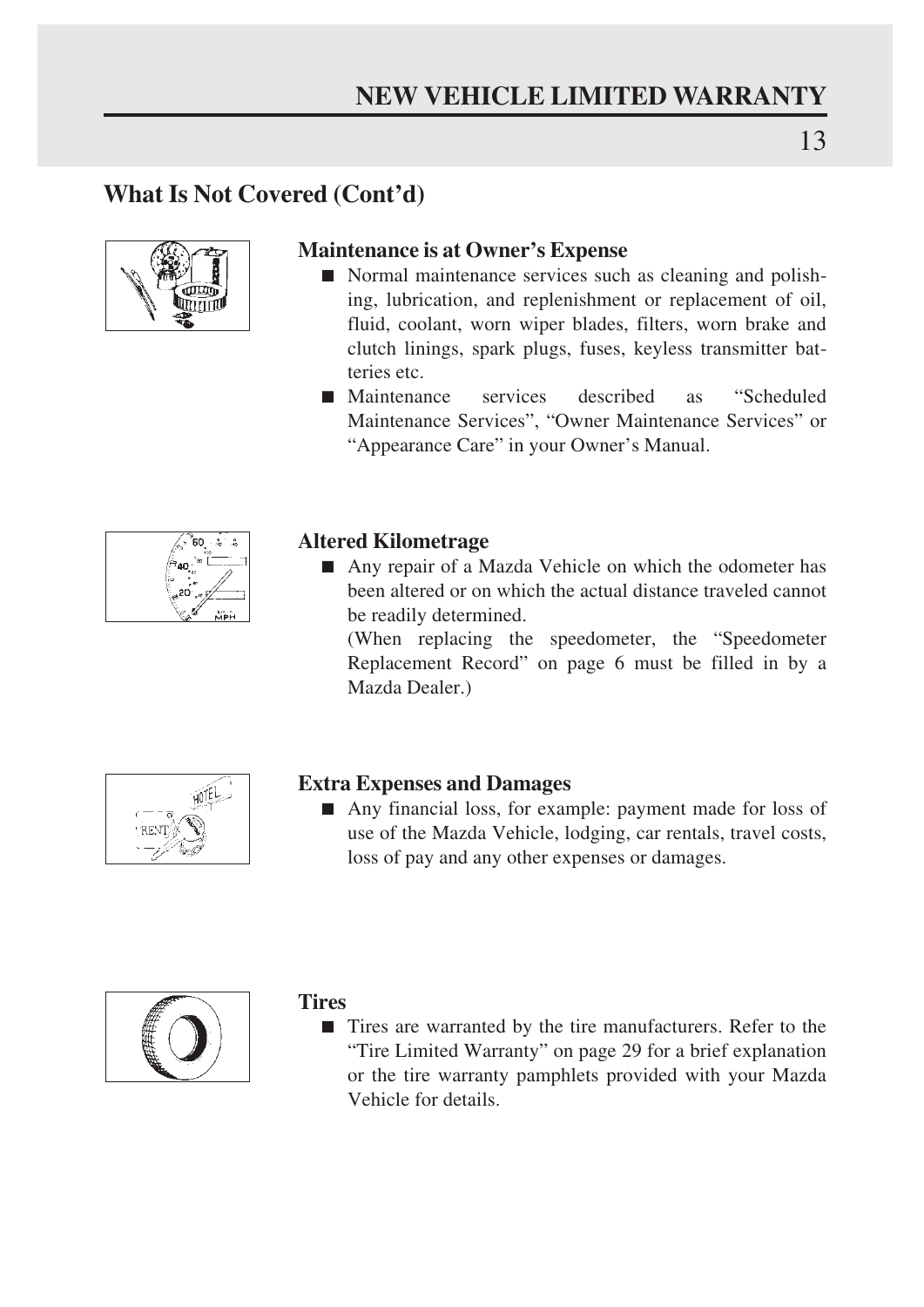### **What Is Not Covered (Cont'd)**



### **Maintenance is at Owner's Expense**

- Normal maintenance services such as cleaning and polishing, lubrication, and replenishment or replacement of oil, fluid, coolant, worn wiper blades, filters, worn brake and clutch linings, spark plugs, fuses, keyless transmitter batteries etc.
- Maintenance services described as "Scheduled Maintenance Services", "Owner Maintenance Services" or "Appearance Care" in your Owner's Manual.



### **Altered Kilometrage**

■ Any repair of a Mazda Vehicle on which the odometer has been altered or on which the actual distance traveled cannot be readily determined.

(When replacing the speedometer, the "Speedometer Replacement Record" on page 6 must be filled in by a Mazda Dealer.)



### **Extra Expenses and Damages**

■ Any financial loss, for example: payment made for loss of use of the Mazda Vehicle, lodging, car rentals, travel costs, loss of pay and any other expenses or damages.



### **Tires**

■ Tires are warranted by the tire manufacturers. Refer to the "Tire Limited Warranty" on page 29 for a brief explanation or the tire warranty pamphlets provided with your Mazda Vehicle for details.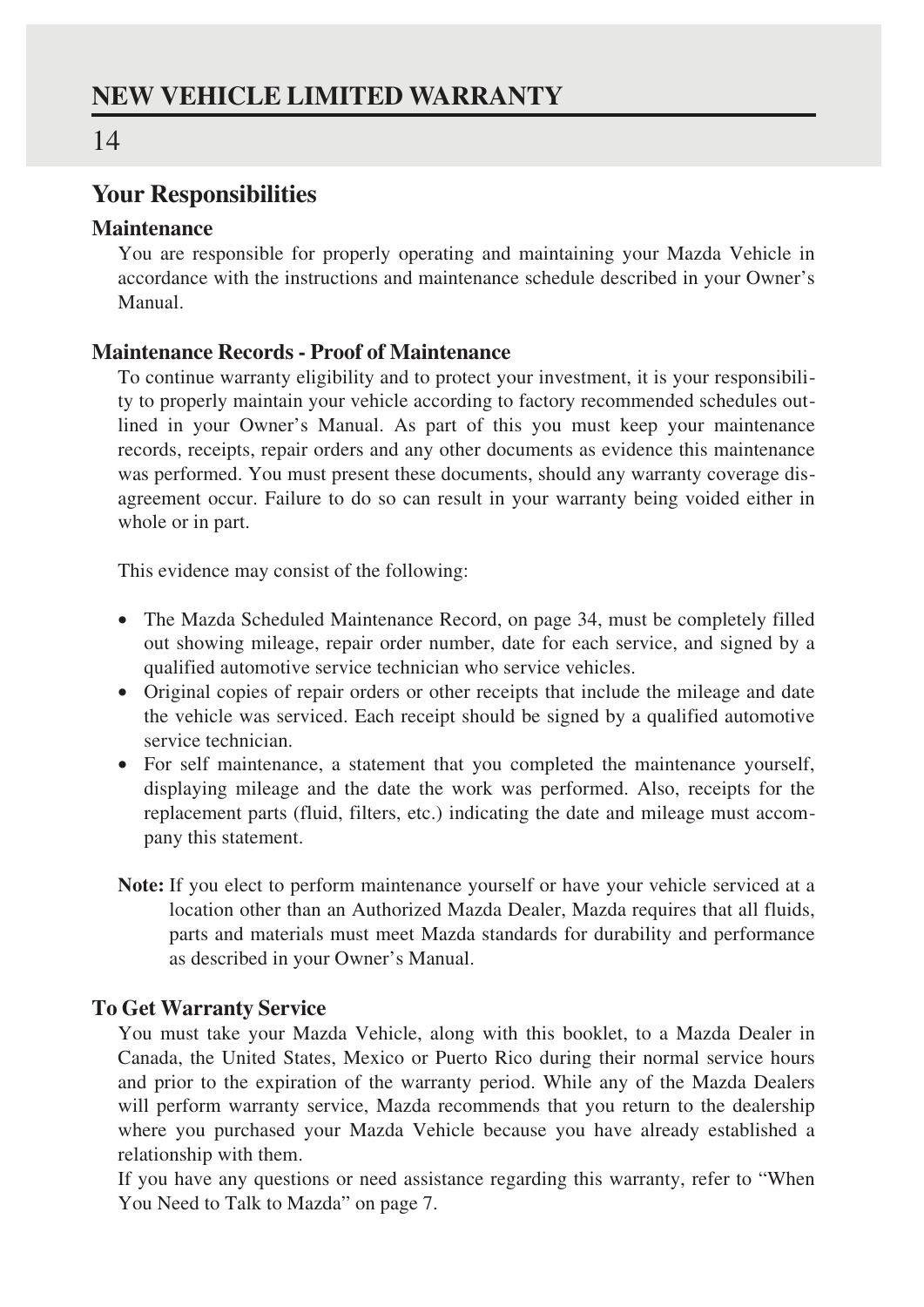### **Your Responsibilities**

### **Maintenance**

You are responsible for properly operating and maintaining your Mazda Vehicle in accordance with the instructions and maintenance schedule described in your Owner's Manual.

### **Maintenance Records - Proof of Maintenance**

To continue warranty eligibility and to protect your investment, it is your responsibility to properly maintain your vehicle according to factory recommended schedules outlined in your Owner's Manual. As part of this you must keep your maintenance records, receipts, repair orders and any other documents as evidence this maintenance was performed. You must present these documents, should any warranty coverage disagreement occur. Failure to do so can result in your warranty being voided either in whole or in part.

This evidence may consist of the following:

- The Mazda Scheduled Maintenance Record, on page 34, must be completely filled out showing mileage, repair order number, date for each service, and signed by a qualified automotive service technician who service vehicles.
- Original copies of repair orders or other receipts that include the mileage and date the vehicle was serviced. Each receipt should be signed by a qualified automotive service technician.
- For self maintenance, a statement that you completed the maintenance yourself, displaying mileage and the date the work was performed. Also, receipts for the replacement parts (fluid, filters, etc.) indicating the date and mileage must accompany this statement.
- **Note:** If you elect to perform maintenance yourself or have your vehicle serviced at a location other than an Authorized Mazda Dealer, Mazda requires that all fluids, parts and materials must meet Mazda standards for durability and performance as described in your Owner's Manual.

### **To Get Warranty Service**

You must take your Mazda Vehicle, along with this booklet, to a Mazda Dealer in Canada, the United States, Mexico or Puerto Rico during their normal service hours and prior to the expiration of the warranty period. While any of the Mazda Dealers will perform warranty service, Mazda recommends that you return to the dealership where you purchased your Mazda Vehicle because you have already established a relationship with them.

If you have any questions or need assistance regarding this warranty, refer to "When You Need to Talk to Mazda" on page 7.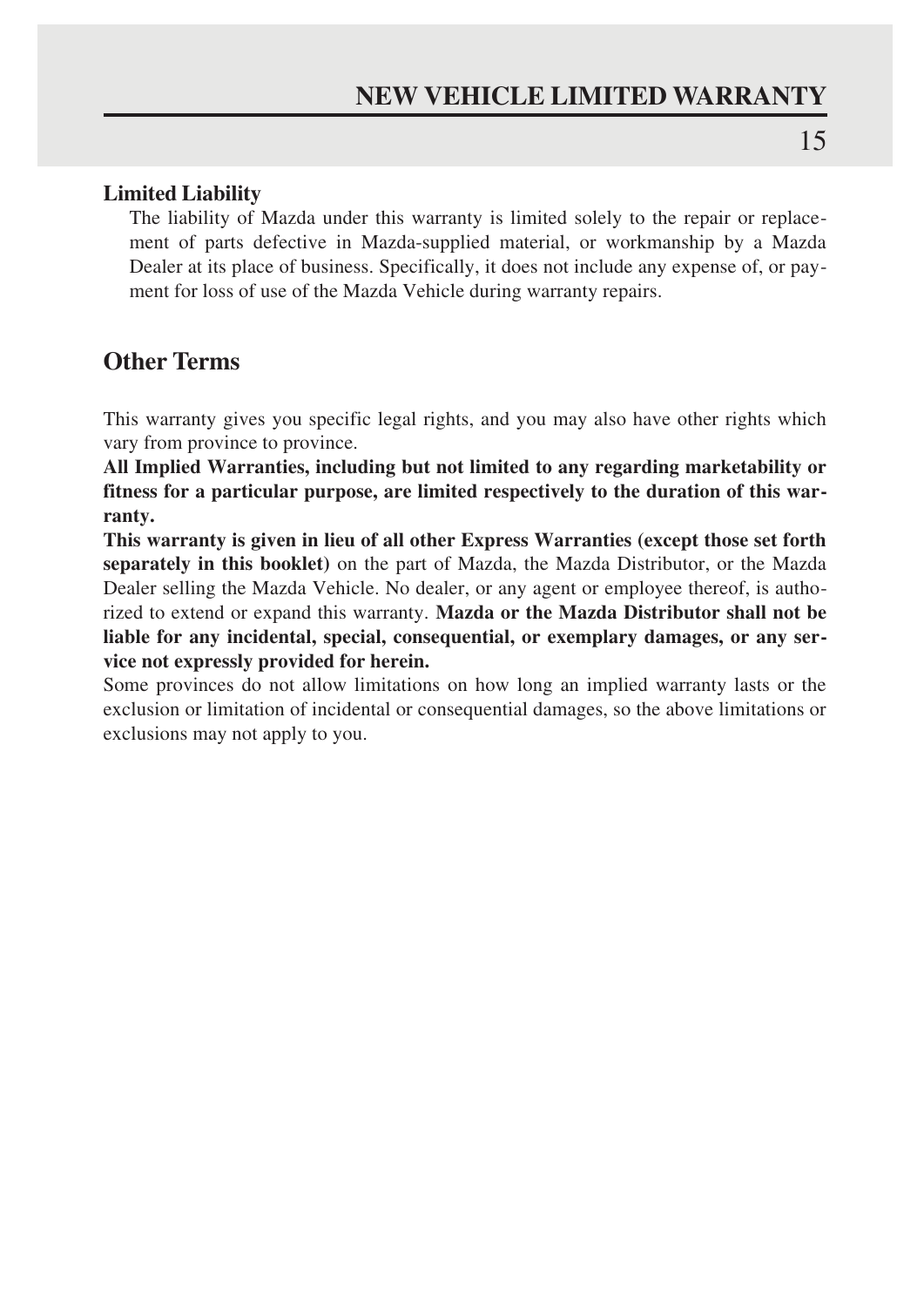### **Limited Liability**

The liability of Mazda under this warranty is limited solely to the repair or replacement of parts defective in Mazda-supplied material, or workmanship by a Mazda Dealer at its place of business. Specifically, it does not include any expense of, or payment for loss of use of the Mazda Vehicle during warranty repairs.

### **Other Terms**

This warranty gives you specific legal rights, and you may also have other rights which vary from province to province.

**All Implied Warranties, including but not limited to any regarding marketability or fitness for a particular purpose, are limited respectively to the duration of this warranty.**

**This warranty is given in lieu of all other Express Warranties (except those set forth separately in this booklet)** on the part of Mazda, the Mazda Distributor, or the Mazda Dealer selling the Mazda Vehicle. No dealer, or any agent or employee thereof, is authorized to extend or expand this warranty. **Mazda or the Mazda Distributor shall not be liable for any incidental, special, consequential, or exemplary damages, or any service not expressly provided for herein.**

Some provinces do not allow limitations on how long an implied warranty lasts or the exclusion or limitation of incidental or consequential damages, so the above limitations or exclusions may not apply to you.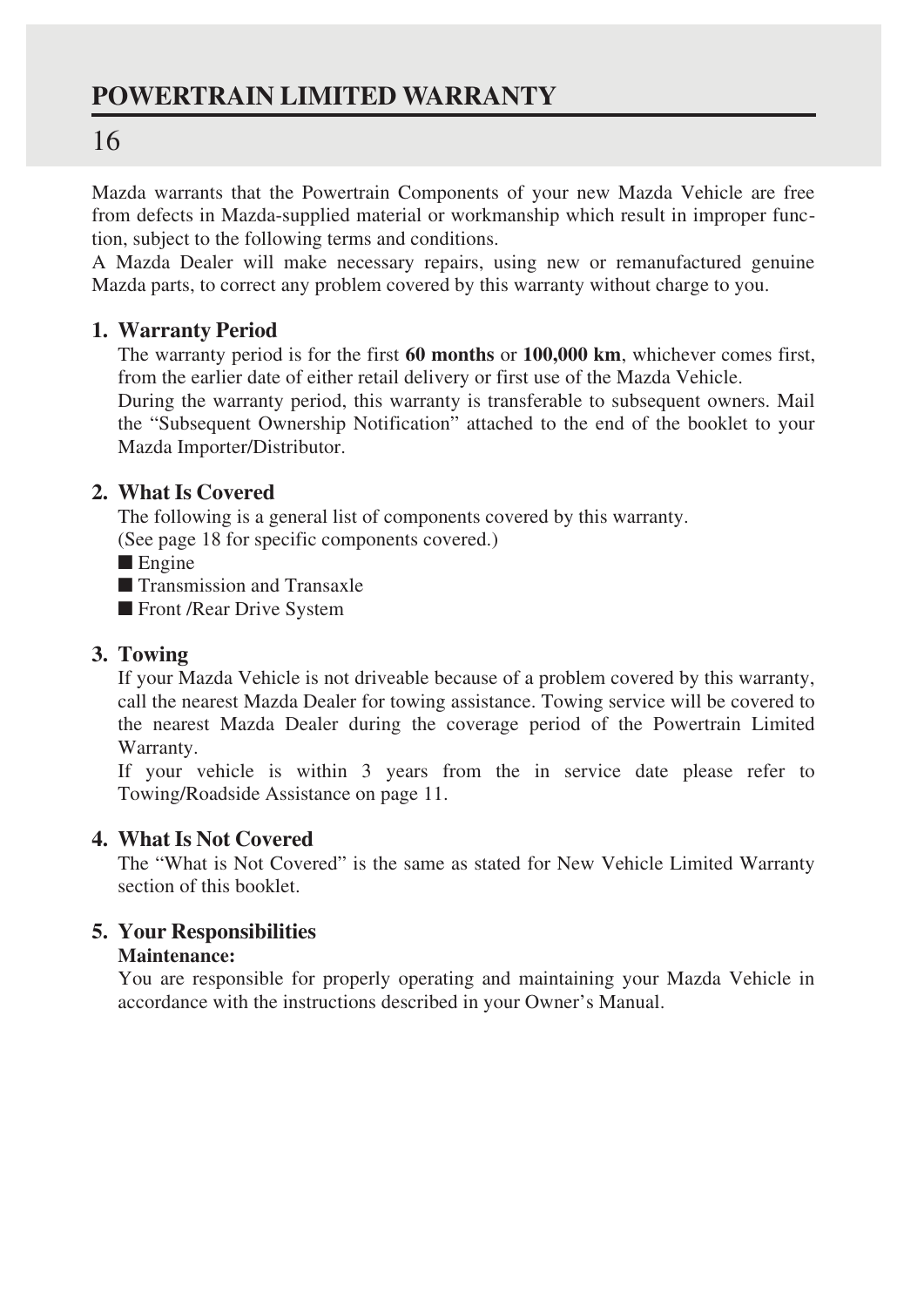### **POWERTRAIN LIMITED WARRANTY**

### 16

Mazda warrants that the Powertrain Components of your new Mazda Vehicle are free from defects in Mazda-supplied material or workmanship which result in improper function, subject to the following terms and conditions.

A Mazda Dealer will make necessary repairs, using new or remanufactured genuine Mazda parts, to correct any problem covered by this warranty without charge to you.

### **1. Warranty Period**

The warranty period is for the first **60 months** or **100,000 km**, whichever comes first, from the earlier date of either retail delivery or first use of the Mazda Vehicle.

During the warranty period, this warranty is transferable to subsequent owners. Mail the "Subsequent Ownership Notification" attached to the end of the booklet to your Mazda Importer/Distributor.

### **2. What Is Covered**

The following is a general list of components covered by this warranty.

(See page 18 for specific components covered.)

■ Engine

■ Transmission and Transaxle

■ Front /Rear Drive System

### **3. Towing**

If your Mazda Vehicle is not driveable because of a problem covered by this warranty, call the nearest Mazda Dealer for towing assistance. Towing service will be covered to the nearest Mazda Dealer during the coverage period of the Powertrain Limited Warranty.

If your vehicle is within 3 years from the in service date please refer to Towing/Roadside Assistance on page 11.

### **4. What Is Not Covered**

The "What is Not Covered" is the same as stated for New Vehicle Limited Warranty section of this booklet.

### **5. Your Responsibilities**

### **Maintenance:**

You are responsible for properly operating and maintaining your Mazda Vehicle in accordance with the instructions described in your Owner's Manual.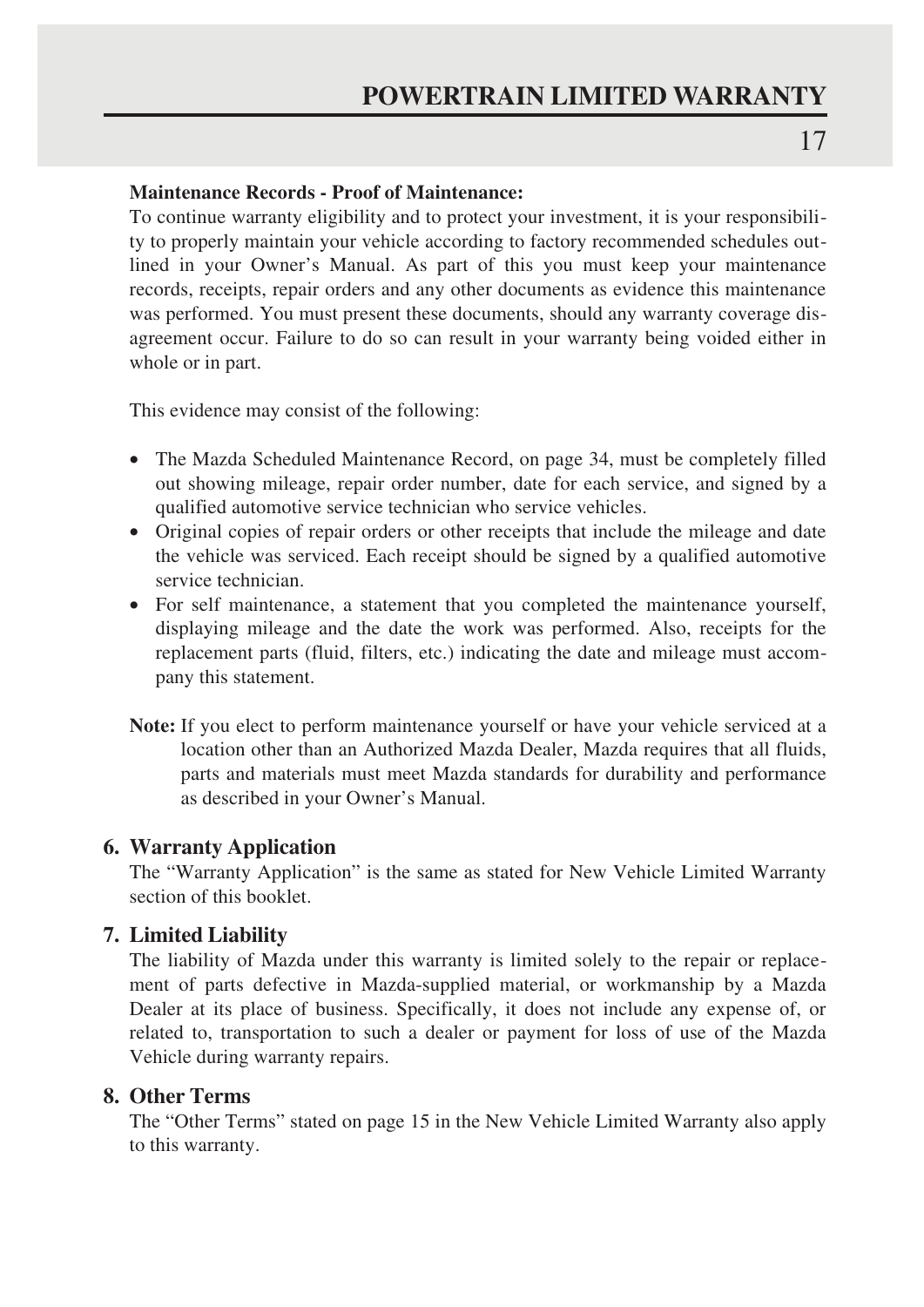### **Maintenance Records - Proof of Maintenance:**

To continue warranty eligibility and to protect your investment, it is your responsibility to properly maintain your vehicle according to factory recommended schedules outlined in your Owner's Manual. As part of this you must keep your maintenance records, receipts, repair orders and any other documents as evidence this maintenance was performed. You must present these documents, should any warranty coverage disagreement occur. Failure to do so can result in your warranty being voided either in whole or in part.

This evidence may consist of the following:

- The Mazda Scheduled Maintenance Record, on page 34, must be completely filled out showing mileage, repair order number, date for each service, and signed by a qualified automotive service technician who service vehicles.
- Original copies of repair orders or other receipts that include the mileage and date the vehicle was serviced. Each receipt should be signed by a qualified automotive service technician.
- For self maintenance, a statement that you completed the maintenance yourself, displaying mileage and the date the work was performed. Also, receipts for the replacement parts (fluid, filters, etc.) indicating the date and mileage must accompany this statement.
- **Note:** If you elect to perform maintenance yourself or have your vehicle serviced at a location other than an Authorized Mazda Dealer, Mazda requires that all fluids, parts and materials must meet Mazda standards for durability and performance as described in your Owner's Manual.

### **6. Warranty Application**

The "Warranty Application" is the same as stated for New Vehicle Limited Warranty section of this booklet.

### **7. Limited Liability**

The liability of Mazda under this warranty is limited solely to the repair or replacement of parts defective in Mazda-supplied material, or workmanship by a Mazda Dealer at its place of business. Specifically, it does not include any expense of, or related to, transportation to such a dealer or payment for loss of use of the Mazda Vehicle during warranty repairs.

### **8. Other Terms**

The "Other Terms" stated on page 15 in the New Vehicle Limited Warranty also apply to this warranty.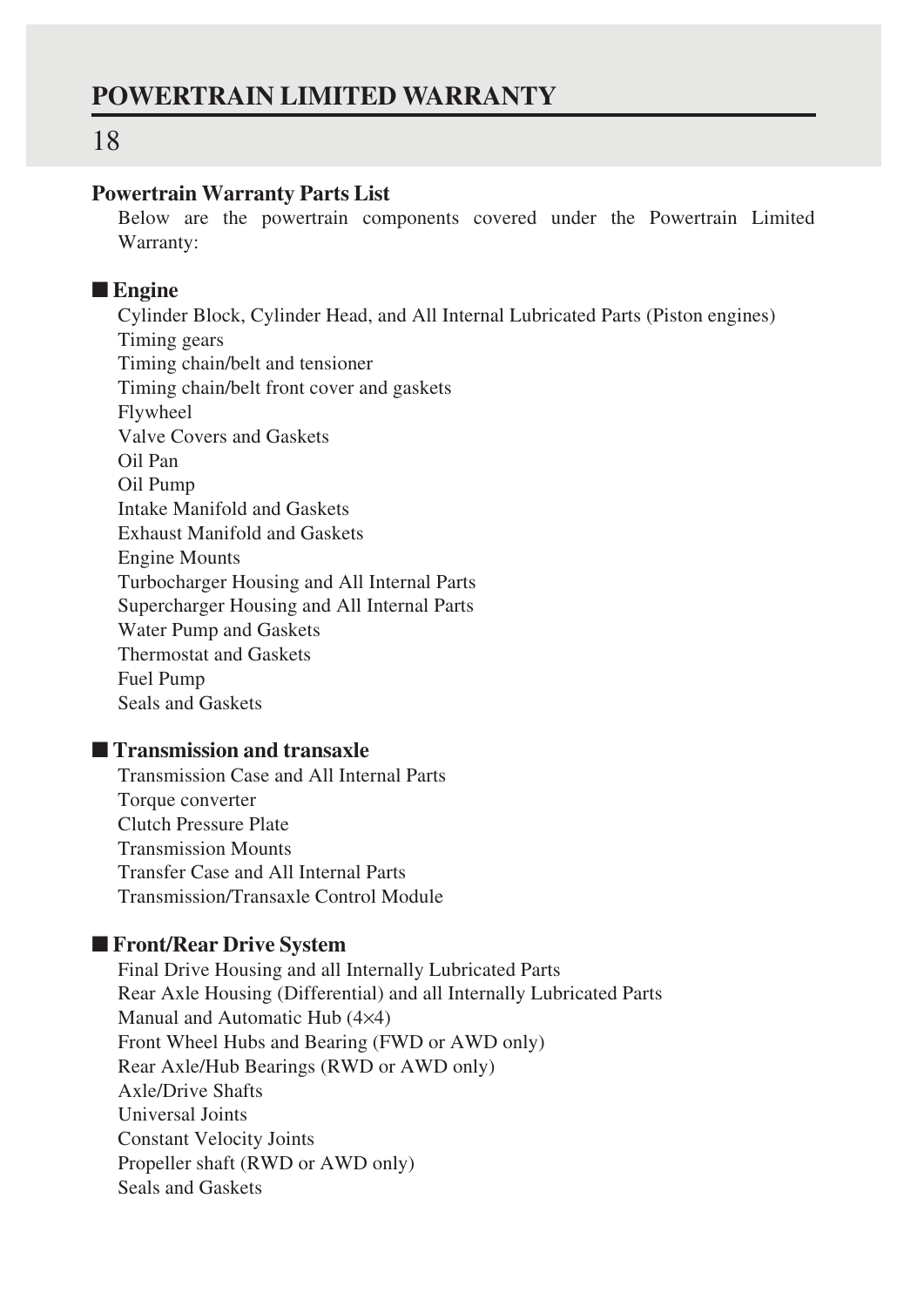### **Powertrain Warranty Parts List**

Below are the powertrain components covered under the Powertrain Limited Warranty:

### ■ **Engine**

Cylinder Block, Cylinder Head, and All Internal Lubricated Parts (Piston engines) Timing gears Timing chain/belt and tensioner Timing chain/belt front cover and gaskets Flywheel Valve Covers and Gaskets Oil Pan Oil Pump Intake Manifold and Gaskets Exhaust Manifold and Gaskets Engine Mounts Turbocharger Housing and All Internal Parts Supercharger Housing and All Internal Parts Water Pump and Gaskets Thermostat and Gaskets Fuel Pump Seals and Gaskets

### ■ **Transmission and transaxle**

Transmission Case and All Internal Parts Torque converter Clutch Pressure Plate Transmission Mounts Transfer Case and All Internal Parts Transmission/Transaxle Control Module

### ■ **Front/Rear Drive System**

Final Drive Housing and all Internally Lubricated Parts Rear Axle Housing (Differential) and all Internally Lubricated Parts Manual and Automatic Hub (4×4) Front Wheel Hubs and Bearing (FWD or AWD only) Rear Axle/Hub Bearings (RWD or AWD only) Axle/Drive Shafts Universal Joints Constant Velocity Joints Propeller shaft (RWD or AWD only) Seals and Gaskets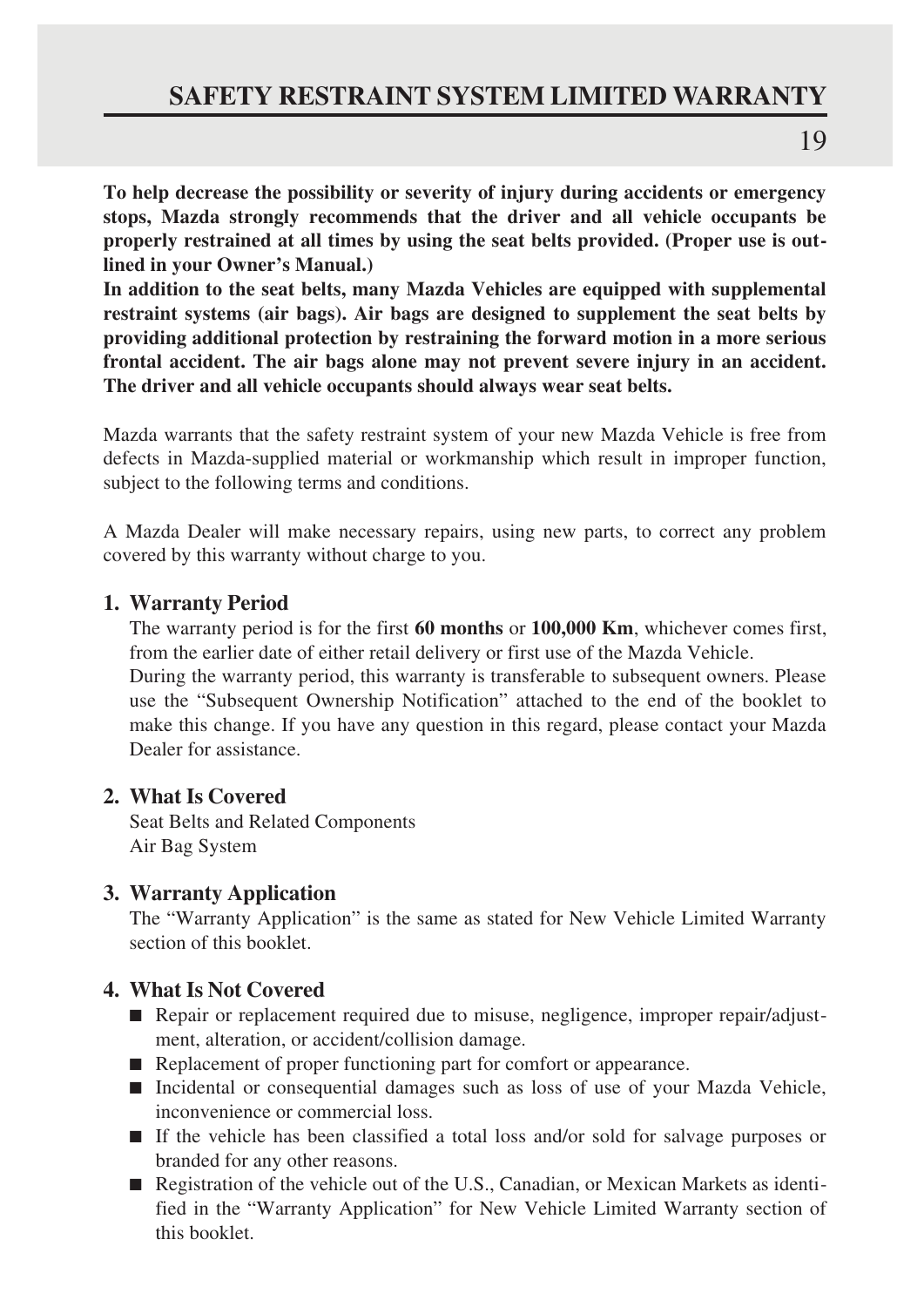### **SAFETY RESTRAINT SYSTEM LIMITED WARRANTY**

**To help decrease the possibility or severity of injury during accidents or emergency stops, Mazda strongly recommends that the driver and all vehicle occupants be properly restrained at all times by using the seat belts provided. (Proper use is outlined in your Owner's Manual.)**

**In addition to the seat belts, many Mazda Vehicles are equipped with supplemental restraint systems (air bags). Air bags are designed to supplement the seat belts by providing additional protection by restraining the forward motion in a more serious frontal accident. The air bags alone may not prevent severe injury in an accident. The driver and all vehicle occupants should always wear seat belts.**

Mazda warrants that the safety restraint system of your new Mazda Vehicle is free from defects in Mazda-supplied material or workmanship which result in improper function, subject to the following terms and conditions.

A Mazda Dealer will make necessary repairs, using new parts, to correct any problem covered by this warranty without charge to you.

### **1. Warranty Period**

The warranty period is for the first **60 months** or **100,000 Km**, whichever comes first, from the earlier date of either retail delivery or first use of the Mazda Vehicle.

During the warranty period, this warranty is transferable to subsequent owners. Please use the "Subsequent Ownership Notification" attached to the end of the booklet to make this change. If you have any question in this regard, please contact your Mazda Dealer for assistance.

### **2. What Is Covered**

Seat Belts and Related Components Air Bag System

### **3. Warranty Application**

The "Warranty Application" is the same as stated for New Vehicle Limited Warranty section of this booklet.

### **4. What Is Not Covered**

- Repair or replacement required due to misuse, negligence, improper repair/adjustment, alteration, or accident/collision damage.
- Replacement of proper functioning part for comfort or appearance.
- Incidental or consequential damages such as loss of use of your Mazda Vehicle, inconvenience or commercial loss.
- If the vehicle has been classified a total loss and/or sold for salvage purposes or branded for any other reasons.
- Registration of the vehicle out of the U.S., Canadian, or Mexican Markets as identified in the "Warranty Application" for New Vehicle Limited Warranty section of this booklet.

19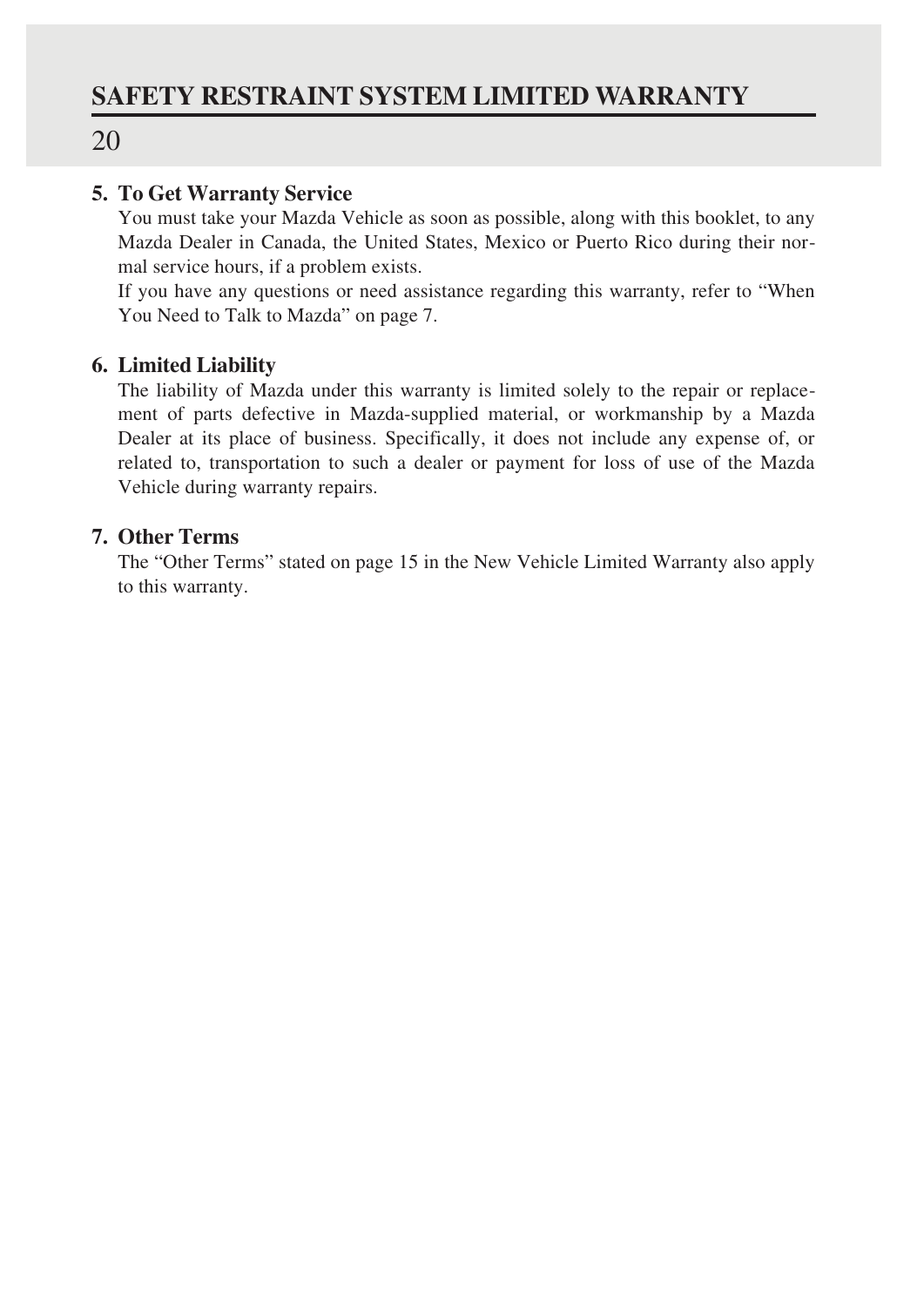### **5. To Get Warranty Service**

You must take your Mazda Vehicle as soon as possible, along with this booklet, to any Mazda Dealer in Canada, the United States, Mexico or Puerto Rico during their normal service hours, if a problem exists.

If you have any questions or need assistance regarding this warranty, refer to "When You Need to Talk to Mazda" on page 7.

### **6. Limited Liability**

The liability of Mazda under this warranty is limited solely to the repair or replacement of parts defective in Mazda-supplied material, or workmanship by a Mazda Dealer at its place of business. Specifically, it does not include any expense of, or related to, transportation to such a dealer or payment for loss of use of the Mazda Vehicle during warranty repairs.

### **7. Other Terms**

The "Other Terms" stated on page 15 in the New Vehicle Limited Warranty also apply to this warranty.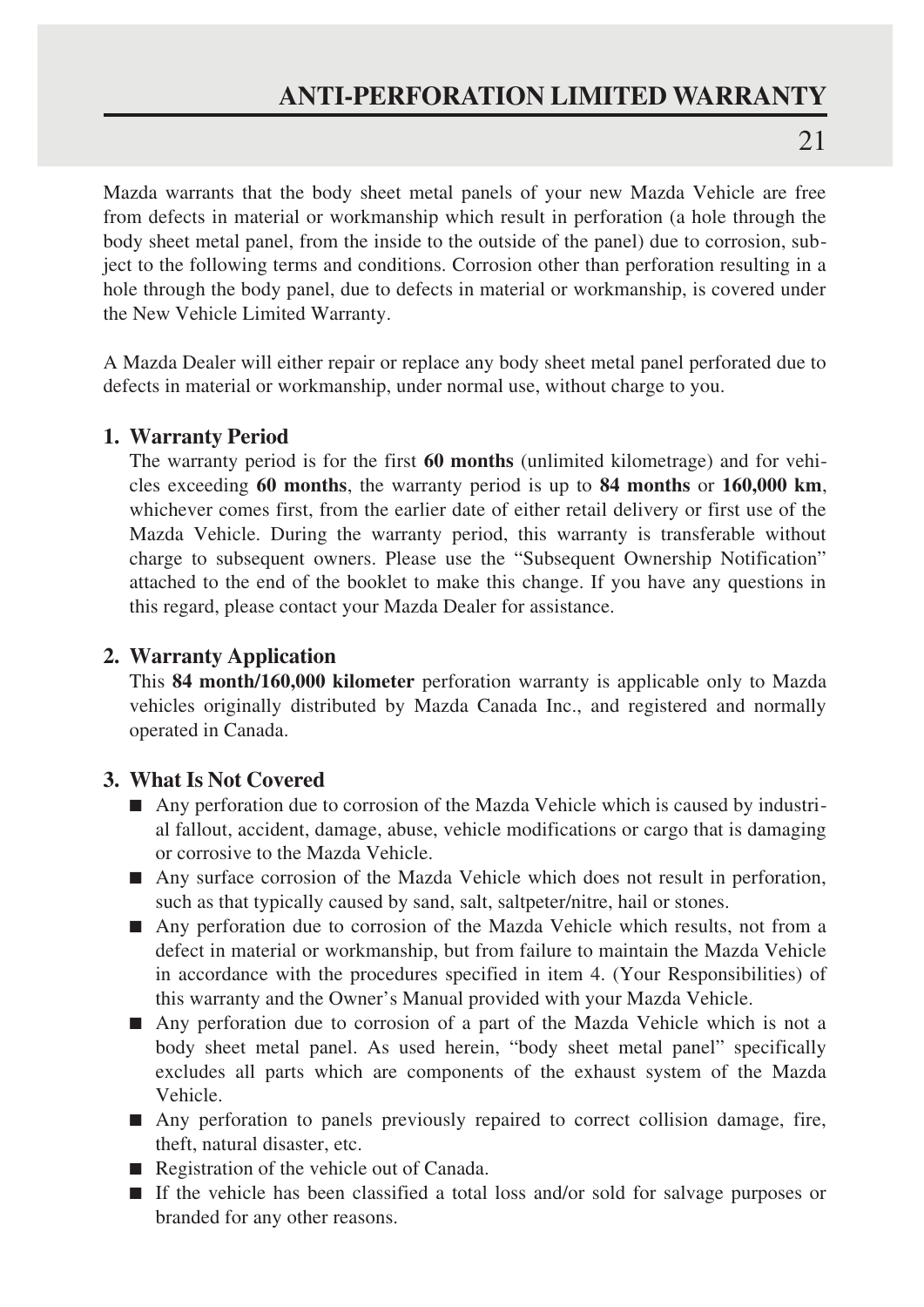### **ANTI-PERFORATION LIMITED WARRANTY**

 $21$ 

Mazda warrants that the body sheet metal panels of your new Mazda Vehicle are free from defects in material or workmanship which result in perforation (a hole through the body sheet metal panel, from the inside to the outside of the panel) due to corrosion, subject to the following terms and conditions. Corrosion other than perforation resulting in a hole through the body panel, due to defects in material or workmanship, is covered under the New Vehicle Limited Warranty.

A Mazda Dealer will either repair or replace any body sheet metal panel perforated due to defects in material or workmanship, under normal use, without charge to you.

### **1. Warranty Period**

The warranty period is for the first **60 months** (unlimited kilometrage) and for vehicles exceeding **60 months**, the warranty period is up to **84 months** or **160,000 km**, whichever comes first, from the earlier date of either retail delivery or first use of the Mazda Vehicle. During the warranty period, this warranty is transferable without charge to subsequent owners. Please use the "Subsequent Ownership Notification" attached to the end of the booklet to make this change. If you have any questions in this regard, please contact your Mazda Dealer for assistance.

### **2. Warranty Application**

This **84 month/160,000 kilometer** perforation warranty is applicable only to Mazda vehicles originally distributed by Mazda Canada Inc., and registered and normally operated in Canada.

### **3. What Is Not Covered**

- Any perforation due to corrosion of the Mazda Vehicle which is caused by industrial fallout, accident, damage, abuse, vehicle modifications or cargo that is damaging or corrosive to the Mazda Vehicle.
- Any surface corrosion of the Mazda Vehicle which does not result in perforation, such as that typically caused by sand, salt, saltpeter/nitre, hail or stones.
- Any perforation due to corrosion of the Mazda Vehicle which results, not from a defect in material or workmanship, but from failure to maintain the Mazda Vehicle in accordance with the procedures specified in item 4. (Your Responsibilities) of this warranty and the Owner's Manual provided with your Mazda Vehicle.
- Any perforation due to corrosion of a part of the Mazda Vehicle which is not a body sheet metal panel. As used herein, "body sheet metal panel" specifically excludes all parts which are components of the exhaust system of the Mazda Vehicle.
- Any perforation to panels previously repaired to correct collision damage, fire, theft, natural disaster, etc.
- Registration of the vehicle out of Canada.
- If the vehicle has been classified a total loss and/or sold for salvage purposes or branded for any other reasons.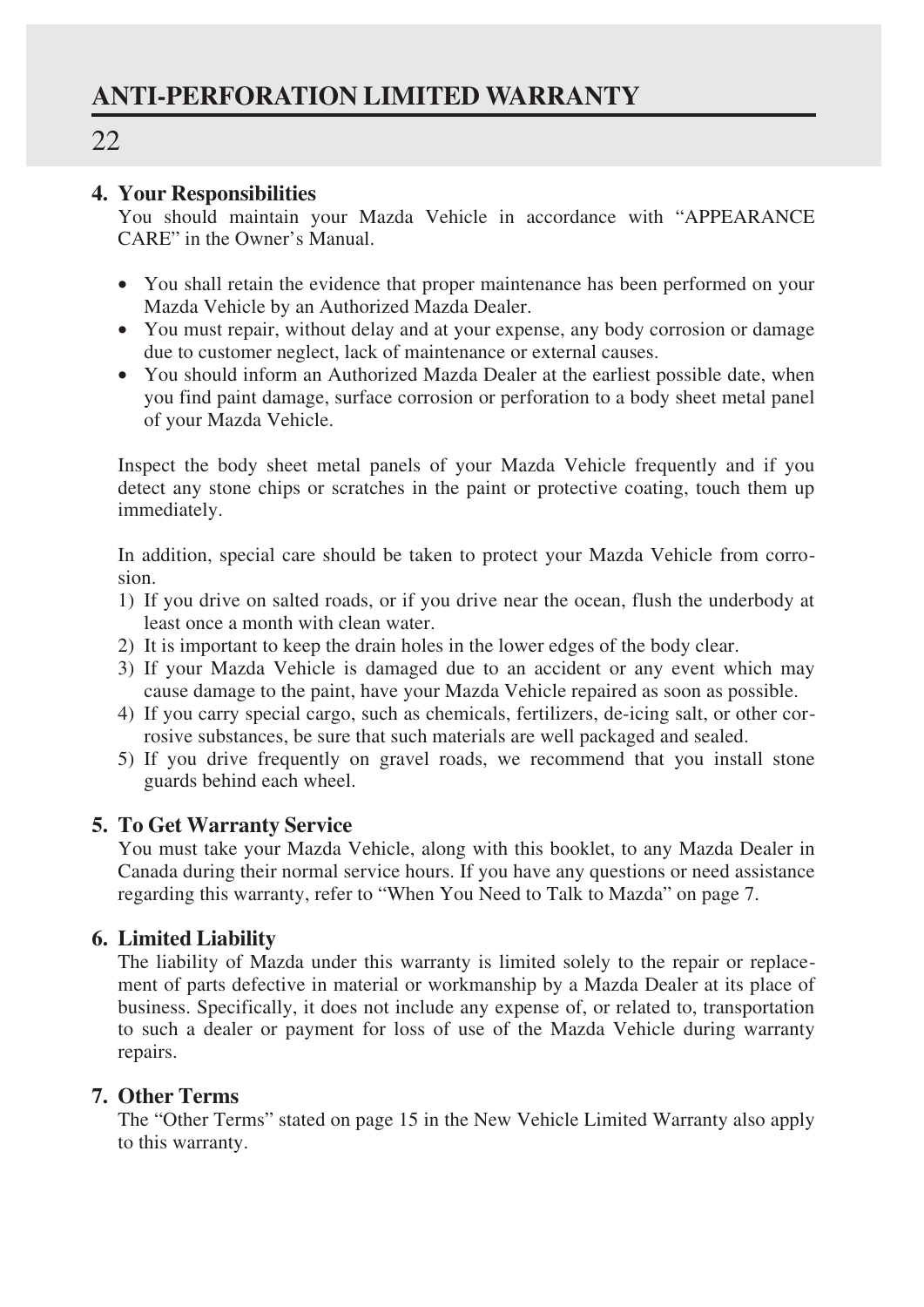### **4. Your Responsibilities**

You should maintain your Mazda Vehicle in accordance with "APPEARANCE CARE" in the Owner's Manual.

- You shall retain the evidence that proper maintenance has been performed on your Mazda Vehicle by an Authorized Mazda Dealer.
- You must repair, without delay and at your expense, any body corrosion or damage due to customer neglect, lack of maintenance or external causes.
- You should inform an Authorized Mazda Dealer at the earliest possible date, when you find paint damage, surface corrosion or perforation to a body sheet metal panel of your Mazda Vehicle.

Inspect the body sheet metal panels of your Mazda Vehicle frequently and if you detect any stone chips or scratches in the paint or protective coating, touch them up immediately.

In addition, special care should be taken to protect your Mazda Vehicle from corrosion.

- 1) If you drive on salted roads, or if you drive near the ocean, flush the underbody at least once a month with clean water.
- 2) It is important to keep the drain holes in the lower edges of the body clear.
- 3) If your Mazda Vehicle is damaged due to an accident or any event which may cause damage to the paint, have your Mazda Vehicle repaired as soon as possible.
- 4) If you carry special cargo, such as chemicals, fertilizers, de-icing salt, or other corrosive substances, be sure that such materials are well packaged and sealed.
- 5) If you drive frequently on gravel roads, we recommend that you install stone guards behind each wheel.

### **5. To Get Warranty Service**

You must take your Mazda Vehicle, along with this booklet, to any Mazda Dealer in Canada during their normal service hours. If you have any questions or need assistance regarding this warranty, refer to "When You Need to Talk to Mazda" on page 7.

### **6. Limited Liability**

The liability of Mazda under this warranty is limited solely to the repair or replacement of parts defective in material or workmanship by a Mazda Dealer at its place of business. Specifically, it does not include any expense of, or related to, transportation to such a dealer or payment for loss of use of the Mazda Vehicle during warranty repairs.

### **7. Other Terms**

The "Other Terms" stated on page 15 in the New Vehicle Limited Warranty also apply to this warranty.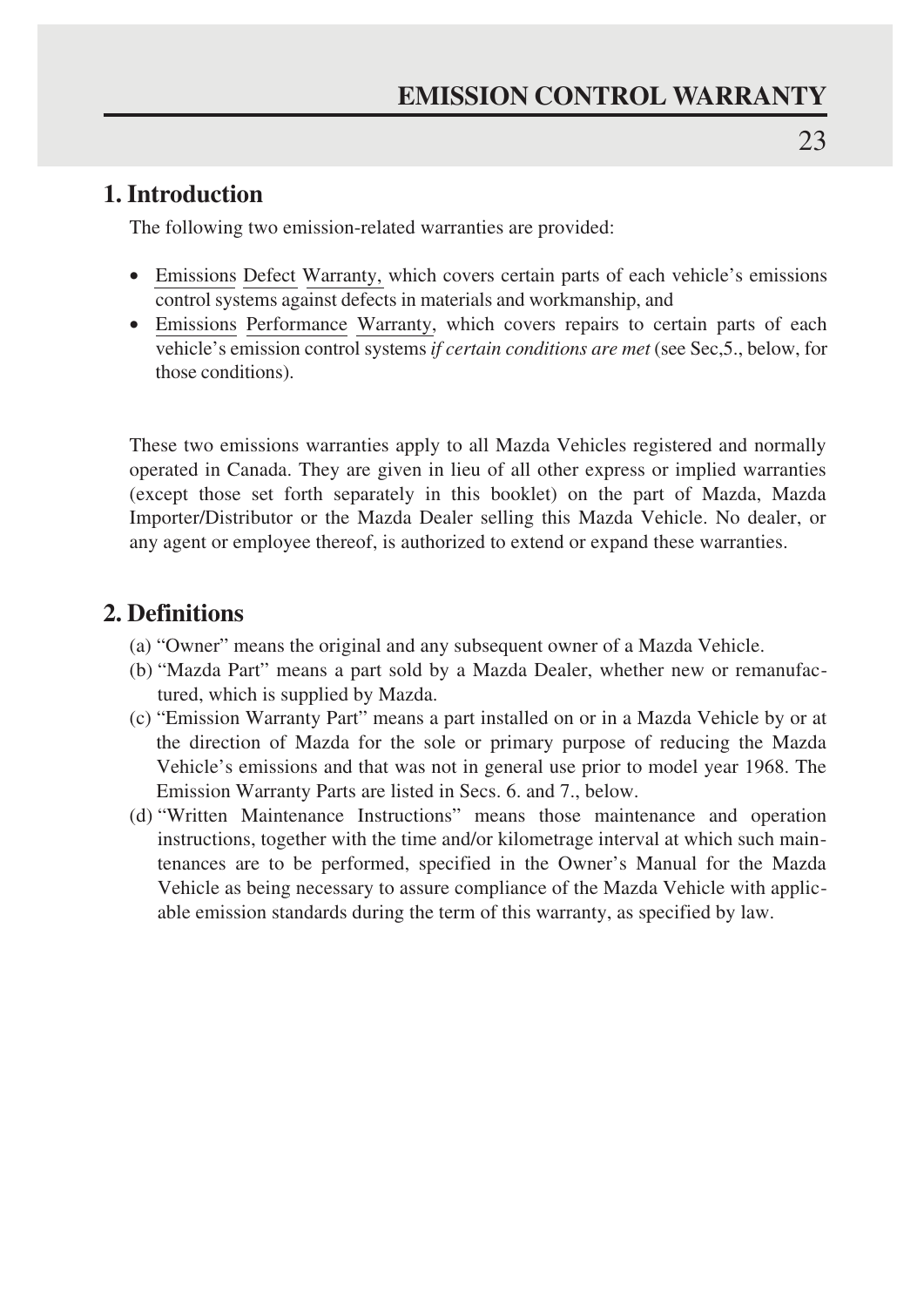### **1. Introduction**

The following two emission-related warranties are provided:

- Emissions Defect Warranty, which covers certain parts of each vehicle's emissions control systems against defects in materials and workmanship, and
- Emissions Performance Warranty, which covers repairs to certain parts of each vehicle's emission control systems *if certain conditions are met* (see Sec,5., below, for those conditions).

These two emissions warranties apply to all Mazda Vehicles registered and normally operated in Canada. They are given in lieu of all other express or implied warranties (except those set forth separately in this booklet) on the part of Mazda, Mazda Importer/Distributor or the Mazda Dealer selling this Mazda Vehicle. No dealer, or any agent or employee thereof, is authorized to extend or expand these warranties.

### **2. Definitions**

- (a) "Owner" means the original and any subsequent owner of a Mazda Vehicle.
- (b) "Mazda Part" means a part sold by a Mazda Dealer, whether new or remanufactured, which is supplied by Mazda.
- (c) "Emission Warranty Part" means a part installed on or in a Mazda Vehicle by or at the direction of Mazda for the sole or primary purpose of reducing the Mazda Vehicle's emissions and that was not in general use prior to model year 1968. The Emission Warranty Parts are listed in Secs. 6. and 7., below.
- (d) "Written Maintenance Instructions" means those maintenance and operation instructions, together with the time and/or kilometrage interval at which such maintenances are to be performed, specified in the Owner's Manual for the Mazda Vehicle as being necessary to assure compliance of the Mazda Vehicle with applicable emission standards during the term of this warranty, as specified by law.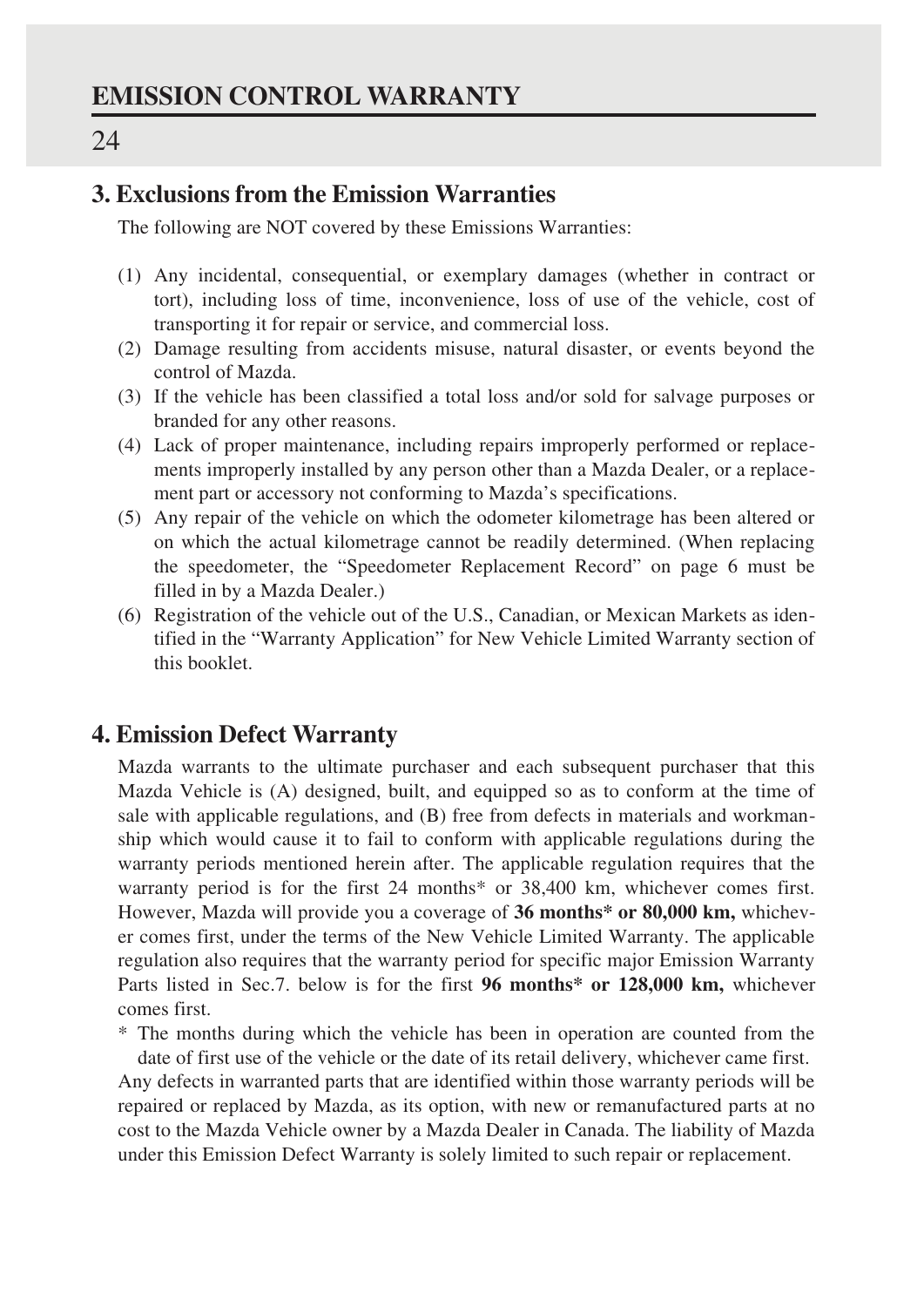### **3. Exclusions from the Emission Warranties**

The following are NOT covered by these Emissions Warranties:

- (1) Any incidental, consequential, or exemplary damages (whether in contract or tort), including loss of time, inconvenience, loss of use of the vehicle, cost of transporting it for repair or service, and commercial loss.
- (2) Damage resulting from accidents misuse, natural disaster, or events beyond the control of Mazda.
- (3) If the vehicle has been classified a total loss and/or sold for salvage purposes or branded for any other reasons.
- (4) Lack of proper maintenance, including repairs improperly performed or replacements improperly installed by any person other than a Mazda Dealer, or a replacement part or accessory not conforming to Mazda's specifications.
- (5) Any repair of the vehicle on which the odometer kilometrage has been altered or on which the actual kilometrage cannot be readily determined. (When replacing the speedometer, the "Speedometer Replacement Record" on page 6 must be filled in by a Mazda Dealer.)
- (6) Registration of the vehicle out of the U.S., Canadian, or Mexican Markets as identified in the "Warranty Application" for New Vehicle Limited Warranty section of this booklet.

### **4. Emission Defect Warranty**

Mazda warrants to the ultimate purchaser and each subsequent purchaser that this Mazda Vehicle is (A) designed, built, and equipped so as to conform at the time of sale with applicable regulations, and (B) free from defects in materials and workmanship which would cause it to fail to conform with applicable regulations during the warranty periods mentioned herein after. The applicable regulation requires that the warranty period is for the first 24 months\* or 38,400 km, whichever comes first. However, Mazda will provide you a coverage of **36 months\* or 80,000 km,** whichever comes first, under the terms of the New Vehicle Limited Warranty. The applicable regulation also requires that the warranty period for specific major Emission Warranty Parts listed in Sec.7. below is for the first **96 months\* or 128,000 km,** whichever comes first.

\* The months during which the vehicle has been in operation are counted from the

date of first use of the vehicle or the date of its retail delivery, whichever came first. Any defects in warranted parts that are identified within those warranty periods will be repaired or replaced by Mazda, as its option, with new or remanufactured parts at no cost to the Mazda Vehicle owner by a Mazda Dealer in Canada. The liability of Mazda under this Emission Defect Warranty is solely limited to such repair or replacement.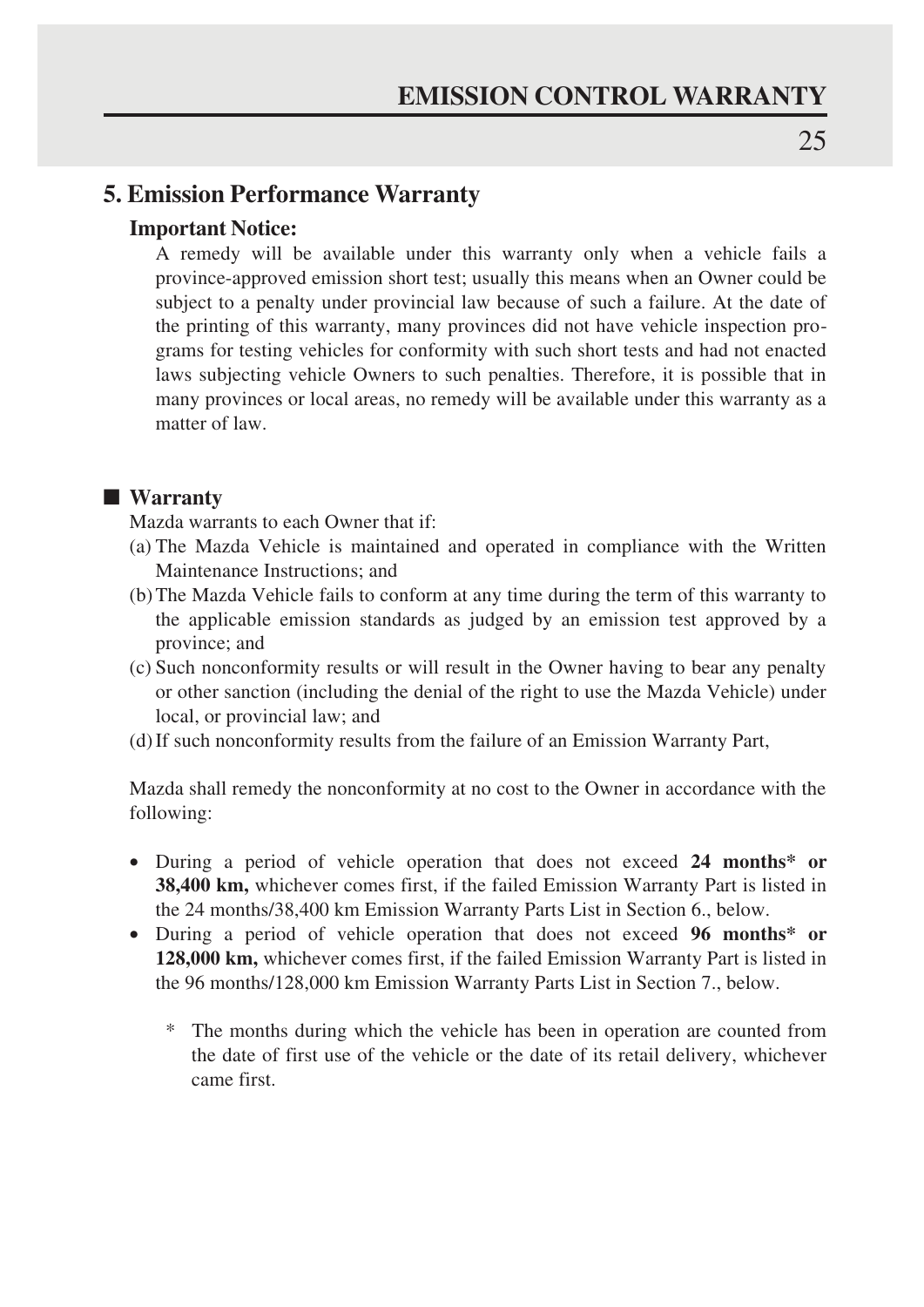### **5. Emission Performance Warranty**

### **Important Notice:**

A remedy will be available under this warranty only when a vehicle fails a province-approved emission short test; usually this means when an Owner could be subject to a penalty under provincial law because of such a failure. At the date of the printing of this warranty, many provinces did not have vehicle inspection programs for testing vehicles for conformity with such short tests and had not enacted laws subjecting vehicle Owners to such penalties. Therefore, it is possible that in many provinces or local areas, no remedy will be available under this warranty as a matter of law.

### ■ **Warranty**

Mazda warrants to each Owner that if:

- (a) The Mazda Vehicle is maintained and operated in compliance with the Written Maintenance Instructions; and
- (b) The Mazda Vehicle fails to conform at any time during the term of this warranty to the applicable emission standards as judged by an emission test approved by a province; and
- (c) Such nonconformity results or will result in the Owner having to bear any penalty or other sanction (including the denial of the right to use the Mazda Vehicle) under local, or provincial law; and
- (d) If such nonconformity results from the failure of an Emission Warranty Part,

Mazda shall remedy the nonconformity at no cost to the Owner in accordance with the following:

- During a period of vehicle operation that does not exceed **24 months\* or 38,400 km,** whichever comes first, if the failed Emission Warranty Part is listed in the 24 months/38,400 km Emission Warranty Parts List in Section 6., below.
- During a period of vehicle operation that does not exceed **96 months\* or 128,000 km,** whichever comes first, if the failed Emission Warranty Part is listed in the 96 months/128,000 km Emission Warranty Parts List in Section 7., below.
	- \* The months during which the vehicle has been in operation are counted from the date of first use of the vehicle or the date of its retail delivery, whichever came first.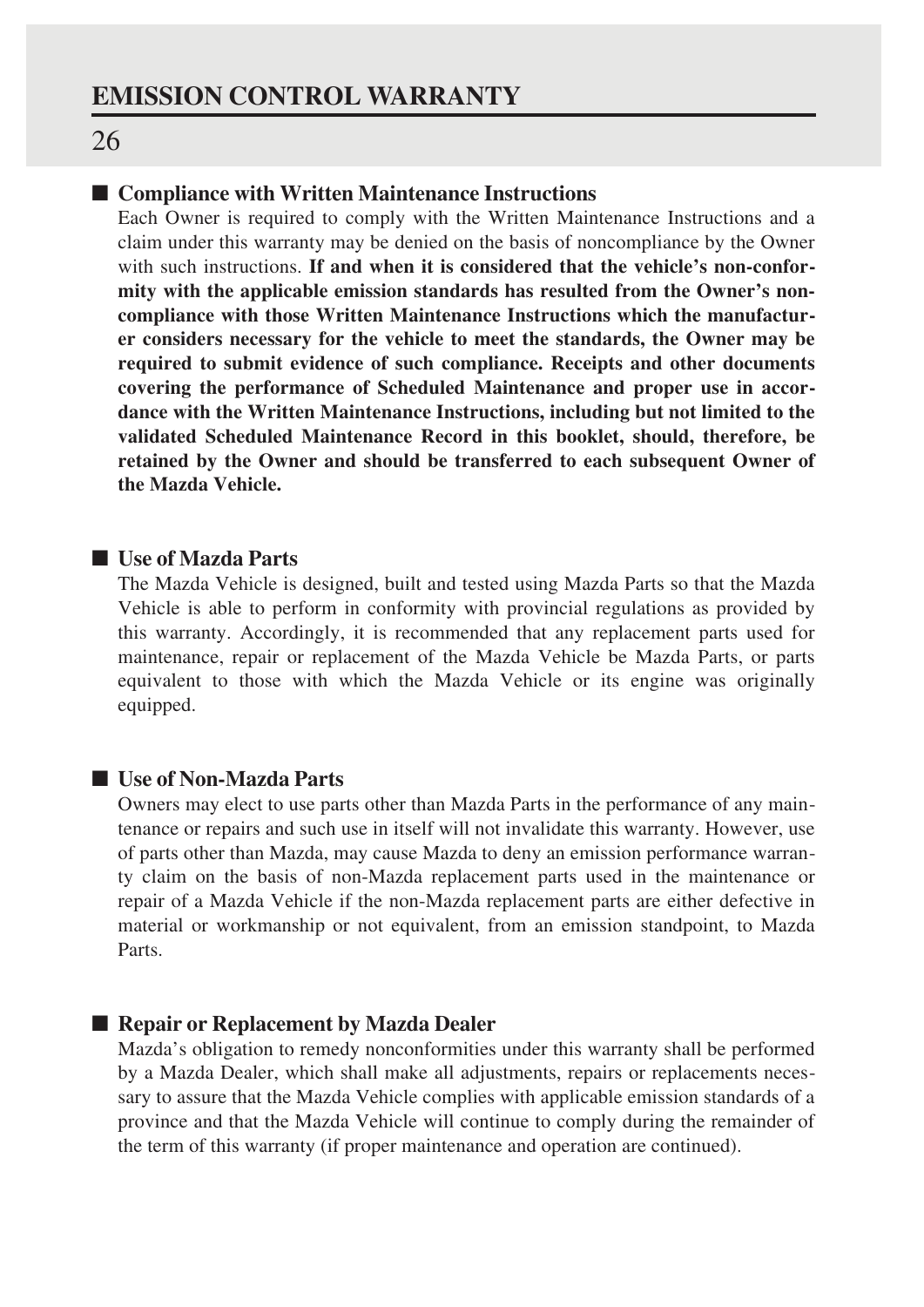### ■ **Compliance with Written Maintenance Instructions**

Each Owner is required to comply with the Written Maintenance Instructions and a claim under this warranty may be denied on the basis of noncompliance by the Owner with such instructions. **If and when it is considered that the vehicle's non-conformity with the applicable emission standards has resulted from the Owner's noncompliance with those Written Maintenance Instructions which the manufacturer considers necessary for the vehicle to meet the standards, the Owner may be required to submit evidence of such compliance. Receipts and other documents covering the performance of Scheduled Maintenance and proper use in accordance with the Written Maintenance Instructions, including but not limited to the validated Scheduled Maintenance Record in this booklet, should, therefore, be retained by the Owner and should be transferred to each subsequent Owner of the Mazda Vehicle.**

### ■ **Use of Mazda Parts**

The Mazda Vehicle is designed, built and tested using Mazda Parts so that the Mazda Vehicle is able to perform in conformity with provincial regulations as provided by this warranty. Accordingly, it is recommended that any replacement parts used for maintenance, repair or replacement of the Mazda Vehicle be Mazda Parts, or parts equivalent to those with which the Mazda Vehicle or its engine was originally equipped.

### ■ **Use of Non-Mazda Parts**

Owners may elect to use parts other than Mazda Parts in the performance of any maintenance or repairs and such use in itself will not invalidate this warranty. However, use of parts other than Mazda, may cause Mazda to deny an emission performance warranty claim on the basis of non-Mazda replacement parts used in the maintenance or repair of a Mazda Vehicle if the non-Mazda replacement parts are either defective in material or workmanship or not equivalent, from an emission standpoint, to Mazda Parts.

### ■ **Repair or Replacement by Mazda Dealer**

Mazda's obligation to remedy nonconformities under this warranty shall be performed by a Mazda Dealer, which shall make all adjustments, repairs or replacements necessary to assure that the Mazda Vehicle complies with applicable emission standards of a province and that the Mazda Vehicle will continue to comply during the remainder of the term of this warranty (if proper maintenance and operation are continued).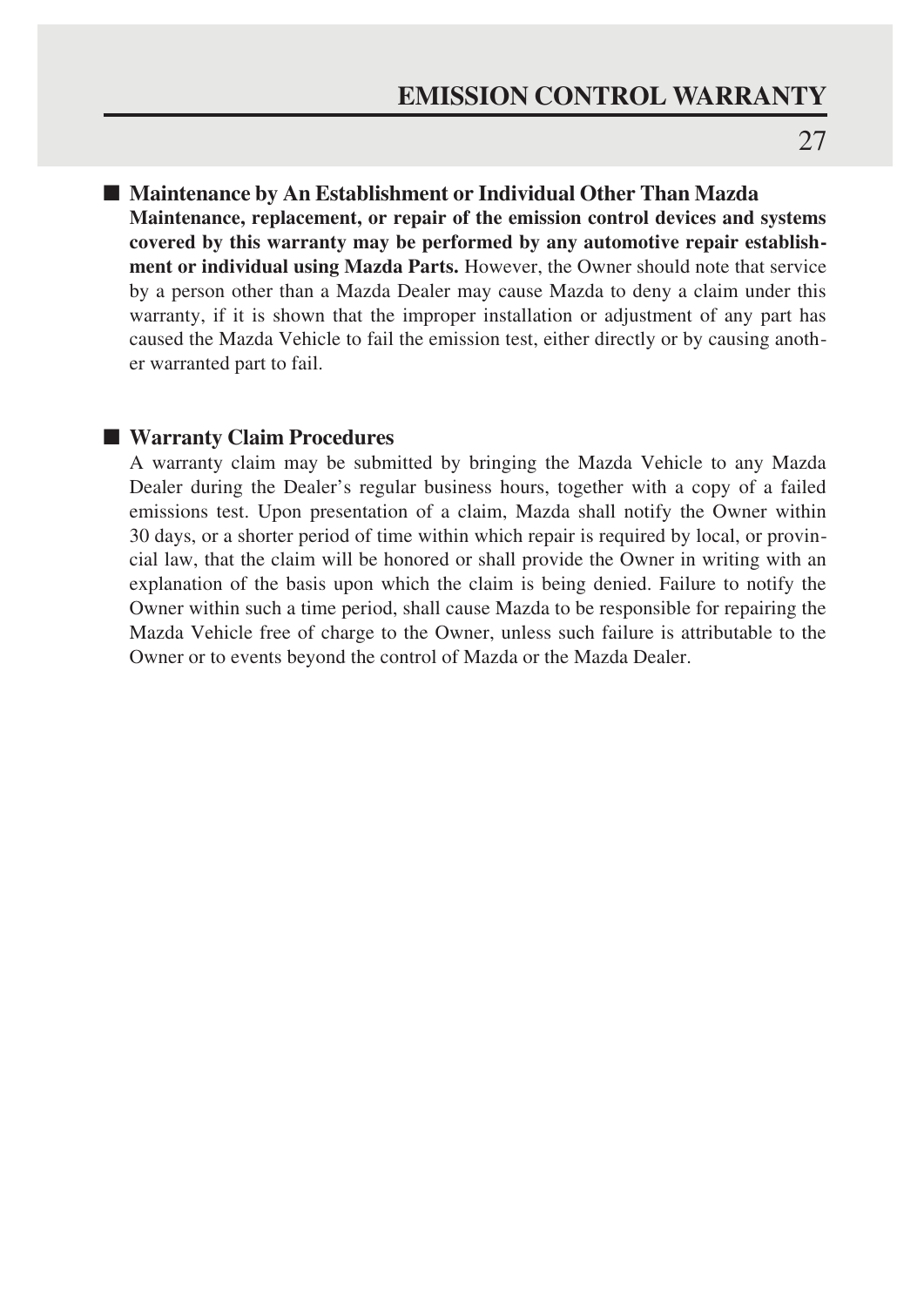■ Maintenance by An Establishment or Individual Other Than Mazda **Maintenance, replacement, or repair of the emission control devices and systems covered by this warranty may be performed by any automotive repair establishment or individual using Mazda Parts.** However, the Owner should note that service by a person other than a Mazda Dealer may cause Mazda to deny a claim under this warranty, if it is shown that the improper installation or adjustment of any part has caused the Mazda Vehicle to fail the emission test, either directly or by causing another warranted part to fail.

### ■ **Warranty Claim Procedures**

A warranty claim may be submitted by bringing the Mazda Vehicle to any Mazda Dealer during the Dealer's regular business hours, together with a copy of a failed emissions test. Upon presentation of a claim, Mazda shall notify the Owner within 30 days, or a shorter period of time within which repair is required by local, or provincial law, that the claim will be honored or shall provide the Owner in writing with an explanation of the basis upon which the claim is being denied. Failure to notify the Owner within such a time period, shall cause Mazda to be responsible for repairing the Mazda Vehicle free of charge to the Owner, unless such failure is attributable to the Owner or to events beyond the control of Mazda or the Mazda Dealer.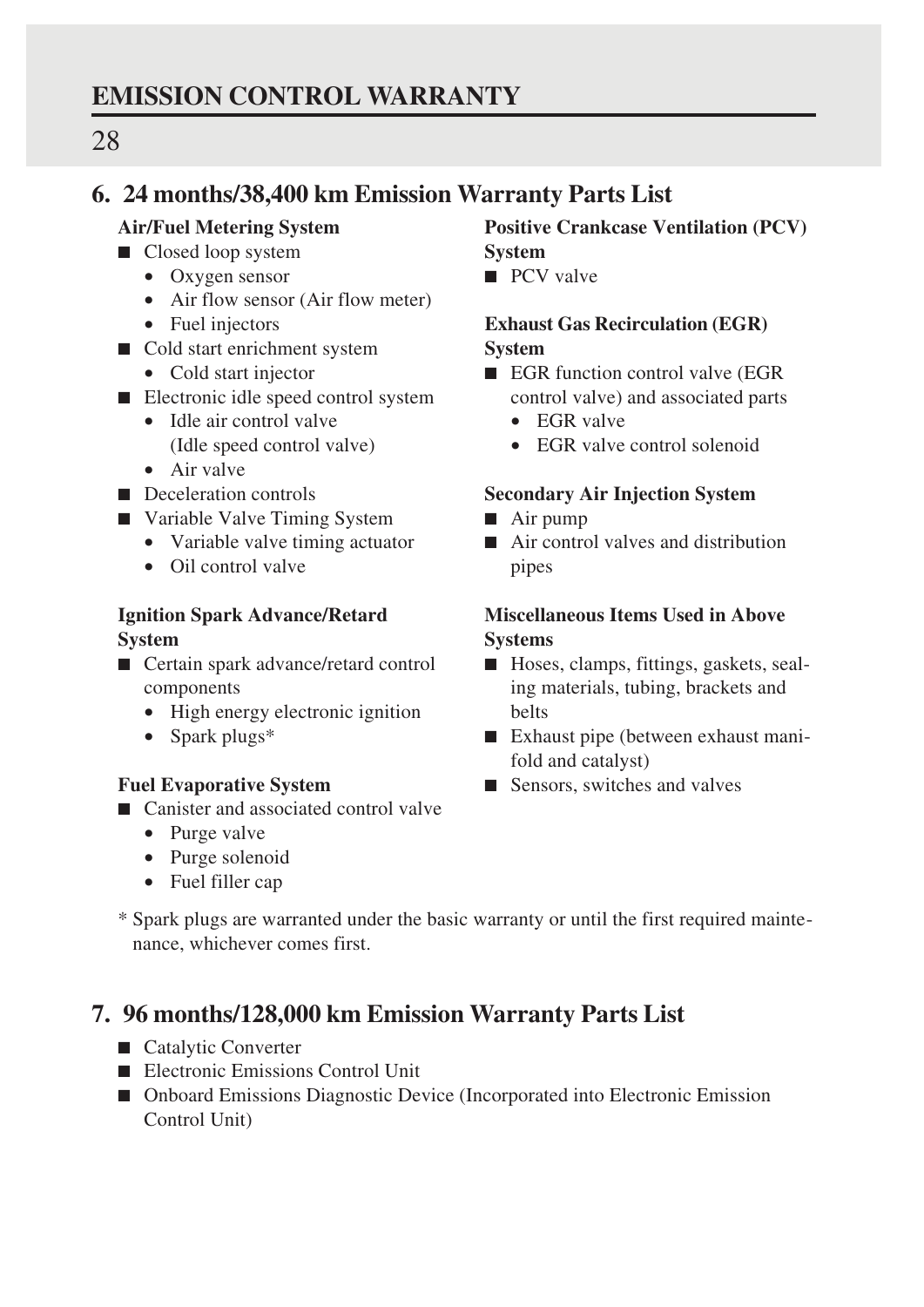### **EMISSION CONTROL WARRANTY**

### 28

### **6. 24 months/38,400 km Emission Warranty Parts List**

### **Air/Fuel Metering System**

- Closed loop system
	- Oxygen sensor
	- Air flow sensor (Air flow meter)
	- Fuel injectors
- Cold start enrichment system
	- Cold start injector
- Electronic idle speed control system
	- Idle air control valve (Idle speed control valve)
		-
	- Air valve
- Deceleration controls
- Variable Valve Timing System
	- Variable valve timing actuator
	- Oil control valve

### **Ignition Spark Advance/Retard System**

- Certain spark advance/retard control components
	- High energy electronic ignition
	- Spark plugs\*

### **Fuel Evaporative System**

- Canister and associated control valve
	- Purge valve
	- Purge solenoid
	- Fuel filler cap

### **Positive Crankcase Ventilation (PCV) System**

■ PCV valve

### **Exhaust Gas Recirculation (EGR) System**

- EGR function control valve (EGR control valve) and associated parts
	- EGR valve
	- EGR valve control solenoid

### **Secondary Air Injection System**

- Air pump
- Air control valves and distribution pipes

### **Miscellaneous Items Used in Above Systems**

- Hoses, clamps, fittings, gaskets, sealing materials, tubing, brackets and belts
- Exhaust pipe (between exhaust manifold and catalyst)
- Sensors, switches and valves
- \* Spark plugs are warranted under the basic warranty or until the first required maintenance, whichever comes first.

### **7. 96 months/128,000 km Emission Warranty Parts List**

- Catalytic Converter
- Electronic Emissions Control Unit
- Onboard Emissions Diagnostic Device (Incorporated into Electronic Emission Control Unit)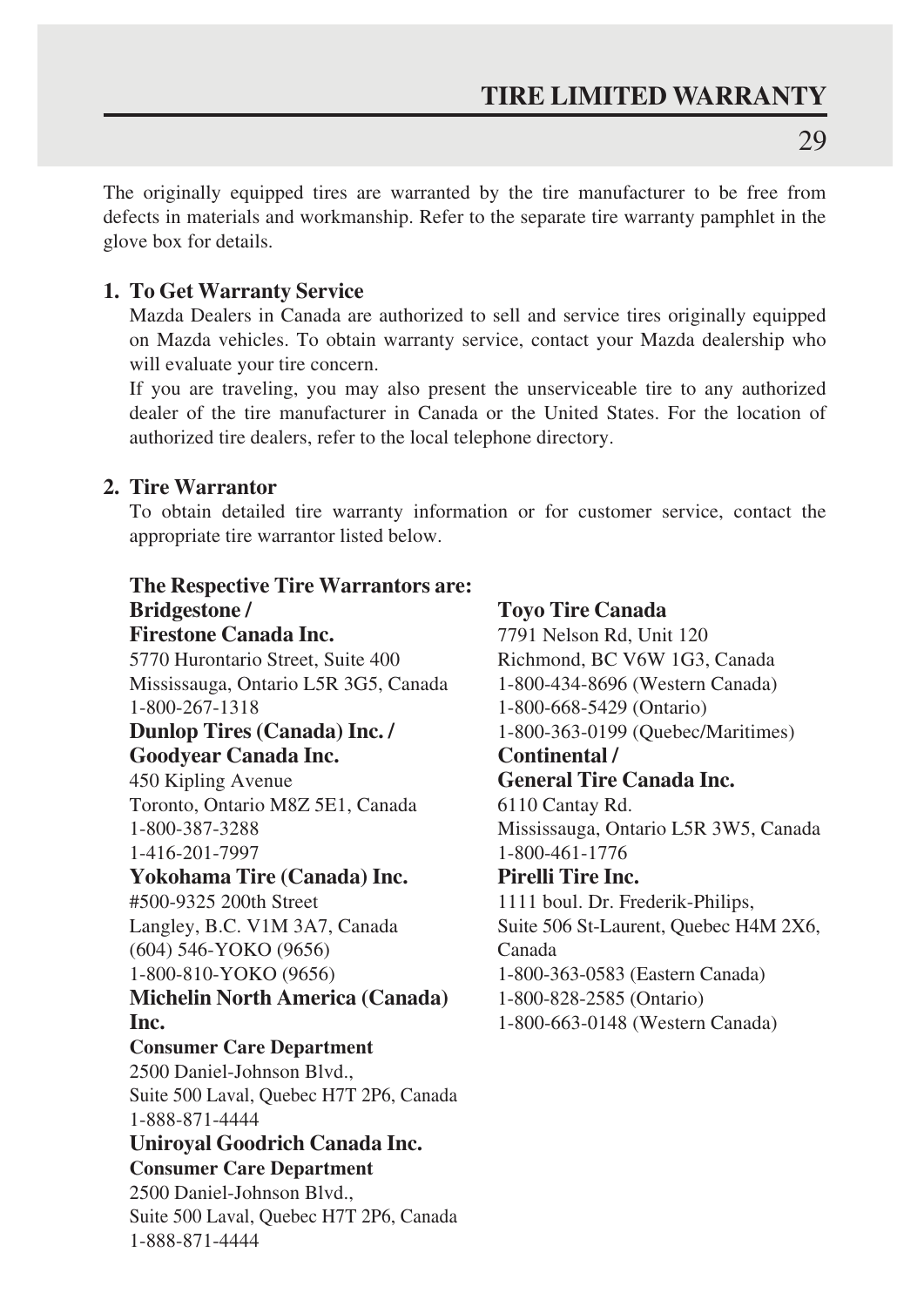The originally equipped tires are warranted by the tire manufacturer to be free from defects in materials and workmanship. Refer to the separate tire warranty pamphlet in the glove box for details.

### **1. To Get Warranty Service**

Mazda Dealers in Canada are authorized to sell and service tires originally equipped on Mazda vehicles. To obtain warranty service, contact your Mazda dealership who will evaluate your tire concern.

If you are traveling, you may also present the unserviceable tire to any authorized dealer of the tire manufacturer in Canada or the United States. For the location of authorized tire dealers, refer to the local telephone directory.

### **2. Tire Warrantor**

To obtain detailed tire warranty information or for customer service, contact the appropriate tire warrantor listed below.

### **The Respective Tire Warrantors are: Bridgestone / Firestone Canada Inc.** 5770 Hurontario Street, Suite 400 Mississauga, Ontario L5R 3G5, Canada 1-800-267-1318 **Dunlop Tires (Canada) Inc. / Goodyear Canada Inc.** 450 Kipling Avenue Toronto, Ontario M8Z 5E1, Canada 1-800-387-3288 1-416-201-7997 **Yokohama Tire (Canada) Inc.** #500-9325 200th Street Langley, B.C. V1M 3A7, Canada (604) 546-YOKO (9656) 1-800-810-YOKO (9656) **Michelin North America (Canada) Inc. Consumer Care Department** 2500 Daniel-Johnson Blvd., Suite 500 Laval, Quebec H7T 2P6, Canada 1-888-871-4444 **Uniroyal Goodrich Canada Inc. Consumer Care Department** 2500 Daniel-Johnson Blvd., Suite 500 Laval, Quebec H7T 2P6, Canada 1-888-871-4444

**Toyo Tire Canada** 7791 Nelson Rd, Unit 120 Richmond, BC V6W 1G3, Canada 1-800-434-8696 (Western Canada) 1-800-668-5429 (Ontario) 1-800-363-0199 (Quebec/Maritimes) **Continental / General Tire Canada Inc.** 6110 Cantay Rd. Mississauga, Ontario L5R 3W5, Canada 1-800-461-1776 **Pirelli Tire Inc.** 1111 boul. Dr. Frederik-Philips, Suite 506 St-Laurent, Quebec H4M 2X6, Canada 1-800-363-0583 (Eastern Canada) 1-800-828-2585 (Ontario) 1-800-663-0148 (Western Canada)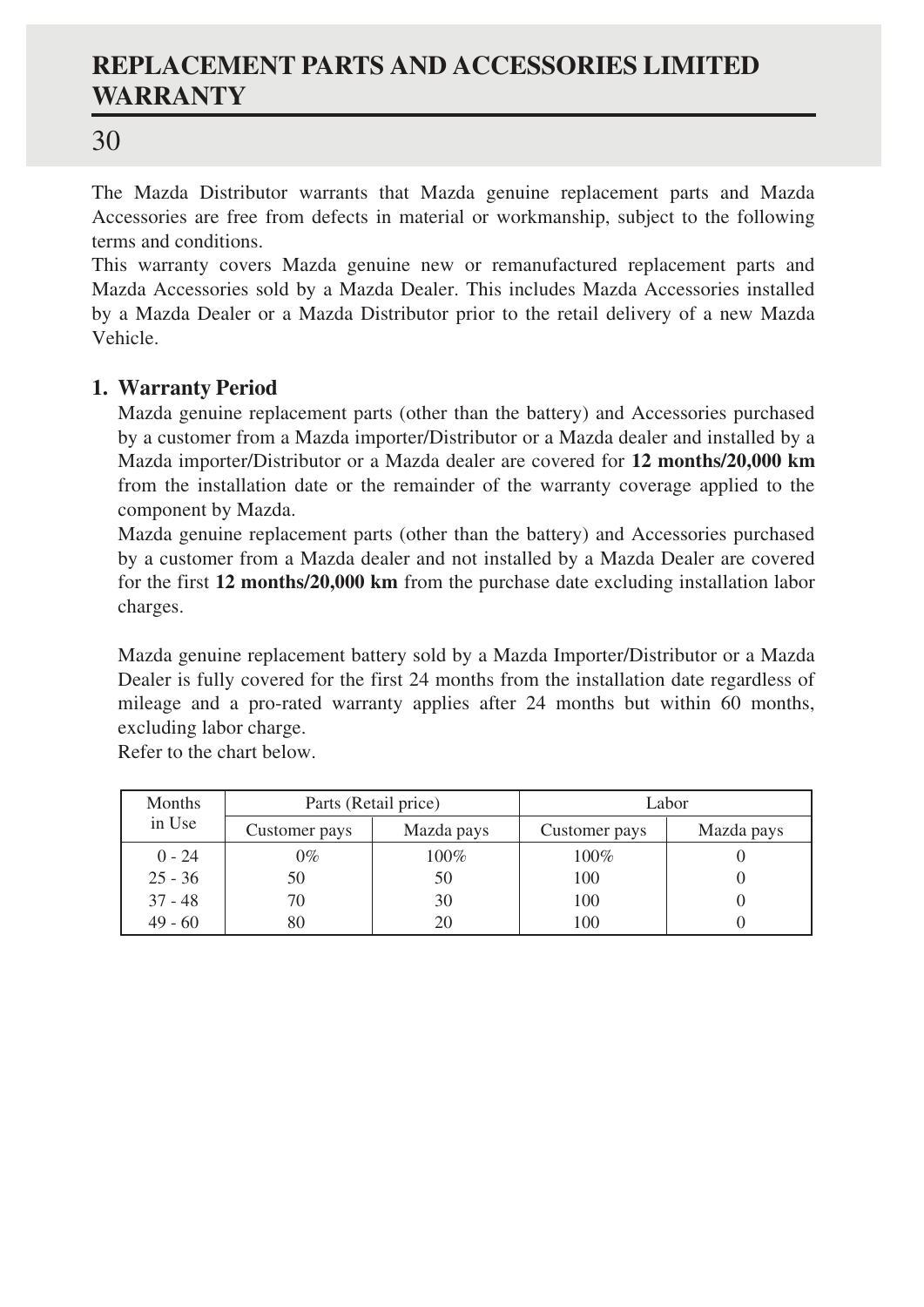### **REPLACEMENT PARTS AND ACCESSORIES LIMITED WARRANTY**

### 30

The Mazda Distributor warrants that Mazda genuine replacement parts and Mazda Accessories are free from defects in material or workmanship, subject to the following terms and conditions.

This warranty covers Mazda genuine new or remanufactured replacement parts and Mazda Accessories sold by a Mazda Dealer. This includes Mazda Accessories installed by a Mazda Dealer or a Mazda Distributor prior to the retail delivery of a new Mazda Vehicle.

### **1. Warranty Period**

Mazda genuine replacement parts (other than the battery) and Accessories purchased by a customer from a Mazda importer/Distributor or a Mazda dealer and installed by a Mazda importer/Distributor or a Mazda dealer are covered for **12 months/20,000 km** from the installation date or the remainder of the warranty coverage applied to the component by Mazda.

Mazda genuine replacement parts (other than the battery) and Accessories purchased by a customer from a Mazda dealer and not installed by a Mazda Dealer are covered for the first **12 months/20,000 km** from the purchase date excluding installation labor charges.

Mazda genuine replacement battery sold by a Mazda Importer/Distributor or a Mazda Dealer is fully covered for the first 24 months from the installation date regardless of mileage and a pro-rated warranty applies after 24 months but within 60 months, excluding labor charge.

Refer to the chart below.

| Months    |               | Parts (Retail price) | Labor         |            |
|-----------|---------------|----------------------|---------------|------------|
| in Use    | Customer pays | Mazda pays           | Customer pays | Mazda pays |
| $0 - 24$  | $0\%$         | 100%                 | 100%          |            |
| $25 - 36$ | 50            | 50                   | 100           |            |
| $37 - 48$ | 70            | 30                   | 100           |            |
| $49 - 60$ | 80.           | 20                   | 100           |            |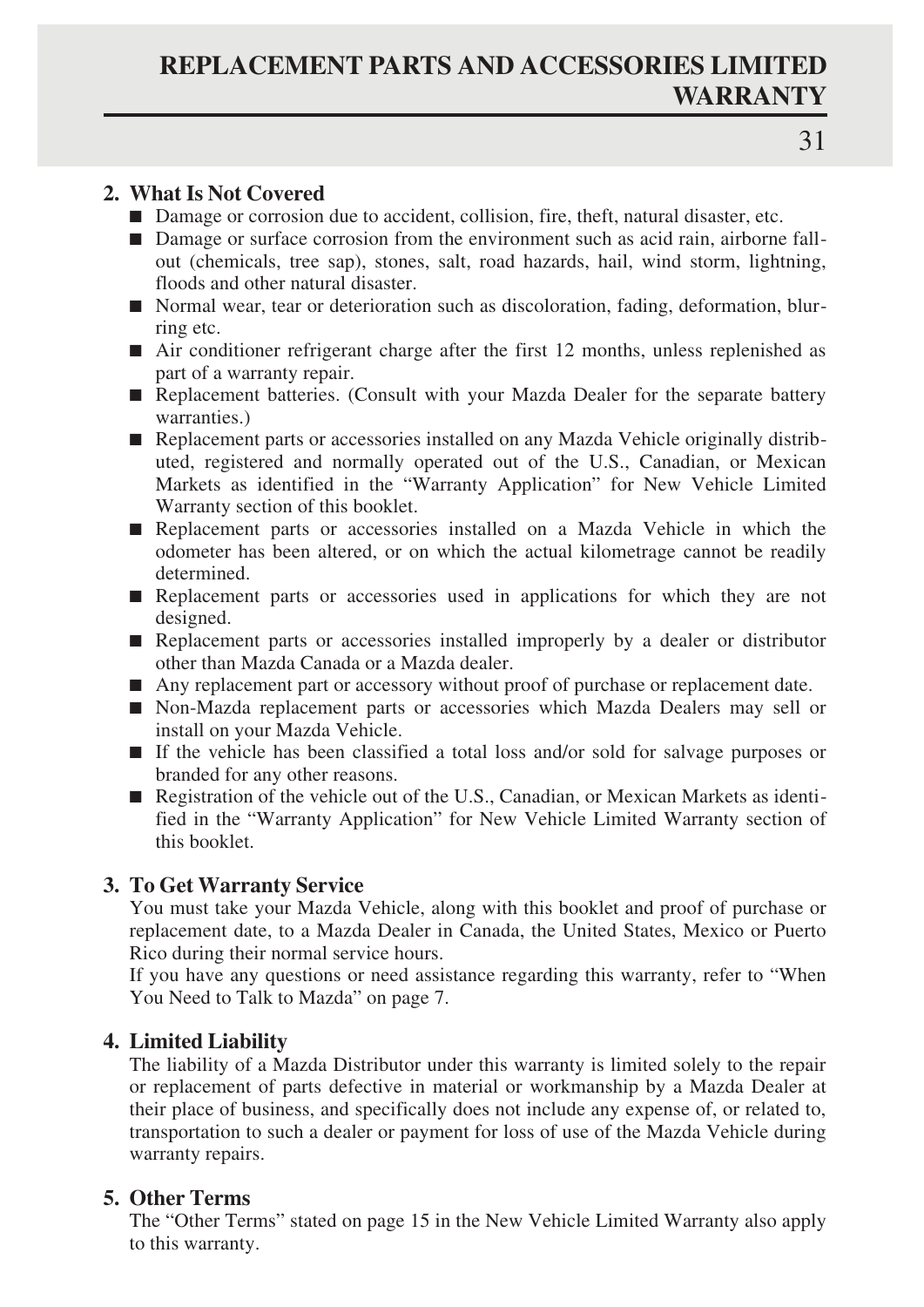### **REPLACEMENT PARTS AND ACCESSORIES LIMITED WARRANTY**

### **2. What Is Not Covered**

- Damage or corrosion due to accident, collision, fire, theft, natural disaster, etc.
- Damage or surface corrosion from the environment such as acid rain, airborne fallout (chemicals, tree sap), stones, salt, road hazards, hail, wind storm, lightning, floods and other natural disaster.
- Normal wear, tear or deterioration such as discoloration, fading, deformation, blurring etc.
- Air conditioner refrigerant charge after the first 12 months, unless replenished as part of a warranty repair.
- Replacement batteries. (Consult with your Mazda Dealer for the separate battery warranties.)
- Replacement parts or accessories installed on any Mazda Vehicle originally distributed, registered and normally operated out of the U.S., Canadian, or Mexican Markets as identified in the "Warranty Application" for New Vehicle Limited Warranty section of this booklet.
- Replacement parts or accessories installed on a Mazda Vehicle in which the odometer has been altered, or on which the actual kilometrage cannot be readily determined.
- Replacement parts or accessories used in applications for which they are not designed.
- Replacement parts or accessories installed improperly by a dealer or distributor other than Mazda Canada or a Mazda dealer.
- Any replacement part or accessory without proof of purchase or replacement date.
- Non-Mazda replacement parts or accessories which Mazda Dealers may sell or install on your Mazda Vehicle.
- If the vehicle has been classified a total loss and/or sold for salvage purposes or branded for any other reasons.
- Registration of the vehicle out of the U.S., Canadian, or Mexican Markets as identified in the "Warranty Application" for New Vehicle Limited Warranty section of this booklet.

### **3. To Get Warranty Service**

You must take your Mazda Vehicle, along with this booklet and proof of purchase or replacement date, to a Mazda Dealer in Canada, the United States, Mexico or Puerto Rico during their normal service hours.

If you have any questions or need assistance regarding this warranty, refer to "When You Need to Talk to Mazda" on page 7.

### **4. Limited Liability**

The liability of a Mazda Distributor under this warranty is limited solely to the repair or replacement of parts defective in material or workmanship by a Mazda Dealer at their place of business, and specifically does not include any expense of, or related to, transportation to such a dealer or payment for loss of use of the Mazda Vehicle during warranty repairs.

### **5. Other Terms**

The "Other Terms" stated on page 15 in the New Vehicle Limited Warranty also apply to this warranty.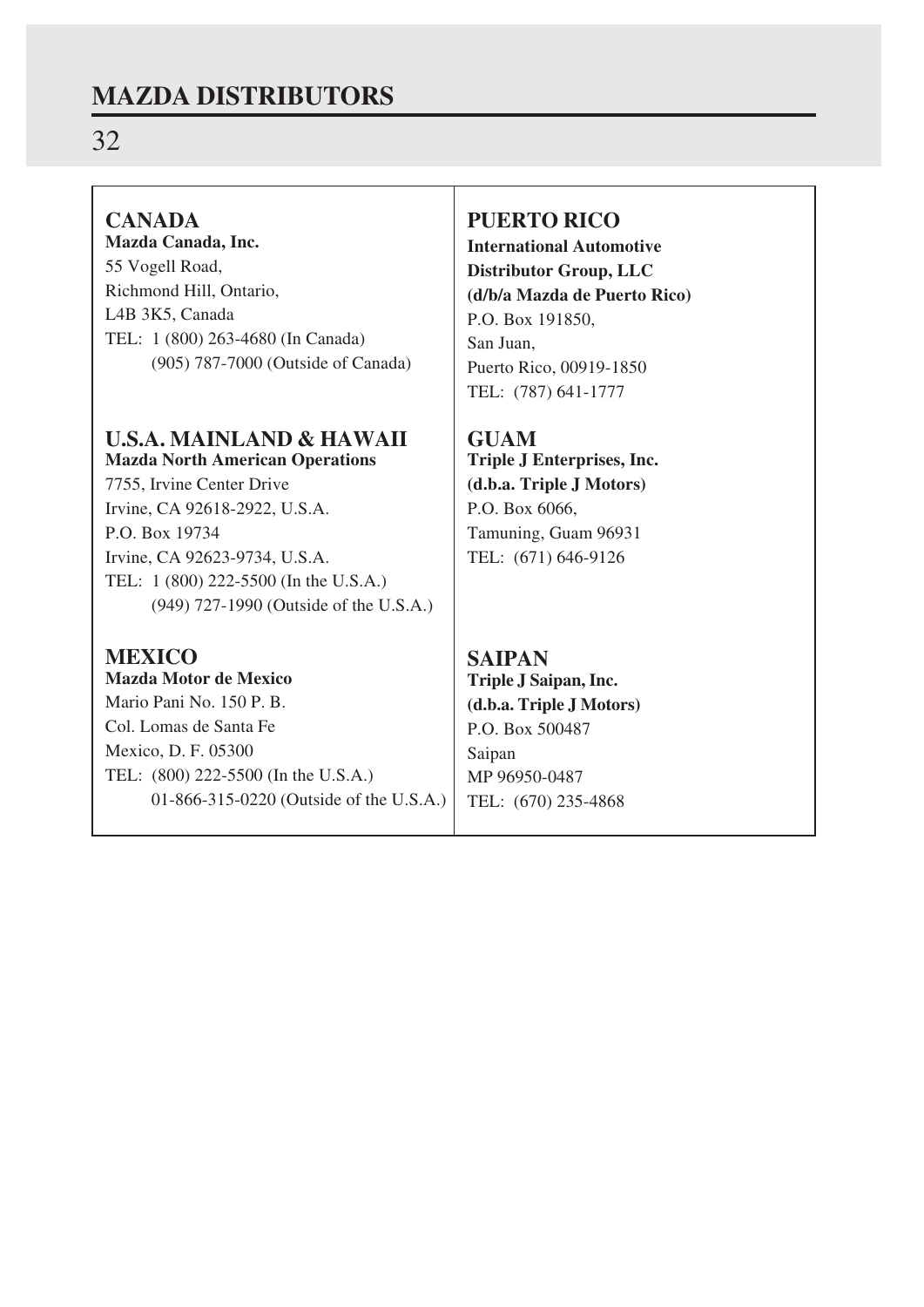### **MAZDA DISTRIBUTORS**

### 32

### **CANADA**

**Mazda Canada, Inc.** 55 Vogell Road, Richmond Hill, Ontario, L4B 3K5, Canada TEL: 1 (800) 263-4680 (In Canada) (905) 787-7000 (Outside of Canada)

### **U.S.A. MAINLAND & HAWAII Mazda North American Operations**

7755, Irvine Center Drive Irvine, CA 92618-2922, U.S.A. P.O. Box 19734 Irvine, CA 92623-9734, U.S.A. TEL: 1 (800) 222-5500 (In the U.S.A.) (949) 727-1990 (Outside of the U.S.A.)

### **MEXICO**

**Mazda Motor de Mexico** Mario Pani No. 150 P. B. Col. Lomas de Santa Fe Mexico, D. F. 05300 TEL: (800) 222-5500 (In the U.S.A.) 01-866-315-0220 (Outside of the U.S.A.)

### **PUERTO RICO**

**International Automotive Distributor Group, LLC (d/b/a Mazda de Puerto Rico)** P.O. Box 191850, San Juan, Puerto Rico, 00919-1850 TEL: (787) 641-1777

**GUAM Triple J Enterprises, Inc. (d.b.a. Triple J Motors)** P.O. Box 6066, Tamuning, Guam 96931 TEL: (671) 646-9126

### **SAIPAN**

**Triple J Saipan, Inc. (d.b.a. Triple J Motors)** P.O. Box 500487 Saipan MP 96950-0487 TEL: (670) 235-4868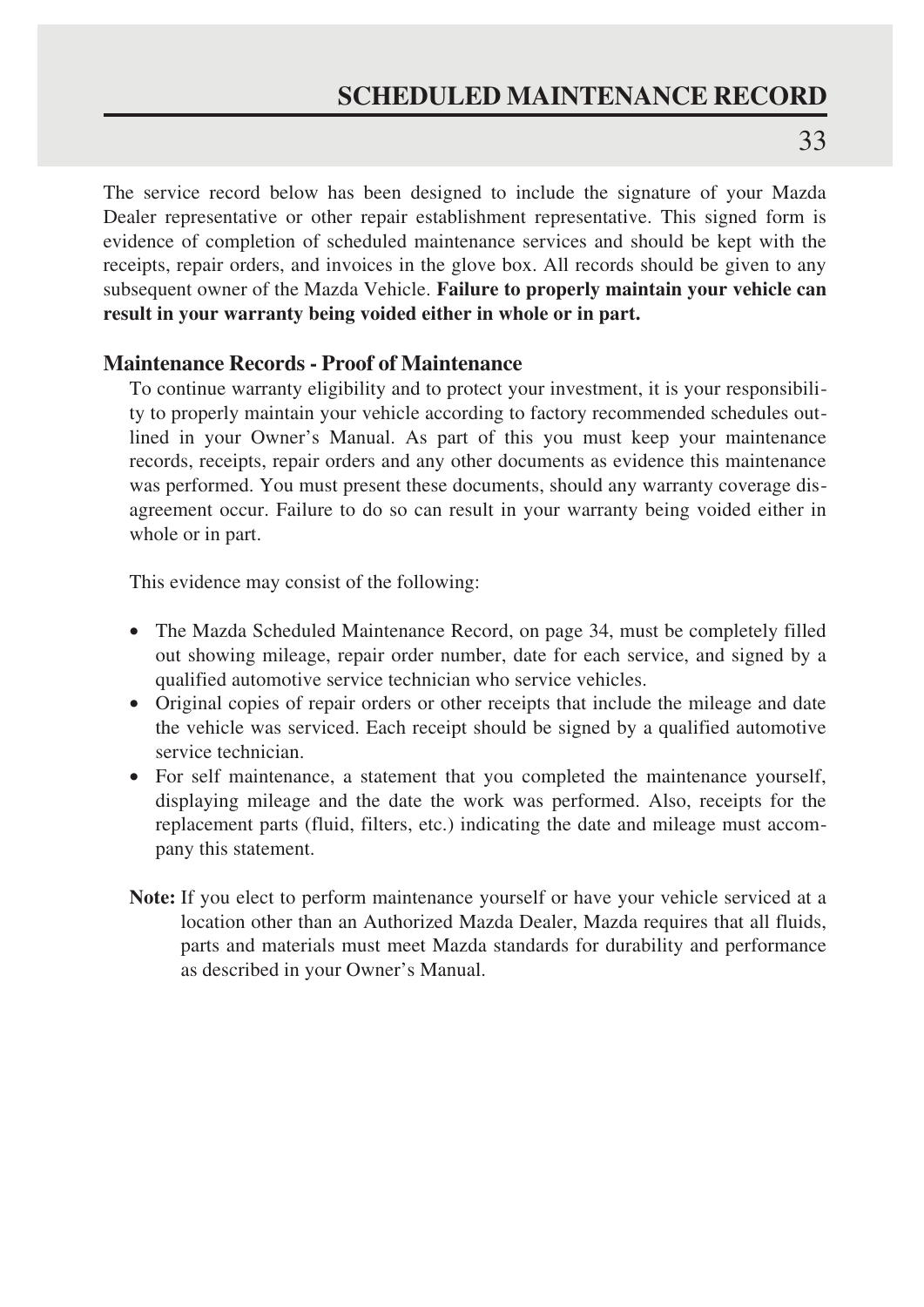The service record below has been designed to include the signature of your Mazda Dealer representative or other repair establishment representative. This signed form is evidence of completion of scheduled maintenance services and should be kept with the receipts, repair orders, and invoices in the glove box. All records should be given to any subsequent owner of the Mazda Vehicle. **Failure to properly maintain your vehicle can result in your warranty being voided either in whole or in part.**

### **Maintenance Records - Proof of Maintenance**

To continue warranty eligibility and to protect your investment, it is your responsibility to properly maintain your vehicle according to factory recommended schedules outlined in your Owner's Manual. As part of this you must keep your maintenance records, receipts, repair orders and any other documents as evidence this maintenance was performed. You must present these documents, should any warranty coverage disagreement occur. Failure to do so can result in your warranty being voided either in whole or in part.

This evidence may consist of the following:

- The Mazda Scheduled Maintenance Record, on page 34, must be completely filled out showing mileage, repair order number, date for each service, and signed by a qualified automotive service technician who service vehicles.
- Original copies of repair orders or other receipts that include the mileage and date the vehicle was serviced. Each receipt should be signed by a qualified automotive service technician.
- For self maintenance, a statement that you completed the maintenance yourself, displaying mileage and the date the work was performed. Also, receipts for the replacement parts (fluid, filters, etc.) indicating the date and mileage must accompany this statement.
- **Note:** If you elect to perform maintenance yourself or have your vehicle serviced at a location other than an Authorized Mazda Dealer, Mazda requires that all fluids, parts and materials must meet Mazda standards for durability and performance as described in your Owner's Manual.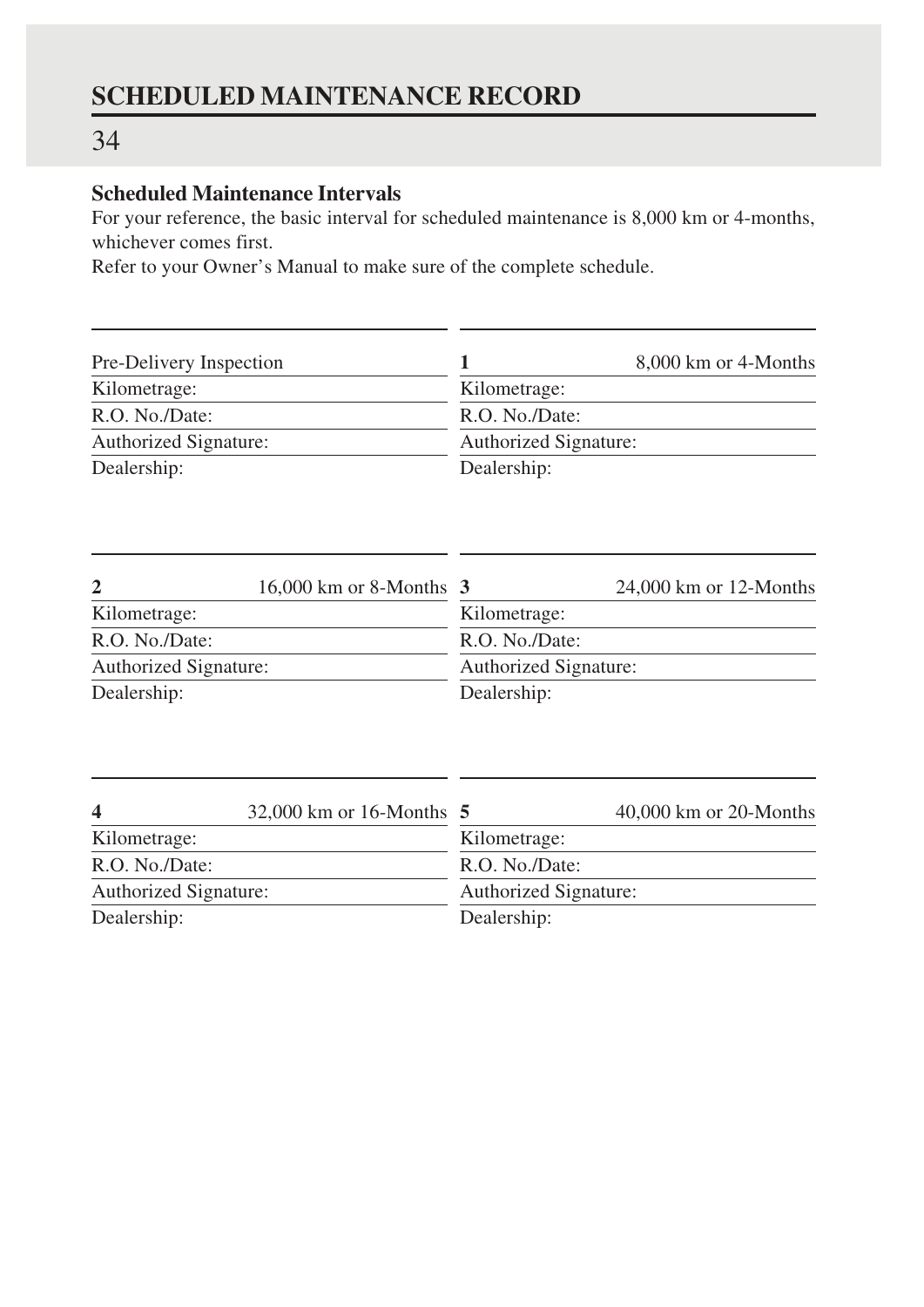### 34

### **Scheduled Maintenance Intervals**

For your reference, the basic interval for scheduled maintenance is 8,000 km or 4-months, whichever comes first.

Refer to your Owner's Manual to make sure of the complete schedule.

| Pre-Delivery Inspection |                                            | 1                     | 8,000 km or 4-Months     |  |
|-------------------------|--------------------------------------------|-----------------------|--------------------------|--|
| Kilometrage:            |                                            | Kilometrage:          |                          |  |
| R.O. No./Date:          |                                            | R.O. No./Date:        |                          |  |
| Authorized Signature:   |                                            | Authorized Signature: |                          |  |
| Dealership:             |                                            | Dealership:           |                          |  |
|                         |                                            |                       |                          |  |
| $\mathbf{2}$            | $16,000 \text{ km or } 8\text{-Monthly}$ 3 |                       | $24,000$ km or 12-Months |  |
| Kilometrage:            |                                            | Kilometrage:          |                          |  |
| R.O. No./Date:          |                                            | R.O. No./Date:        |                          |  |
| Authorized Signature:   |                                            | Authorized Signature: |                          |  |
| Dealership:             |                                            | Dealership:           |                          |  |
|                         |                                            |                       |                          |  |
| $\overline{\mathbf{4}}$ | 32,000 km or 16-Months 5                   |                       | 40,000 km or 20-Months   |  |
| Kilometrage:            |                                            | Kilometrage:          |                          |  |
| R.O. No./Date:          |                                            | R.O. No./Date:        |                          |  |
| Authorized Signature:   |                                            | Authorized Signature: |                          |  |
| Dealership:             |                                            | Dealership:           |                          |  |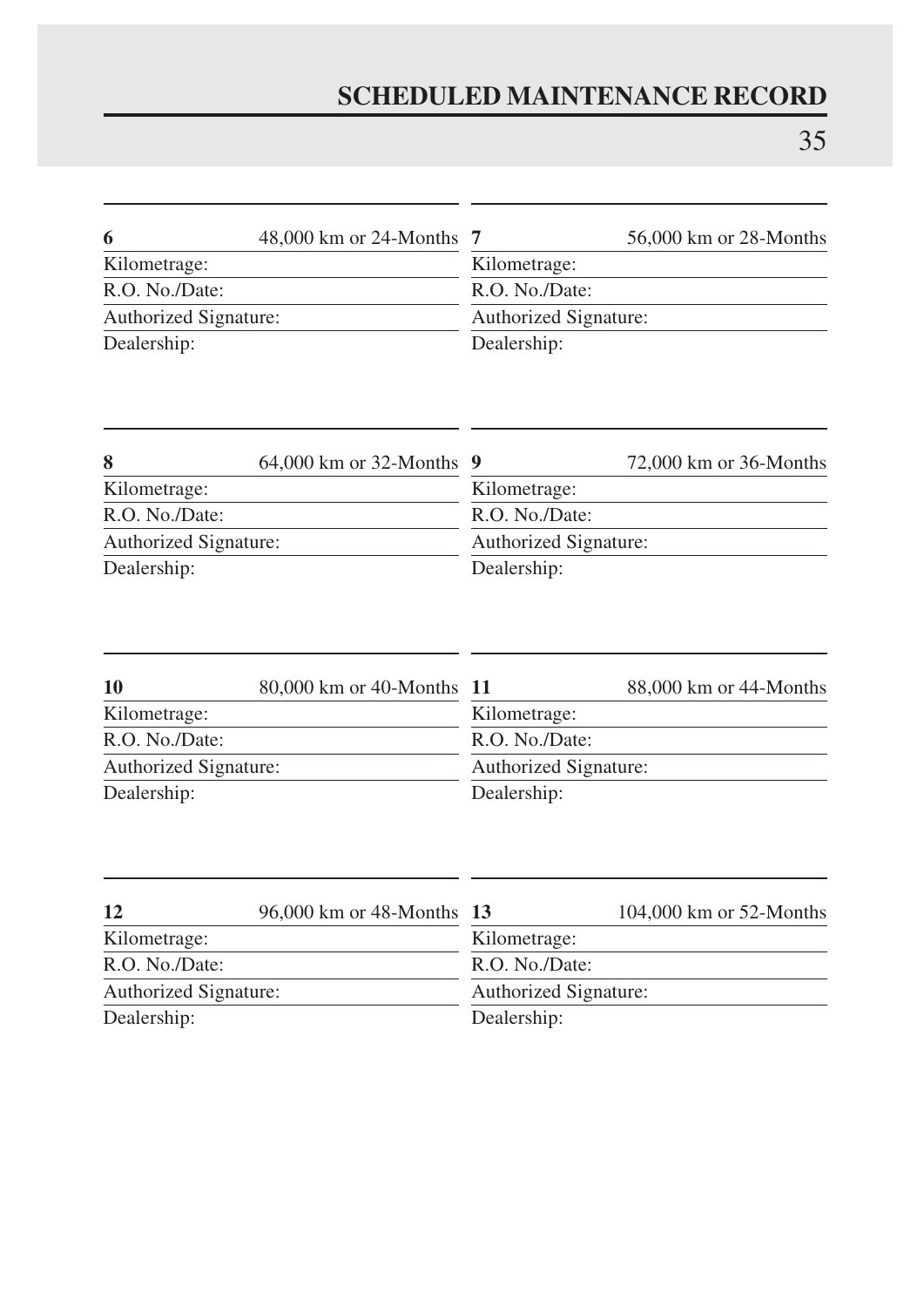| 6                     | 48,000 km or 24-Months 7 |                       | 56,000 km or 28-Months |
|-----------------------|--------------------------|-----------------------|------------------------|
| Kilometrage:          |                          | Kilometrage:          |                        |
| R.O. No./Date:        |                          | R.O. No./Date:        |                        |
| Authorized Signature: |                          | Authorized Signature: |                        |
| Dealership:           |                          | Dealership:           |                        |

| 8                     | 64,000 km or 32-Months 9 |                       | 72,000 km or 36-Months |  |
|-----------------------|--------------------------|-----------------------|------------------------|--|
| Kilometrage:          |                          | Kilometrage:          |                        |  |
| R.O. No./Date:        |                          | R.O. No./Date:        |                        |  |
| Authorized Signature: |                          | Authorized Signature: |                        |  |
| Dealership:           |                          | Dealership:           |                        |  |

| 10                    | 80,000 km or 40-Months 11 |                              | 88,000 km or 44-Months |
|-----------------------|---------------------------|------------------------------|------------------------|
| Kilometrage:          |                           | Kilometrage:                 |                        |
| R.O. No./Date:        |                           | R.O. No./Date:               |                        |
| Authorized Signature: |                           | <b>Authorized Signature:</b> |                        |
| Dealership:           |                           | Dealership:                  |                        |

| 12                    | 96,000 km or 48-Months 13 |                | 104,000 km or 52-Months      |
|-----------------------|---------------------------|----------------|------------------------------|
| Kilometrage:          |                           | Kilometrage:   |                              |
| R.O. No./Date:        |                           | R.O. No./Date: |                              |
| Authorized Signature: |                           |                | <b>Authorized Signature:</b> |
| Dealership:           |                           | Dealership:    |                              |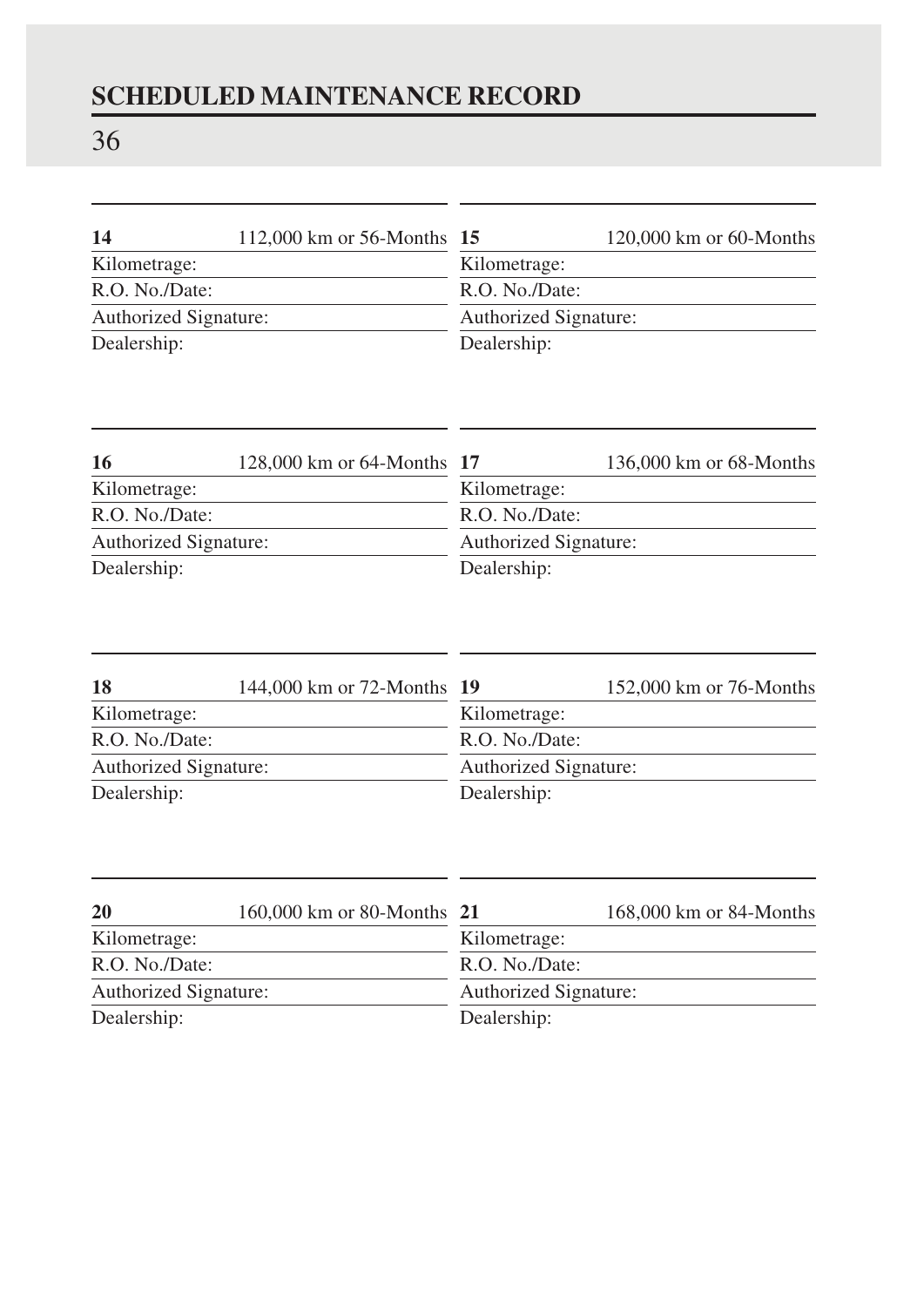# 36

| -14                          | 112,000 km or 56-Months 15 |                       | $120,000$ km or 60-Months |  |
|------------------------------|----------------------------|-----------------------|---------------------------|--|
| Kilometrage:                 |                            | Kilometrage:          |                           |  |
| R.O. No./Date:               |                            | R.O. No./Date:        |                           |  |
| <b>Authorized Signature:</b> |                            | Authorized Signature: |                           |  |
| Dealership:                  |                            | Dealership:           |                           |  |

| 16                           | 128,000 km or 64-Months 17 |                              | 136,000 km or 68-Months |  |
|------------------------------|----------------------------|------------------------------|-------------------------|--|
| Kilometrage:                 |                            | Kilometrage:                 |                         |  |
| R.O. No./Date:               |                            | R.O. No./Date:               |                         |  |
| <b>Authorized Signature:</b> |                            | <b>Authorized Signature:</b> |                         |  |
| Dealership:                  |                            | Dealership:                  |                         |  |

| 18                           | 144,000 km or 72-Months 19 |                | 152,000 km or 76-Months      |
|------------------------------|----------------------------|----------------|------------------------------|
| Kilometrage:                 |                            | Kilometrage:   |                              |
| R.O. No./Date:               |                            | R.O. No./Date: |                              |
| <b>Authorized Signature:</b> |                            |                | <b>Authorized Signature:</b> |
| Dealership:                  |                            | Dealership:    |                              |

| <b>20</b>                    | 160,000 km or 80-Months 21 |                | 168,000 km or 84-Months      |
|------------------------------|----------------------------|----------------|------------------------------|
| Kilometrage:                 |                            | Kilometrage:   |                              |
| R.O. No./Date:               |                            | R.O. No./Date: |                              |
| <b>Authorized Signature:</b> |                            |                | <b>Authorized Signature:</b> |
| Dealership:                  |                            | Dealership:    |                              |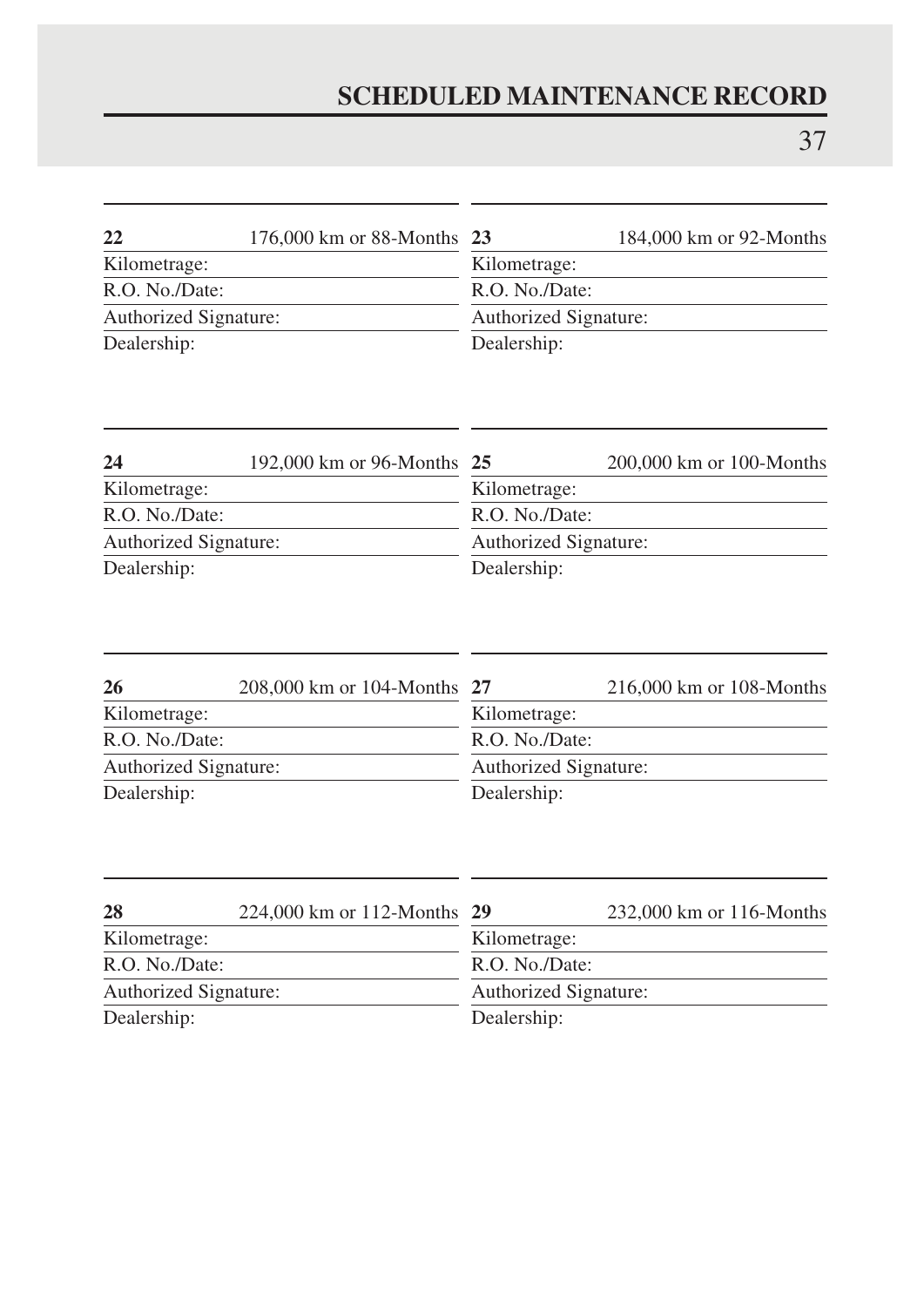| 22                    | 176,000 km or 88-Months 23 |                | 184,000 km or 92-Months      |
|-----------------------|----------------------------|----------------|------------------------------|
| Kilometrage:          |                            | Kilometrage:   |                              |
| R.O. No./Date:        |                            | R.O. No./Date: |                              |
| Authorized Signature: |                            |                | <b>Authorized Signature:</b> |
| Dealership:           |                            | Dealership:    |                              |

| 24                    | 192,000 km or 96-Months 25 |                | $200,000$ km or 100-Months   |
|-----------------------|----------------------------|----------------|------------------------------|
| Kilometrage:          |                            | Kilometrage:   |                              |
| R.O. No./Date:        |                            | R.O. No./Date: |                              |
| Authorized Signature: |                            |                | <b>Authorized Signature:</b> |
| Dealership:           |                            | Dealership:    |                              |

| 26                    | 208,000 km or 104-Months 27 |                | 216,000 km or 108-Months |
|-----------------------|-----------------------------|----------------|--------------------------|
| Kilometrage:          |                             | Kilometrage:   |                          |
| R.O. No./Date:        |                             | R.O. No./Date: |                          |
| Authorized Signature: |                             |                | Authorized Signature:    |
| Dealership:           |                             | Dealership:    |                          |

| 28             | 224,000 km or 112-Months 29 |                | 232,000 km or 116-Months |
|----------------|-----------------------------|----------------|--------------------------|
| Kilometrage:   |                             | Kilometrage:   |                          |
| R.O. No./Date: |                             | R.O. No./Date: |                          |
|                | Authorized Signature:       |                | Authorized Signature:    |
| Dealership:    |                             | Dealership:    |                          |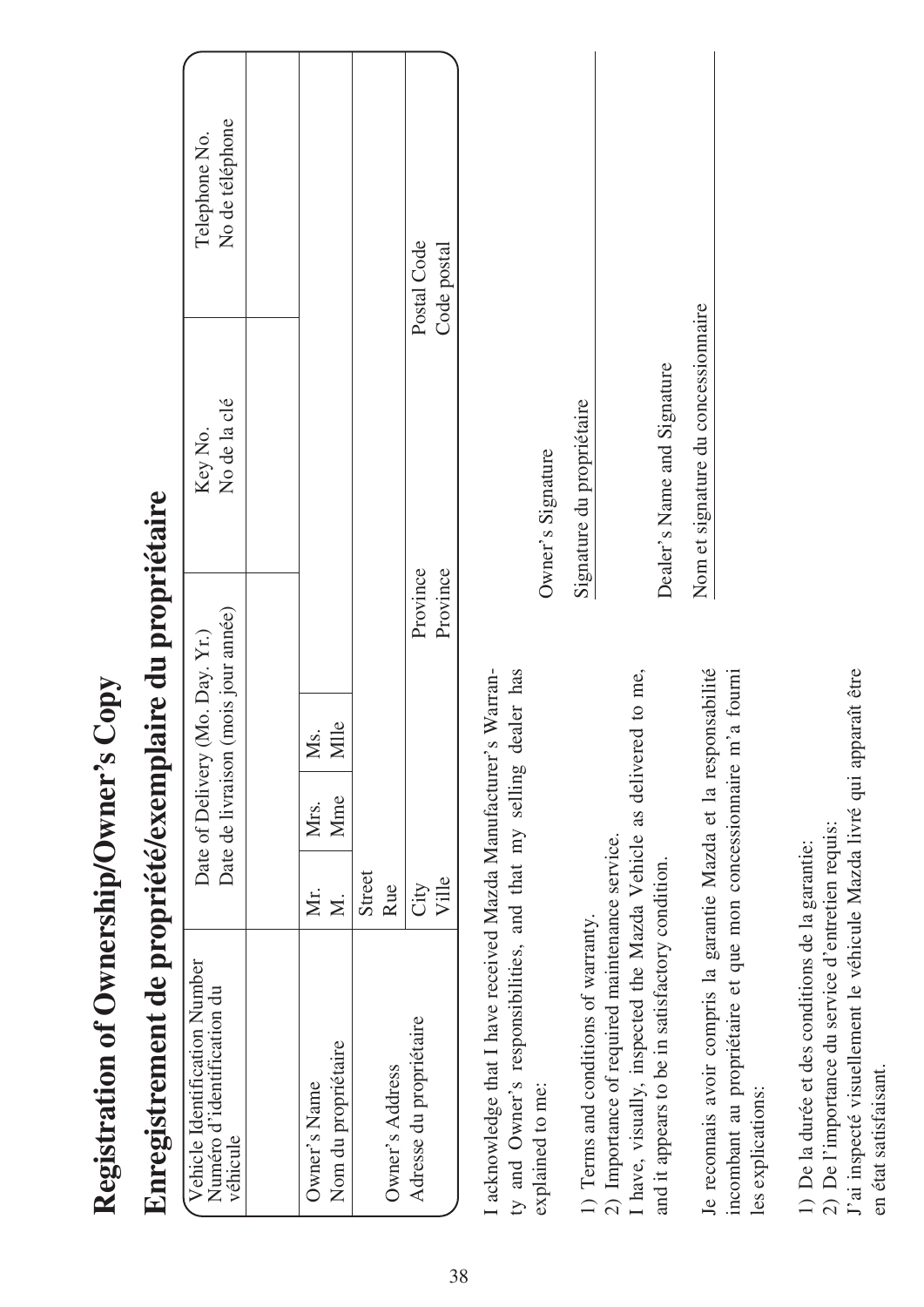| Enregistrement de propriété/exemplaire du propriétaire                                                                                                                                                         |                          |                                                                        |                           |                                     |                                  |  |
|----------------------------------------------------------------------------------------------------------------------------------------------------------------------------------------------------------------|--------------------------|------------------------------------------------------------------------|---------------------------|-------------------------------------|----------------------------------|--|
| Vehicle Identification Number<br>Numéro d'identification du<br>véhicule                                                                                                                                        |                          | Date de livraison (mois jour année)<br>Date of Delivery (Mo. Day. Yr.) |                           | No de la clé<br>Key No.             | No de téléphone<br>Telephone No. |  |
|                                                                                                                                                                                                                |                          |                                                                        |                           |                                     |                                  |  |
| Nom du propriétaire<br>Owner's Name                                                                                                                                                                            | Mme<br>Mrs.<br>Мr.<br>Σ. | Mlle<br>Ms.                                                            |                           |                                     |                                  |  |
| Owner's Address                                                                                                                                                                                                | Street<br>Rue            |                                                                        |                           |                                     |                                  |  |
| Adresse du propriétaire                                                                                                                                                                                        | Ville<br>City            |                                                                        | Province<br>Province      |                                     | Postal Code<br>Code postal       |  |
| I acknowledge that I have received Mazda Manufacturer's Warran-<br>ty and Owner's responsibilities, and that my selling dealer has<br>explained to me:                                                         |                          |                                                                        | Owner's Signature         |                                     |                                  |  |
| I have, visually, inspected the Mazda Vehicle as delivered to me,<br>2) Importance of required maintenance service.<br>and it appears to be in satisfactory condition.<br>1) Terms and conditions of warranty. |                          |                                                                        | Signature du propriétaire | Dealer's Name and Signature         |                                  |  |
| incombant au propriétaire et que mon concessionnaire m'a fourni<br>Je reconnais avoir compris la garantie Mazda et la responsabilité<br>les explications:                                                      |                          |                                                                        |                           | Nom et signature du concessionnaire |                                  |  |

**Registration of Ownership/Owner's Copy**

Registration of Ownership/Owner's Copy

1) De la durée et des conditions de la garantie: 1) De la durée et des conditions de la garantie:

2) De l'importance du service d'entretien requis: 2) De l'importance du service d'entretien requis:

J'ai inspecté visuellement le véhicule Mazda livré qui apparaît être J'ai inspecté visuellement le véhicule Mazda livré qui apparaît être

en état satisfaisant. en état satisfaisant.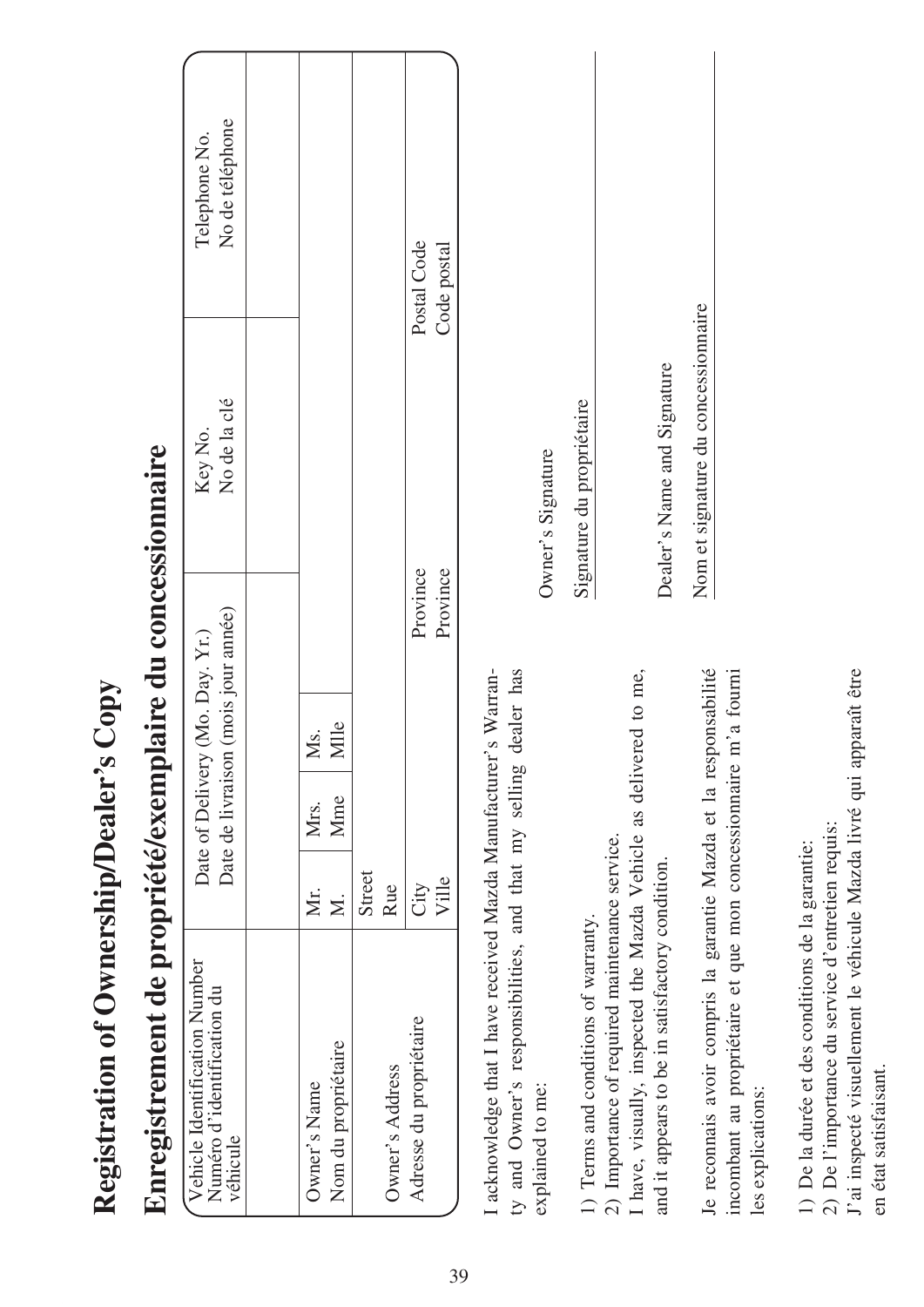| Enregistremen                                                                                                                                                                                                |               |             |                                 |                                     | nt de propriété/exemplaire du concessionnaire            |                                  |  |
|--------------------------------------------------------------------------------------------------------------------------------------------------------------------------------------------------------------|---------------|-------------|---------------------------------|-------------------------------------|----------------------------------------------------------|----------------------------------|--|
| Vehicle Identification Number<br>Numéro d'identification du<br>véhicule                                                                                                                                      |               |             | Date of Delivery (Mo. Day. Yr.) | Date de livraison (mois jour année) | No de la clé<br>Key No.                                  | No de téléphone<br>Telephone No. |  |
|                                                                                                                                                                                                              |               |             |                                 |                                     |                                                          |                                  |  |
| Nom du propriétaire<br>Owner's Name                                                                                                                                                                          | Мr.<br>$\leq$ | Mme<br>Mrs. | Mlle<br>Ms.                     |                                     |                                                          |                                  |  |
| Owner's Address                                                                                                                                                                                              | Street<br>Rue |             |                                 |                                     |                                                          |                                  |  |
| Adresse du propriétaire                                                                                                                                                                                      | Ville<br>City |             |                                 | Province<br>Province                |                                                          | Postal Code<br>Code postal       |  |
| I acknowledge that I have received Mazda Manufacturer's Warran-<br>ty and Owner's responsibilities, and that my selling dealer has<br>explained to me:                                                       |               |             |                                 |                                     | Owner's Signature                                        |                                  |  |
| have, visually, inspected the Mazda Vehicle as delivered to me,<br>2) Importance of required maintenance service.<br>and it appears to be in satisfactory condition.<br>1) Terms and conditions of warranty. |               |             |                                 |                                     | Dealer's Name and Signature<br>Signature du propriétaire |                                  |  |
| Je reconnais avoir compris la garantie Mazda et la responsabilité<br>incombant au propriétaire et que mon concessionnaire m'a fourni<br>les explications:                                                    |               |             |                                 |                                     | Nom et signature du concessionnaire                      |                                  |  |

**Registration of Ownership/Dealer's Copy**

Registration of Ownership/Dealer's Copy

1) De la durée et des conditions de la garantie: 1) De la durée et des conditions de la garantie:

2) De l'importance du service d'entretien requis: 2) De l'importance du service d'entretien requis:

J'ai inspecté visuellement le véhicule Mazda livré qui apparaît être J'ai inspecté visuellement le véhicule Mazda livré qui apparaît être

en état satisfaisant. en état satisfaisant.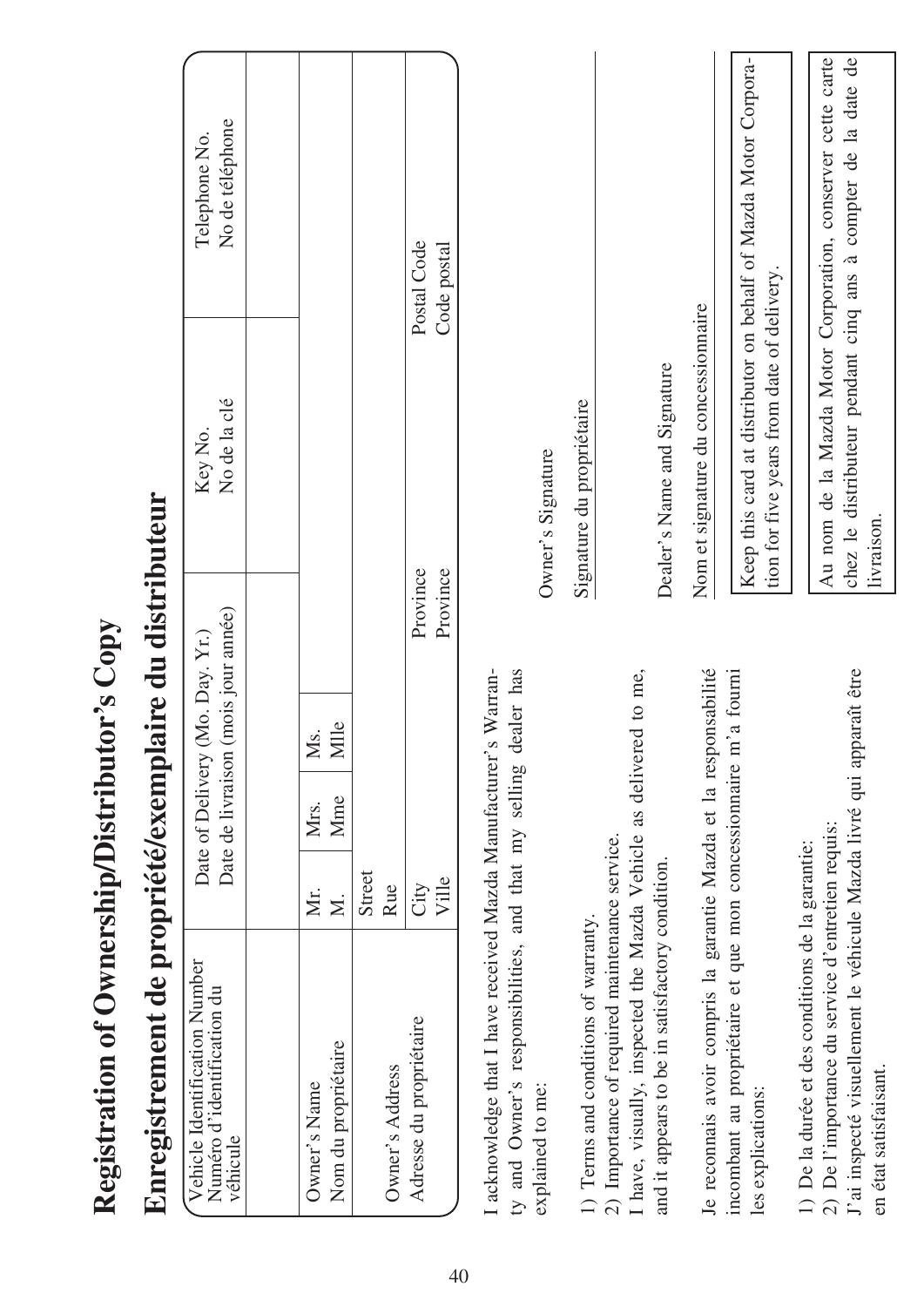| Au nom de la Mazda Motor Corporation, conserver cette carte<br>Keep this card at distributor on behalf of Mazda Motor Corpora-<br>chez le distributeur pendant cinq ans à compter de la date de<br>Code postal<br>tion for five years from date of delivery.<br>Nom et signature du concessionnaire<br>Dealer's Name and Signature<br>No de la clé<br>Signature du propriétaire<br>Key No.<br>Owner's Signature<br>Province<br>Province<br>Date de livraison (mois jour année)<br>Date of Delivery (Mo. Day. Yr.)<br>I acknowledge that I have received Mazda Manufacturer's Warran-<br>ty and Owner's responsibilities, and that my selling dealer has<br>Je reconnais avoir compris la garantie Mazda et la responsabilité<br>incombant au propriétaire et que mon concessionnaire m'a fourni<br>J'ai inspecté visuellement le véhicule Mazda livré qui apparaît être<br>I have, visually, inspected the Mazda Vehicle as delivered to me,<br>Mlle<br>Ms.<br>Mme<br>Mrs.<br>2) De l'importance du service d'entretien requis:<br>2) Importance of required maintenance service.<br>1) De la durée et des conditions de la garantie:<br>and it appears to be in satisfactory condition.<br>Street<br>Ville<br>Rue<br>City<br>Мr.<br>$\overline{\mathbf{z}}$<br>1) Terms and conditions of warranty.<br>Vehicle Identification Number<br>Numéro d'identification du<br>Adresse du propriétaire<br>Nom du propriétaire<br>Owner's Address<br>explained to me:<br>Owner's Name<br>les explications:<br>véhicule |                       | Enregistrement de propriété/exemplaire du distributeur |            |                                  |  |
|---------------------------------------------------------------------------------------------------------------------------------------------------------------------------------------------------------------------------------------------------------------------------------------------------------------------------------------------------------------------------------------------------------------------------------------------------------------------------------------------------------------------------------------------------------------------------------------------------------------------------------------------------------------------------------------------------------------------------------------------------------------------------------------------------------------------------------------------------------------------------------------------------------------------------------------------------------------------------------------------------------------------------------------------------------------------------------------------------------------------------------------------------------------------------------------------------------------------------------------------------------------------------------------------------------------------------------------------------------------------------------------------------------------------------------------------------------------------------------------------------------------|-----------------------|--------------------------------------------------------|------------|----------------------------------|--|
|                                                                                                                                                                                                                                                                                                                                                                                                                                                                                                                                                                                                                                                                                                                                                                                                                                                                                                                                                                                                                                                                                                                                                                                                                                                                                                                                                                                                                                                                                                               |                       |                                                        |            | No de téléphone<br>Telephone No. |  |
|                                                                                                                                                                                                                                                                                                                                                                                                                                                                                                                                                                                                                                                                                                                                                                                                                                                                                                                                                                                                                                                                                                                                                                                                                                                                                                                                                                                                                                                                                                               |                       |                                                        |            |                                  |  |
|                                                                                                                                                                                                                                                                                                                                                                                                                                                                                                                                                                                                                                                                                                                                                                                                                                                                                                                                                                                                                                                                                                                                                                                                                                                                                                                                                                                                                                                                                                               |                       |                                                        |            |                                  |  |
|                                                                                                                                                                                                                                                                                                                                                                                                                                                                                                                                                                                                                                                                                                                                                                                                                                                                                                                                                                                                                                                                                                                                                                                                                                                                                                                                                                                                                                                                                                               |                       |                                                        |            |                                  |  |
|                                                                                                                                                                                                                                                                                                                                                                                                                                                                                                                                                                                                                                                                                                                                                                                                                                                                                                                                                                                                                                                                                                                                                                                                                                                                                                                                                                                                                                                                                                               |                       |                                                        |            | Postal Code                      |  |
|                                                                                                                                                                                                                                                                                                                                                                                                                                                                                                                                                                                                                                                                                                                                                                                                                                                                                                                                                                                                                                                                                                                                                                                                                                                                                                                                                                                                                                                                                                               |                       |                                                        |            |                                  |  |
|                                                                                                                                                                                                                                                                                                                                                                                                                                                                                                                                                                                                                                                                                                                                                                                                                                                                                                                                                                                                                                                                                                                                                                                                                                                                                                                                                                                                                                                                                                               |                       |                                                        |            |                                  |  |
|                                                                                                                                                                                                                                                                                                                                                                                                                                                                                                                                                                                                                                                                                                                                                                                                                                                                                                                                                                                                                                                                                                                                                                                                                                                                                                                                                                                                                                                                                                               |                       |                                                        |            |                                  |  |
|                                                                                                                                                                                                                                                                                                                                                                                                                                                                                                                                                                                                                                                                                                                                                                                                                                                                                                                                                                                                                                                                                                                                                                                                                                                                                                                                                                                                                                                                                                               |                       |                                                        |            |                                  |  |
|                                                                                                                                                                                                                                                                                                                                                                                                                                                                                                                                                                                                                                                                                                                                                                                                                                                                                                                                                                                                                                                                                                                                                                                                                                                                                                                                                                                                                                                                                                               |                       |                                                        |            |                                  |  |
|                                                                                                                                                                                                                                                                                                                                                                                                                                                                                                                                                                                                                                                                                                                                                                                                                                                                                                                                                                                                                                                                                                                                                                                                                                                                                                                                                                                                                                                                                                               |                       |                                                        |            |                                  |  |
|                                                                                                                                                                                                                                                                                                                                                                                                                                                                                                                                                                                                                                                                                                                                                                                                                                                                                                                                                                                                                                                                                                                                                                                                                                                                                                                                                                                                                                                                                                               |                       |                                                        |            |                                  |  |
|                                                                                                                                                                                                                                                                                                                                                                                                                                                                                                                                                                                                                                                                                                                                                                                                                                                                                                                                                                                                                                                                                                                                                                                                                                                                                                                                                                                                                                                                                                               | en état satisfaisant. |                                                        | livraison. |                                  |  |

# Registration of Ownership/Distributor's Copy **Registration of Ownership/Distributor's Copy**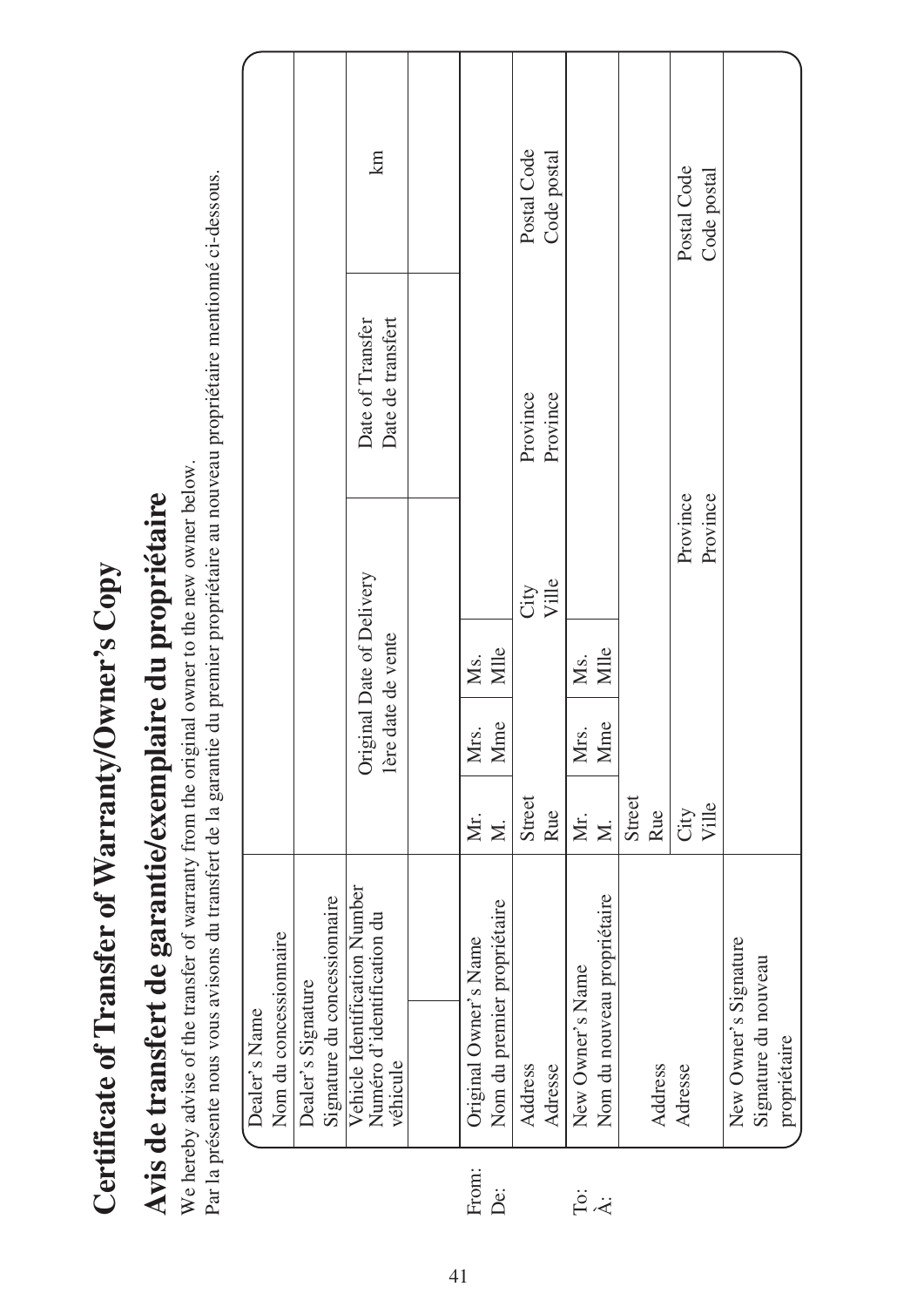| ĺ<br>$\zeta$                       |
|------------------------------------|
| <b>ANTIFACTOR</b><br>$\frac{1}{2}$ |
| :<br>L                             |
| $\sqrt{2}$<br>あいき あいこう             |
| ;<br>$\frac{1}{2}$<br>Ï            |
| $-2$                               |
| ĺ                                  |
| $\sim$ of $\sim$                   |
| )<br>ζ                             |

# Avis de transfert de garantie/exemplaire du propriétaire **Avis de transfert de garantie/exemplaire du propriétaire**

We hereby advise of the transfer of warranty from the original owner to the new owner below. We hereby advise of the transfer of warranty from the original owner to the new owner below.

Par la présente nous vous avisons du transfert de la garantie du premier propriétaire au nouveau propriétaire mentionné ci-dessous. Par la présente nous vous avisons du transfert de la garantie du premier propriétaire au nouveau propriétaire mentionné ci-dessous.

|               |                        |                    | km                                                                                                      |                       |                             | Postal Code | Code postal |                  |                             |        |         | Postal Code   | Code postal |                       |                      |              |  |
|---------------|------------------------|--------------------|---------------------------------------------------------------------------------------------------------|-----------------------|-----------------------------|-------------|-------------|------------------|-----------------------------|--------|---------|---------------|-------------|-----------------------|----------------------|--------------|--|
|               |                        |                    | Date de transfert<br>Date of Transfer                                                                   |                       |                             | Province    | Province    |                  |                             |        |         |               |             |                       |                      |              |  |
|               |                        |                    | Original Date of Delivery                                                                               |                       |                             | City        | Ville       |                  |                             |        |         | Province      | Province    |                       |                      |              |  |
|               |                        |                    |                                                                                                         | Ms.                   | Mlle                        |             |             | Ms.              | Mlle                        |        |         |               |             |                       |                      |              |  |
|               |                        |                    | 1ère date de vente                                                                                      | Mrs.                  | Mme                         |             |             | Mrs.             | Mme                         |        |         |               |             |                       |                      |              |  |
|               |                        |                    |                                                                                                         | Мr.                   | $\geq$                      | Street      | Rue         | Мr.              | Σ.                          | Street | Rue     | City<br>Ville |             |                       |                      |              |  |
|               |                        |                    |                                                                                                         |                       |                             |             |             |                  |                             |        |         |               |             |                       |                      |              |  |
| Dealer's Name | Nom du concessionnaire | Dealer's Signature | Signature du concessionnaire<br>Vehicle Identification Number<br>Numéro d'identification du<br>véhicule | Original Owner's Name | Nom du premier propriétaire | Address     | Adresse     | New Owner's Name | Nom du nouveau propriétaire |        | Address | Adresse       |             | New Owner's Signature | Signature du nouveau | propriétaire |  |
|               |                        |                    |                                                                                                         | From:                 | Ö                           |             |             |                  | ë ÷                         |        |         |               |             |                       |                      |              |  |

41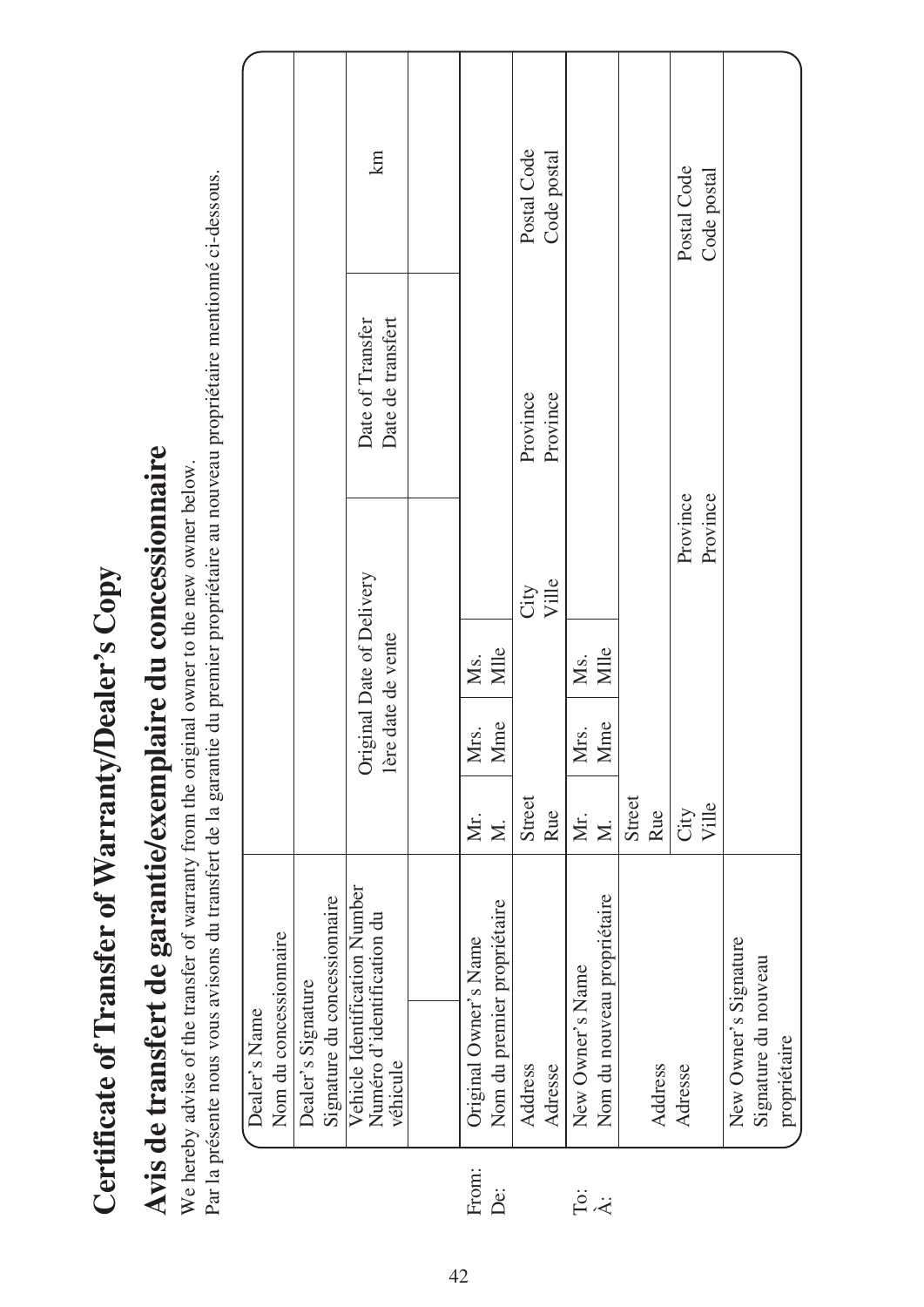| $\overline{a}$<br>$\zeta$                    |
|----------------------------------------------|
|                                              |
|                                              |
| $\frac{1}{4}$                                |
| ;                                            |
| $\overline{\phantom{a}}$<br>٢<br><b>CH-2</b> |
|                                              |
| ֚֚֚֚֚֚֚֚֚֚֚֚֡֡֓֡׆֧֧֧֬                        |
| <b>CHANGE</b><br>ì                           |
|                                              |
|                                              |

# Avis de transfert de garantie/exemplaire du concessionnaire **Avis de transfert de garantie/exemplaire du concessionnaire**

We hereby advise of the transfer of warranty from the original owner to the new owner below. We hereby advise of the transfer of warranty from the original owner to the new owner below.

Par la présente nous vous avisons du transfert de la garantie du premier propriétaire au nouveau propriétaire mentionné ci-dessous. Par la présente nous vous avisons du transfert de la garantie du premier propriétaire au nouveau propriétaire mentionné ci-dessous.

|                                         |                                                    | km                                                                      |                       |                             | Postal Code | Code postal |                  |                             |        |         | Postal Code | Code postal |                       |                      |              |
|-----------------------------------------|----------------------------------------------------|-------------------------------------------------------------------------|-----------------------|-----------------------------|-------------|-------------|------------------|-----------------------------|--------|---------|-------------|-------------|-----------------------|----------------------|--------------|
|                                         |                                                    | Date de transfert<br>Date of Transfer                                   |                       |                             | Province    | Province    |                  |                             |        |         |             |             |                       |                      |              |
|                                         |                                                    |                                                                         |                       |                             | City        | Ville       |                  |                             |        |         | Province    | Province    |                       |                      |              |
|                                         |                                                    |                                                                         | Ms.                   | Mlle                        |             |             | Ms.              | Mlle                        |        |         |             |             |                       |                      |              |
|                                         |                                                    | Original Date of Delivery<br>1ère date de vente                         | Mrs.                  | Mme                         |             |             | Mrs.             | Mme                         |        |         |             |             |                       |                      |              |
|                                         |                                                    |                                                                         | Мr.                   | $\geq$                      | Street      | Rue         | Мr.              | $\overline{\mathsf{x}}$     | Street | Rue     | City        | Ville       |                       |                      |              |
| Nom du concessionnaire<br>Dealer's Name | Signature du concessionnaire<br>Dealer's Signature | Vehicle Identification Number<br>Numéro d'identification du<br>véhicule | Original Owner's Name | Nom du premier propriétaire | Address     | Adresse     | New Owner's Name | Nom du nouveau propriétaire |        | Address | Adresse     |             | New Owner's Signature | Signature du nouveau | propriétaire |
|                                         |                                                    |                                                                         | jm:                   |                             |             |             |                  |                             |        |         |             |             |                       |                      |              |

From: De: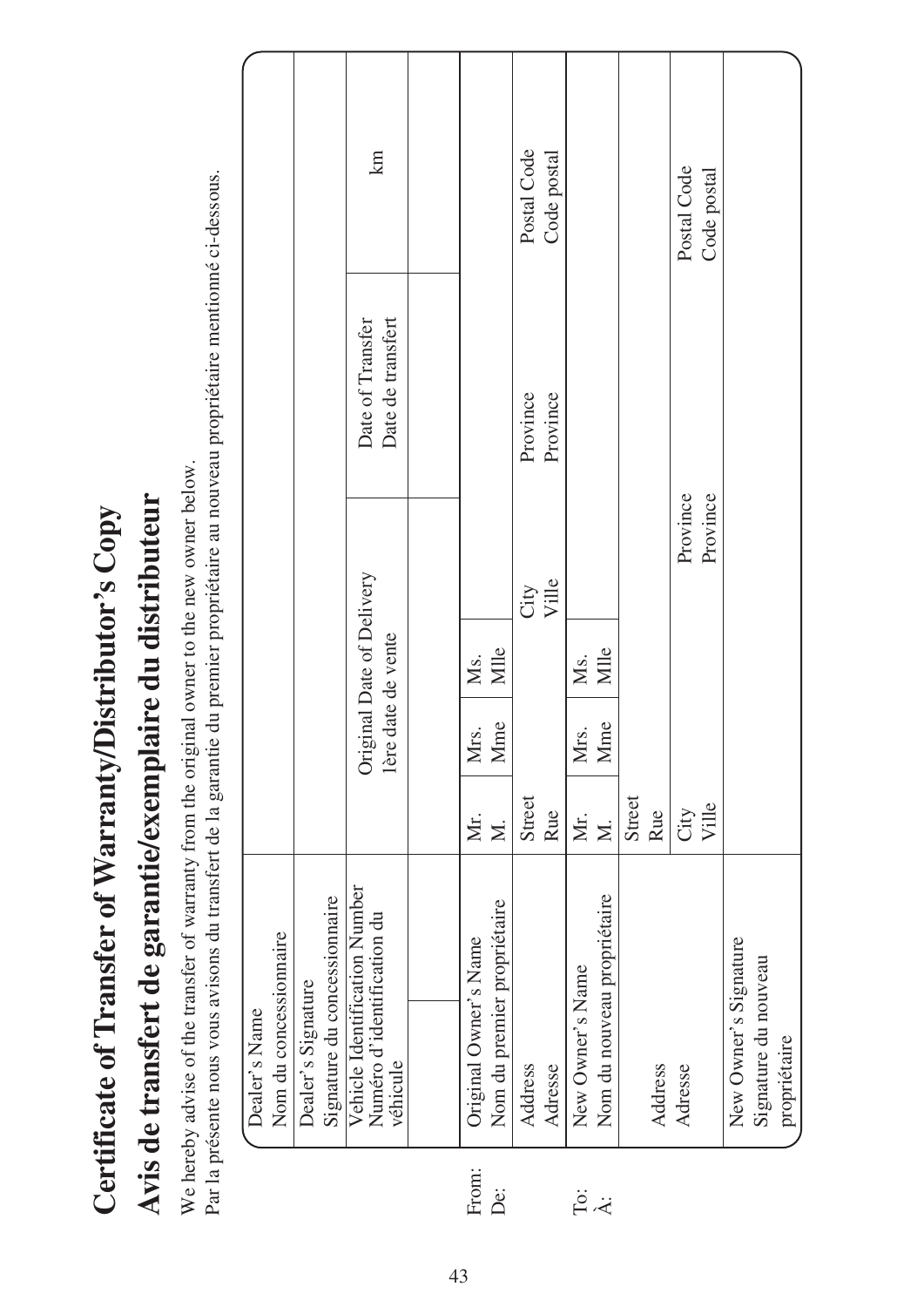|   | Dealer's Name                                                           |                         |      |                                                  |          |                                       |              |
|---|-------------------------------------------------------------------------|-------------------------|------|--------------------------------------------------|----------|---------------------------------------|--------------|
|   | Nom du concessionnaire                                                  |                         |      |                                                  |          |                                       |              |
|   | Dealer's Signature                                                      |                         |      |                                                  |          |                                       |              |
|   | Signature du concessionnaire                                            |                         |      |                                                  |          |                                       |              |
|   | Vehicle Identification Number<br>Numéro d'identification du<br>véhicule |                         |      | Original Date of Delivery<br>l'ère date de vente |          | Date de transfert<br>Date of Transfer | $\mathbb{E}$ |
|   |                                                                         |                         |      |                                                  |          |                                       |              |
| Ë | Original Owner's Name                                                   | Мr.                     | Mrs. | Ms.                                              |          |                                       |              |
|   | Nom du premier propriétaire                                             | $\overline{\mathsf{x}}$ | Mme  | Mille                                            |          |                                       |              |
|   | Address                                                                 | Street                  |      |                                                  | City     | Province                              | Postal Code  |
|   | Adresse                                                                 | Rue                     |      |                                                  | Ville    | Province                              | Code postal  |
|   | New Owner's Name                                                        | Мr.                     | Mrs. | Мs.                                              |          |                                       |              |
|   | Nom du nouveau propriétaire                                             | $\overline{\mathsf{x}}$ | Mme  | Mlle                                             |          |                                       |              |
|   |                                                                         | Street                  |      |                                                  |          |                                       |              |
|   | Address                                                                 | Rue                     |      |                                                  |          |                                       |              |
|   | Adresse                                                                 | City<br>Ville           |      |                                                  | Province |                                       | Postal Code  |
|   |                                                                         |                         |      |                                                  | Province |                                       | Code postal  |
|   | New Owner's Signature                                                   |                         |      |                                                  |          |                                       |              |
|   | Signature du nouveau                                                    |                         |      |                                                  |          |                                       |              |
|   | propriétaire                                                            |                         |      |                                                  |          |                                       |              |
|   |                                                                         |                         |      |                                                  |          |                                       |              |

Avis de transfert de garantie/exemplaire du distributeur **Avis de transfert de garantie/exemplaire du distributeur** Certificate of Transfer of Warranty/Distributor's Copy

**Certificate of Transfer of Warranty/Distributor's Copy**

We hereby advise of the transfer of warranty from the original owner to the new owner below. We hereby advise of the transfer of warranty from the original owner to the new owner below.

Par la présente nous vous avisons du transfert de la garantie du premier propriétaire au nouveau propriétaire mentionné ci-dessous. Par la présente nous vous avisons du transfert de la garantie du premier propriétaire au nouveau propriétaire mentionné ci-dessous.

From: De:

.<br>A: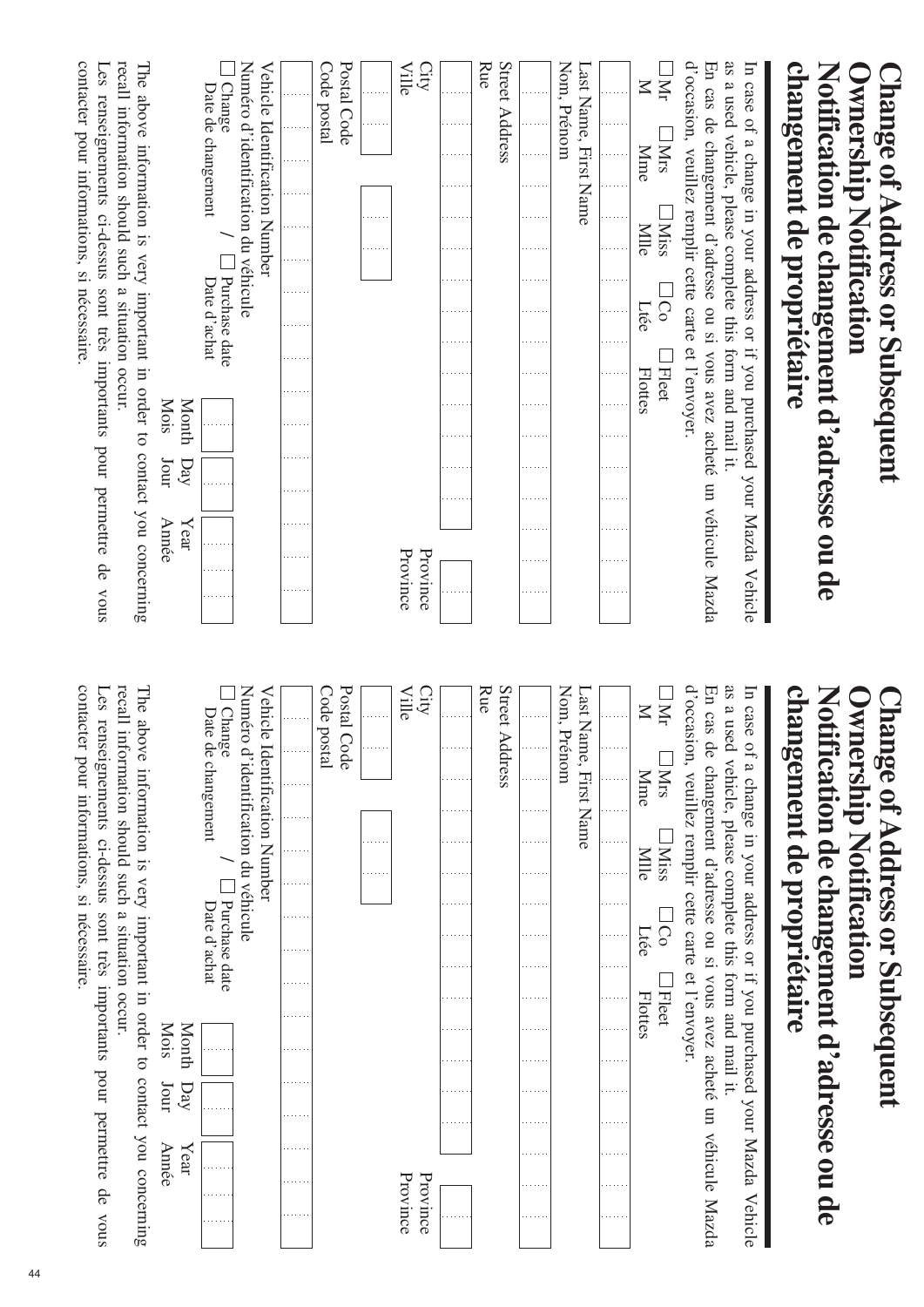|                |                                             |                     |                               |                                                    |                               |      |                                |                                                                 |                                                           |                                            | Vehicle                                                                                                                                                                             |
|----------------|---------------------------------------------|---------------------|-------------------------------|----------------------------------------------------|-------------------------------|------|--------------------------------|-----------------------------------------------------------------|-----------------------------------------------------------|--------------------------------------------|-------------------------------------------------------------------------------------------------------------------------------------------------------------------------------------|
| <b>INtrs</b>   |                                             |                     |                               |                                                    |                               |      |                                |                                                                 |                                                           |                                            |                                                                                                                                                                                     |
| <b>Mme</b>     |                                             |                     |                               |                                                    |                               |      |                                |                                                                 |                                                           |                                            |                                                                                                                                                                                     |
|                |                                             |                     |                               |                                                    |                               |      |                                |                                                                 |                                                           |                                            |                                                                                                                                                                                     |
|                |                                             |                     |                               |                                                    |                               |      |                                |                                                                 |                                                           |                                            |                                                                                                                                                                                     |
|                |                                             |                     |                               |                                                    |                               |      |                                |                                                                 |                                                           |                                            |                                                                                                                                                                                     |
| Street Address |                                             |                     |                               |                                                    |                               |      |                                |                                                                 |                                                           |                                            |                                                                                                                                                                                     |
|                |                                             |                     |                               |                                                    |                               |      |                                |                                                                 |                                                           |                                            |                                                                                                                                                                                     |
|                |                                             |                     |                               |                                                    |                               |      |                                |                                                                 |                                                           |                                            |                                                                                                                                                                                     |
|                |                                             |                     |                               |                                                    |                               |      |                                |                                                                 |                                                           |                                            |                                                                                                                                                                                     |
|                |                                             |                     |                               |                                                    |                               |      |                                |                                                                 |                                                           |                                            |                                                                                                                                                                                     |
|                |                                             |                     |                               |                                                    |                               |      |                                |                                                                 |                                                           |                                            |                                                                                                                                                                                     |
|                |                                             |                     |                               |                                                    |                               |      |                                |                                                                 |                                                           |                                            |                                                                                                                                                                                     |
|                |                                             |                     |                               |                                                    |                               |      |                                |                                                                 |                                                           |                                            |                                                                                                                                                                                     |
|                |                                             |                     |                               |                                                    |                               |      |                                |                                                                 |                                                           |                                            |                                                                                                                                                                                     |
|                |                                             |                     |                               |                                                    |                               |      |                                |                                                                 |                                                           |                                            |                                                                                                                                                                                     |
|                |                                             |                     |                               |                                                    |                               | Mois |                                | Jour                                                            |                                                           | Année                                      |                                                                                                                                                                                     |
|                | Last Name, First Name<br>Date de changement | <b>Miss</b><br>Mlle | Vehicle Identification Number | Numéro d'identification du véhicule<br>iCo<br>Ltée | Purchase date<br>Date d'achat |      | <b>Fleet</b><br><b>Flottes</b> | d'occasion, veuillez remplir cette carte et l'envoyer.<br>Month | as a used vehicle, please complete this form and mail it. | changement de propriétaire<br>$\mathbf{p}$ | In case of a change in your address or if you purchased your Mazda<br>En cas de changement d'adresse ou si vous avez acheté un véhicule Mazda<br>$\chi$ ear<br>Province<br>Province |

| $\Box$ hange of Address or Subsequent                                                 | wnership Notification    |  |              |                               |                |                                                        |                      |               |                        |  |
|---------------------------------------------------------------------------------------|--------------------------|--|--------------|-------------------------------|----------------|--------------------------------------------------------|----------------------|---------------|------------------------|--|
| changement de propriétaire<br>Notification de changement d'adresse ou de              |                          |  |              |                               |                |                                                        |                      |               |                        |  |
| $\overline{u}$<br>case                                                                |                          |  |              |                               |                | of a change in your address or if you purchased        |                      | your Mazda    | Vehicle                |  |
| 9.S<br>En cas de changement d'adresse ou si vous avez acheté un véhicule Mazda        |                          |  |              |                               |                | a used vehicle, please complete this form and mail it. |                      |               |                        |  |
| d'occasion, veuillez remplir cette carte                                              |                          |  |              |                               |                | et l'envoyer                                           |                      |               |                        |  |
| Nr                                                                                    | <b>Mrs</b>               |  | <b>IMiss</b> | $\overline{C}$                | <b>Fleet</b>   |                                                        |                      |               |                        |  |
| $\mathbb{K}$                                                                          | <b>Mme</b>               |  | Mlle         | Ltée                          | <b>Flottes</b> |                                                        |                      |               |                        |  |
|                                                                                       |                          |  |              |                               |                |                                                        |                      |               |                        |  |
| Nom, Prénom<br>Last Name, First Name                                                  |                          |  |              |                               |                |                                                        |                      |               |                        |  |
|                                                                                       |                          |  |              |                               |                |                                                        |                      |               |                        |  |
| Street Address<br>Rue                                                                 |                          |  |              |                               |                |                                                        |                      |               |                        |  |
|                                                                                       |                          |  |              |                               |                |                                                        |                      |               |                        |  |
| City<br>Ville                                                                         |                          |  |              |                               |                |                                                        |                      |               | Province<br>Province   |  |
|                                                                                       |                          |  |              |                               |                |                                                        |                      |               |                        |  |
| Postal Code                                                                           |                          |  |              |                               |                |                                                        |                      |               |                        |  |
| Code postal                                                                           |                          |  |              |                               |                |                                                        |                      |               |                        |  |
|                                                                                       |                          |  |              |                               |                |                                                        |                      |               |                        |  |
| Numéro d'identification du véhicule<br>Vehicle Identification Number                  |                          |  |              |                               |                |                                                        |                      |               |                        |  |
| Change                                                                                | Date de changement       |  |              | Purchase date<br>Date d'achat |                |                                                        |                      |               |                        |  |
|                                                                                       |                          |  |              |                               |                | Mois<br>Month                                          | Jour<br>$\mathbf{D}$ | Année<br>Year |                        |  |
| recall information should such<br>The above information is very important in order to |                          |  |              | a situation occur.            |                |                                                        |                      |               | contact you concerning |  |
| contacter pour informations, si nécessaire<br>Les                                     | renseignements ci-dessus |  |              | sont très                     |                | importants pour permettre de                           |                      |               | snox                   |  |
|                                                                                       |                          |  |              |                               |                |                                                        |                      |               |                        |  |